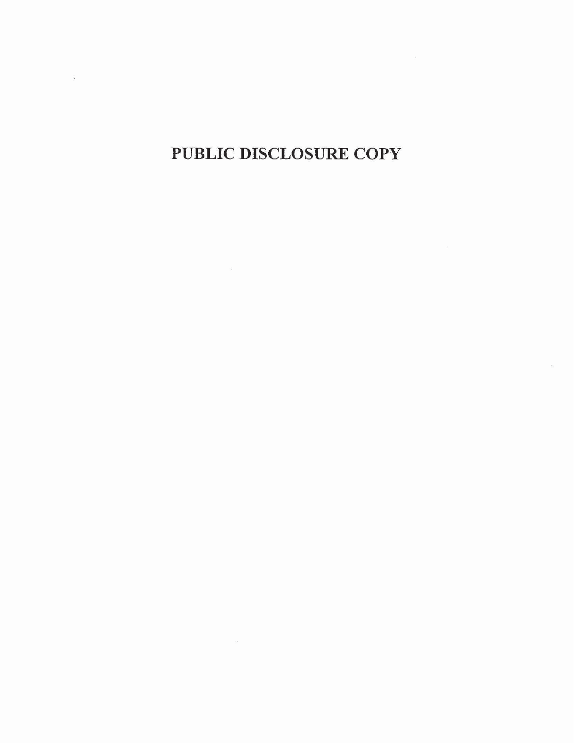PUBLIC DISCLOSURE COPY

 $\label{eq:1} \Omega_{\rm{eff}}=0.01$ 

 $\sim 10$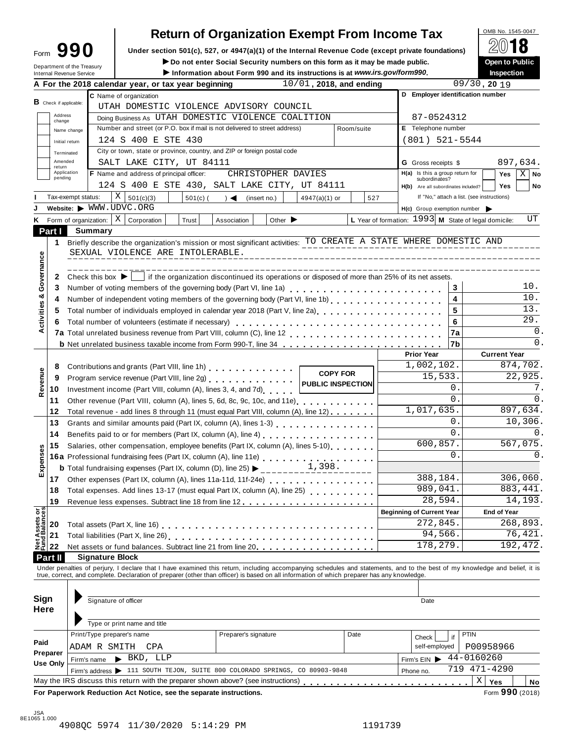| ∙orm | 101 |  |
|------|-----|--|
|      |     |  |

# **Return of Organization Exempt From Income Tax**<br> **Exergion 501(c)** 527, or 4947(a)(1) of the Internal Beyenue Code (except private foundations)

**Example 1990** Under section 501(c), 527, or 4947(a)(1) of the Internal Revenue Code (except private foundations)  $\angle\Box$  **O**<br>Perspect the Trumps **Form**  $\Box$   $\Box$  **D** Do not enter Social Security numbers on this form as it

 $\blacktriangleright$  Do not enter Social Security numbers on this form as it may be made public.

|                                                                                                            |                               | Department of the Treasury |         |                                          |                                                                    | ► Do not enter Social Security numbers on this form as it may be made public.<br>Information about Form 990 and its instructions is at www.irs.gov/form990.                                                                    |                             |                          |            |     |                                                      |            | Inspection                                             | <b>Open to Public</b>  |  |  |
|------------------------------------------------------------------------------------------------------------|-------------------------------|----------------------------|---------|------------------------------------------|--------------------------------------------------------------------|--------------------------------------------------------------------------------------------------------------------------------------------------------------------------------------------------------------------------------|-----------------------------|--------------------------|------------|-----|------------------------------------------------------|------------|--------------------------------------------------------|------------------------|--|--|
|                                                                                                            |                               |                            |         |                                          | A For the 2018 calendar year, or tax year beginning                |                                                                                                                                                                                                                                |                             | 10/01, 2018, and ending  |            |     |                                                      |            | $09/30$ , 20 19                                        |                        |  |  |
|                                                                                                            |                               |                            |         | C Name of organization                   |                                                                    |                                                                                                                                                                                                                                |                             |                          |            |     |                                                      |            | D Employer identification number                       |                        |  |  |
|                                                                                                            | <b>B</b> Check if applicable: |                            |         |                                          |                                                                    | UTAH DOMESTIC VIOLENCE ADVISORY COUNCIL                                                                                                                                                                                        |                             |                          |            |     |                                                      |            |                                                        |                        |  |  |
|                                                                                                            | Address<br>change             |                            |         |                                          |                                                                    | Doing Business As UTAH DOMESTIC VIOLENCE COALITION                                                                                                                                                                             |                             |                          |            |     | 87-0524312                                           |            |                                                        |                        |  |  |
| Internal Revenue Service<br>Κ<br>Part I<br>Activities & Governance<br>Revenue<br>Expenses<br>Net Assets or |                               | Name change                |         |                                          |                                                                    | Number and street (or P.O. box if mail is not delivered to street address)                                                                                                                                                     |                             |                          | Room/suite |     | E Telephone number                                   |            |                                                        |                        |  |  |
|                                                                                                            |                               | Initial return             |         | 124 S 400 E STE 430                      |                                                                    |                                                                                                                                                                                                                                |                             |                          |            |     | $(801)$ 521-5544                                     |            |                                                        |                        |  |  |
|                                                                                                            |                               | Terminated                 |         |                                          |                                                                    | City or town, state or province, country, and ZIP or foreign postal code                                                                                                                                                       |                             |                          |            |     |                                                      |            |                                                        |                        |  |  |
|                                                                                                            | Amended                       |                            |         |                                          | SALT LAKE CITY, UT 84111                                           |                                                                                                                                                                                                                                |                             |                          |            |     | <b>G</b> Gross receipts \$                           |            |                                                        | 897,634.               |  |  |
|                                                                                                            | return                        | Application                |         | F Name and address of principal officer: |                                                                    | CHRISTOPHER DAVIES                                                                                                                                                                                                             |                             |                          |            |     | $H(a)$ Is this a group return for                    |            | Yes                                                    | $X \mid$ No            |  |  |
|                                                                                                            | pending                       |                            |         |                                          |                                                                    | 124 S 400 E STE 430, SALT LAKE CITY, UT 84111                                                                                                                                                                                  |                             |                          |            |     | subordinates?<br>H(b) Are all subordinates included? |            | <b>Yes</b>                                             | No                     |  |  |
|                                                                                                            |                               | Tax-exempt status:         |         | ΧI<br>501(c)(3)                          | $501(c)$ (                                                         | $\rightarrow$ $\blacktriangleleft$<br>(insert no.)                                                                                                                                                                             |                             | 4947(a)(1) or            |            | 527 |                                                      |            | If "No," attach a list. (see instructions)             |                        |  |  |
|                                                                                                            |                               |                            |         | Website: WWW.UDVC.ORG                    |                                                                    |                                                                                                                                                                                                                                |                             |                          |            |     | $H(c)$ Group exemption number                        |            |                                                        |                        |  |  |
|                                                                                                            |                               | Form of organization:      |         | ΧI<br>Corporation                        | Trust                                                              | Association                                                                                                                                                                                                                    | Other $\blacktriangleright$ |                          |            |     |                                                      |            | L Year of formation: $1993$ M State of legal domicile: | UT                     |  |  |
|                                                                                                            |                               |                            | Summary |                                          |                                                                    |                                                                                                                                                                                                                                |                             |                          |            |     |                                                      |            |                                                        |                        |  |  |
|                                                                                                            | 1                             |                            |         |                                          |                                                                    | Briefly describe the organization's mission or most significant activities: TO CREATE A STATE WHERE DOMESTIC AND                                                                                                               |                             |                          |            |     |                                                      |            |                                                        |                        |  |  |
|                                                                                                            |                               |                            |         |                                          | SEXUAL VIOLENCE ARE INTOLERABLE.                                   |                                                                                                                                                                                                                                |                             |                          |            |     |                                                      |            |                                                        |                        |  |  |
|                                                                                                            |                               |                            |         |                                          |                                                                    |                                                                                                                                                                                                                                |                             |                          |            |     |                                                      |            |                                                        |                        |  |  |
|                                                                                                            | 2                             |                            |         |                                          |                                                                    | ________________________________<br>Check this box $\blacktriangleright$   if the organization discontinued its operations or disposed of more than 25% of its net assets.                                                     |                             |                          |            |     |                                                      |            |                                                        |                        |  |  |
|                                                                                                            | 3                             |                            |         |                                          |                                                                    |                                                                                                                                                                                                                                |                             |                          |            |     |                                                      | 3          |                                                        | 10.                    |  |  |
|                                                                                                            | 4                             |                            |         |                                          |                                                                    | Number of voting members of the governing body (Part VI, line 1a)                                                                                                                                                              |                             |                          |            |     |                                                      | 4          |                                                        | 10.                    |  |  |
|                                                                                                            |                               |                            |         |                                          |                                                                    |                                                                                                                                                                                                                                |                             |                          |            |     |                                                      | 5          |                                                        | 13.                    |  |  |
|                                                                                                            | 5                             |                            |         |                                          |                                                                    | Total number of individuals employed in calendar year 2018 (Part V, line 2a)<br>The 2a)                                                                                                                                        |                             |                          |            |     |                                                      |            |                                                        | 29.                    |  |  |
|                                                                                                            | 6                             |                            |         |                                          | Total number of volunteers (estimate if necessary)                 |                                                                                                                                                                                                                                |                             |                          |            |     |                                                      | 6          |                                                        | $\mathbf 0$ .          |  |  |
|                                                                                                            |                               |                            |         |                                          |                                                                    |                                                                                                                                                                                                                                |                             |                          |            |     |                                                      | 7a         |                                                        | 0.                     |  |  |
|                                                                                                            |                               |                            |         |                                          |                                                                    | <b>b</b> Net unrelated business taxable income from Form 990-T, line 34                                                                                                                                                        |                             |                          |            |     |                                                      | 7b         |                                                        |                        |  |  |
|                                                                                                            |                               |                            |         |                                          |                                                                    |                                                                                                                                                                                                                                |                             |                          |            |     | <b>Prior Year</b>                                    |            | <b>Current Year</b>                                    |                        |  |  |
|                                                                                                            | 8                             |                            |         |                                          |                                                                    | Contributions and grants (Part VIII, line 1h)                                                                                                                                                                                  |                             | <b>COPY FOR</b>          |            |     | 1,002,102.                                           |            |                                                        | 874,702.               |  |  |
|                                                                                                            | 9                             |                            |         |                                          |                                                                    | Program service revenue (Part VIII, line 2g)                                                                                                                                                                                   |                             | <b>PUBLIC INSPECTION</b> |            |     |                                                      | 15,533.    |                                                        | 22,925.                |  |  |
|                                                                                                            | 10                            |                            |         |                                          |                                                                    | Investment income (Part VIII, column (A), lines 3, 4, and 7d)                                                                                                                                                                  |                             |                          |            |     |                                                      | 0.         |                                                        | 7.                     |  |  |
|                                                                                                            | 11                            |                            |         |                                          |                                                                    | Other revenue (Part VIII, column (A), lines 5, 6d, 8c, 9c, 10c, and 11e)                                                                                                                                                       |                             |                          |            |     |                                                      | $\Omega$ . |                                                        | $\mathbf{0}$ .         |  |  |
|                                                                                                            | 12                            |                            |         |                                          |                                                                    | Total revenue - add lines 8 through 11 (must equal Part VIII, column (A), line 12)                                                                                                                                             |                             |                          |            |     | 1,017,635.                                           |            |                                                        | 897,634.               |  |  |
|                                                                                                            | 13                            |                            |         |                                          |                                                                    | Grants and similar amounts paid (Part IX, column (A), lines 1-3)<br><sub>1111</sub> , $\cdots$ , $\cdots$ , $\cdots$ , $\cdots$ , $\cdots$                                                                                     |                             |                          |            |     |                                                      | 0          | 10,306.                                                |                        |  |  |
|                                                                                                            | 14                            |                            |         |                                          |                                                                    | Benefits paid to or for members (Part IX, column (A), line 4)                                                                                                                                                                  |                             |                          |            |     |                                                      | $\Omega$ . |                                                        | 0.                     |  |  |
|                                                                                                            | 15                            |                            |         |                                          |                                                                    | Salaries, other compensation, employee benefits (Part IX, column (A), lines 5-10)                                                                                                                                              |                             |                          |            |     |                                                      | 600,857.   |                                                        | 567,075.               |  |  |
|                                                                                                            |                               |                            |         |                                          |                                                                    | 16a Professional fundraising fees (Part IX, column (A), line 11e)<br>16a Professional fundraising fees (Part IX, column (A), line 11e)                                                                                         |                             |                          |            |     |                                                      | $\Omega$ . |                                                        | 0.                     |  |  |
|                                                                                                            |                               |                            |         |                                          |                                                                    | <b>b</b> Total fundraising expenses (Part IX, column (D), line 25) $\blacktriangleright$ _______                                                                                                                               |                             | 1,398.                   |            |     |                                                      |            |                                                        |                        |  |  |
|                                                                                                            | 17                            |                            |         |                                          |                                                                    | Other expenses (Part IX, column (A), lines 11a-11d, 11f-24e)                                                                                                                                                                   |                             |                          |            |     |                                                      | 388,184.   |                                                        | 306,060.               |  |  |
|                                                                                                            | 18                            |                            |         |                                          |                                                                    | Total expenses. Add lines 13-17 (must equal Part IX, column (A), line 25)                                                                                                                                                      |                             |                          |            |     |                                                      | 989,041.   |                                                        | 883, 441.              |  |  |
|                                                                                                            | 19                            |                            |         |                                          |                                                                    |                                                                                                                                                                                                                                |                             |                          |            |     |                                                      | 28,594.    |                                                        | 14,193.                |  |  |
|                                                                                                            |                               |                            |         |                                          |                                                                    |                                                                                                                                                                                                                                |                             |                          |            |     | <b>Beginning of Current Year</b>                     |            | <b>End of Year</b>                                     |                        |  |  |
|                                                                                                            | 20                            |                            |         |                                          |                                                                    |                                                                                                                                                                                                                                |                             |                          |            |     |                                                      | 272,845.   |                                                        | 268,893.               |  |  |
|                                                                                                            | 21                            |                            |         |                                          |                                                                    |                                                                                                                                                                                                                                |                             |                          |            |     |                                                      | 94,566.    |                                                        | $\overline{76}$ , 421. |  |  |
|                                                                                                            | 22                            |                            |         |                                          |                                                                    | Net assets or fund balances. Subtract line 21 from line 20 [11, 11, 11, 11, 11, 11, 11, 11]                                                                                                                                    |                             |                          |            |     |                                                      | 178,279.   |                                                        | 192,472.               |  |  |
|                                                                                                            | Part II                       |                            |         | <b>Signature Block</b>                   |                                                                    |                                                                                                                                                                                                                                |                             |                          |            |     |                                                      |            |                                                        |                        |  |  |
|                                                                                                            |                               |                            |         |                                          |                                                                    | Under penalties of perjury, I declare that I have examined this return, including accompanying schedules and statements, and to the best of my knowledge and belief, it is true, correct, and complete. Declaration of prepare |                             |                          |            |     |                                                      |            |                                                        |                        |  |  |
|                                                                                                            |                               |                            |         |                                          |                                                                    |                                                                                                                                                                                                                                |                             |                          |            |     |                                                      |            |                                                        |                        |  |  |
|                                                                                                            |                               |                            |         |                                          |                                                                    |                                                                                                                                                                                                                                |                             |                          |            |     |                                                      |            |                                                        |                        |  |  |
| Sign                                                                                                       |                               |                            |         | Signature of officer                     |                                                                    |                                                                                                                                                                                                                                |                             |                          |            |     | Date                                                 |            |                                                        |                        |  |  |
| <b>Here</b>                                                                                                |                               |                            |         |                                          |                                                                    |                                                                                                                                                                                                                                |                             |                          |            |     |                                                      |            |                                                        |                        |  |  |
|                                                                                                            |                               |                            |         | Type or print name and title             |                                                                    |                                                                                                                                                                                                                                |                             |                          |            |     |                                                      |            |                                                        |                        |  |  |
|                                                                                                            |                               |                            |         | Print/Type preparer's name               |                                                                    | Preparer's signature                                                                                                                                                                                                           |                             |                          | Date       |     | Check                                                | if         | <b>PTIN</b>                                            |                        |  |  |
| Paid                                                                                                       |                               | ADAM R SMITH               |         | CPA                                      |                                                                    |                                                                                                                                                                                                                                |                             |                          |            |     | self-employed                                        |            | P00958966                                              |                        |  |  |
|                                                                                                            | Preparer                      |                            |         | $\blacktriangleright$ BKD, LLP           |                                                                    |                                                                                                                                                                                                                                |                             |                          |            |     |                                                      |            | 44-0160260                                             |                        |  |  |
|                                                                                                            | Use Only                      | Firm's name                |         |                                          |                                                                    |                                                                                                                                                                                                                                |                             |                          |            |     | Firm's $EIN$                                         |            | 719 471-4290                                           |                        |  |  |
|                                                                                                            |                               |                            |         |                                          |                                                                    | Firm's address > 111 SOUTH TEJON, SUITE 800 COLORADO SPRINGS, CO 80903-9848                                                                                                                                                    |                             |                          |            |     | Phone no.                                            |            |                                                        |                        |  |  |
|                                                                                                            |                               |                            |         |                                          |                                                                    | May the IRS discuss this return with the preparer shown above? (see instructions)                                                                                                                                              |                             |                          |            |     |                                                      |            | Χ<br>Yes                                               | No                     |  |  |
|                                                                                                            |                               |                            |         |                                          | For Paperwork Reduction Act Notice, see the separate instructions. |                                                                                                                                                                                                                                |                             |                          |            |     |                                                      |            | Form 990 (2018)                                        |                        |  |  |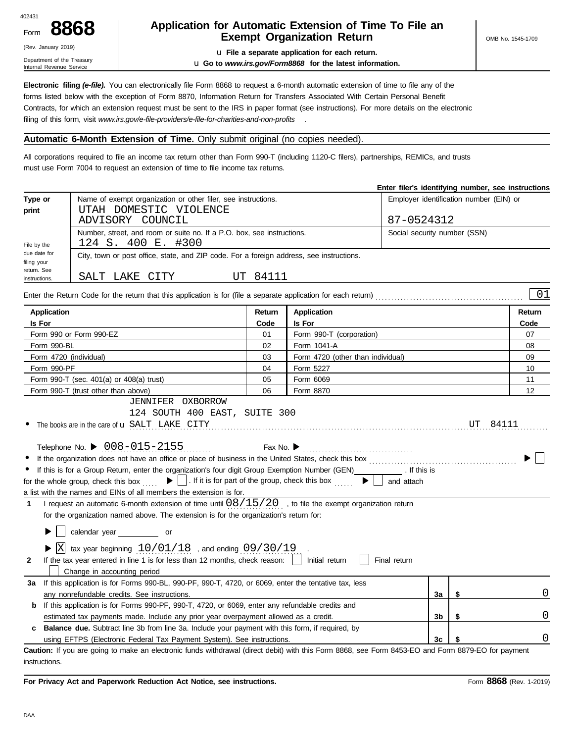| 402431 |  |
|--------|--|
| Form   |  |

## (Rev. January 2019)

Department of the Treasury Internal Revenue Service

#### **8868 Application for Automatic Extension of Time To File an Exempt Organization Return**

u **File a separate application for each return.** u **Go to** *www.irs.gov/Form8868* **for the latest information.**

**Electronic filing** *(e-file).* You can electronically file Form 8868 to request a 6-month automatic extension of time to file any of the forms listed below with the exception of Form 8870, Information Return for Transfers Associated With Certain Personal Benefit Contracts, for which an extension request must be sent to the IRS in paper format (see instructions). For more details on the electronic filing of this form, visit *www.irs.gov/e-file-providers/e-file-for-charities-and-non-profits* .

#### **Automatic 6-Month Extension of Time.** Only submit original (no copies needed).

All corporations required to file an income tax return other than Form 990-T (including 1120-C filers), partnerships, REMICs, and trusts must use Form 7004 to request an extension of time to file income tax returns.

|                                            |                                                                                              |                                                                                                                 | Enter filer's identifying number, see instructions |
|--------------------------------------------|----------------------------------------------------------------------------------------------|-----------------------------------------------------------------------------------------------------------------|----------------------------------------------------|
| Type or                                    | Name of exempt organization or other filer, see instructions.                                |                                                                                                                 | Employer identification number (EIN) or            |
| print                                      | UTAH DOMESTIC VIOLENCE<br>ADVISORY COUNCIL                                                   |                                                                                                                 | 87-0524312                                         |
| File by the                                | Number, street, and room or suite no. If a P.O. box, see instructions.<br>124 S. 400 E. #300 |                                                                                                                 | Social security number (SSN)                       |
| due date for<br>filing your<br>return. See |                                                                                              | City, town or post office, state, and ZIP code. For a foreign address, see instructions.                        |                                                    |
| instructions.                              | SALT LAKE CITY                                                                               | UT 84111                                                                                                        |                                                    |
|                                            |                                                                                              | Enter the Return Code for the return that this application is for (file a separate application for each return) | 01                                                 |

| <b>Application</b>                                                                                                                                                                                                                                                                                                                                                                                                                                                                                                                                                                                                                                                                                                                                                                     | Return                        | <b>Application</b>                                                             |                |    | Return |
|----------------------------------------------------------------------------------------------------------------------------------------------------------------------------------------------------------------------------------------------------------------------------------------------------------------------------------------------------------------------------------------------------------------------------------------------------------------------------------------------------------------------------------------------------------------------------------------------------------------------------------------------------------------------------------------------------------------------------------------------------------------------------------------|-------------------------------|--------------------------------------------------------------------------------|----------------|----|--------|
| Is For                                                                                                                                                                                                                                                                                                                                                                                                                                                                                                                                                                                                                                                                                                                                                                                 | Code                          | <b>Is For</b>                                                                  |                |    | Code   |
| Form 990 or Form 990-EZ                                                                                                                                                                                                                                                                                                                                                                                                                                                                                                                                                                                                                                                                                                                                                                | 01                            | Form 990-T (corporation)                                                       |                |    | 07     |
| Form 990-BL                                                                                                                                                                                                                                                                                                                                                                                                                                                                                                                                                                                                                                                                                                                                                                            | 02                            | Form 1041-A                                                                    |                |    | 08     |
| Form 4720 (individual)                                                                                                                                                                                                                                                                                                                                                                                                                                                                                                                                                                                                                                                                                                                                                                 | 03                            | Form 4720 (other than individual)                                              |                |    | 09     |
| Form 990-PF                                                                                                                                                                                                                                                                                                                                                                                                                                                                                                                                                                                                                                                                                                                                                                            | 04                            | Form 5227                                                                      |                |    | 10     |
| Form 990-T (sec. 401(a) or 408(a) trust)                                                                                                                                                                                                                                                                                                                                                                                                                                                                                                                                                                                                                                                                                                                                               | 05                            | Form 6069                                                                      |                |    | 11     |
| Form 990-T (trust other than above)                                                                                                                                                                                                                                                                                                                                                                                                                                                                                                                                                                                                                                                                                                                                                    | 06                            | Form 8870                                                                      |                |    | 12     |
| JENNIFER OXBORROW                                                                                                                                                                                                                                                                                                                                                                                                                                                                                                                                                                                                                                                                                                                                                                      |                               |                                                                                |                |    |        |
| 124 SOUTH 400 EAST, SUITE 300                                                                                                                                                                                                                                                                                                                                                                                                                                                                                                                                                                                                                                                                                                                                                          |                               |                                                                                |                |    |        |
| The books are in the care of <b>u</b> SALT LAKE CITY                                                                                                                                                                                                                                                                                                                                                                                                                                                                                                                                                                                                                                                                                                                                   |                               |                                                                                |                | UT | 84111  |
| Telephone No. ▶ $008 - 015 - 2155$<br>If this is for a Group Return, enter the organization's four digit Group Exemption Number (GEN) [If this is<br>$\blacktriangleright$ $\mid$ $\mid$ . If it is for part of the group, check this box<br>for the whole group, check this box<br>a list with the names and EINs of all members the extension is for.<br>I request an automatic 6-month extension of time until $08/15/20$ , to file the exempt organization return<br>1<br>for the organization named above. The extension is for the organization's return for:<br>calendar year ___________ or<br>▶<br>tax year beginning $10/01/18$ , and ending $09/30/19$<br>If the tax year entered in line 1 is for less than 12 months, check reason:  <br>2<br>Change in accounting period | Fax No. $\blacktriangleright$ | $\blacktriangleright$ $\vdash$<br>and attach<br>Initial return<br>Final return |                |    |        |
| If this application is for Forms 990-BL, 990-PF, 990-T, 4720, or 6069, enter the tentative tax, less<br>За                                                                                                                                                                                                                                                                                                                                                                                                                                                                                                                                                                                                                                                                             |                               |                                                                                |                |    | 0      |
| any nonrefundable credits. See instructions.                                                                                                                                                                                                                                                                                                                                                                                                                                                                                                                                                                                                                                                                                                                                           |                               |                                                                                | 3a             | \$ |        |
| If this application is for Forms 990-PF, 990-T, 4720, or 6069, enter any refundable credits and<br>b                                                                                                                                                                                                                                                                                                                                                                                                                                                                                                                                                                                                                                                                                   |                               |                                                                                |                |    |        |
| estimated tax payments made. Include any prior year overpayment allowed as a credit.                                                                                                                                                                                                                                                                                                                                                                                                                                                                                                                                                                                                                                                                                                   |                               |                                                                                | 3 <sub>b</sub> | \$ | 0      |
| <b>Balance due.</b> Subtract line 3b from line 3a. Include your payment with this form, if required, by<br>c                                                                                                                                                                                                                                                                                                                                                                                                                                                                                                                                                                                                                                                                           |                               |                                                                                |                |    | 0      |
| using EFTPS (Electronic Federal Tax Payment System). See instructions.                                                                                                                                                                                                                                                                                                                                                                                                                                                                                                                                                                                                                                                                                                                 |                               |                                                                                | 3c             |    |        |

instructions.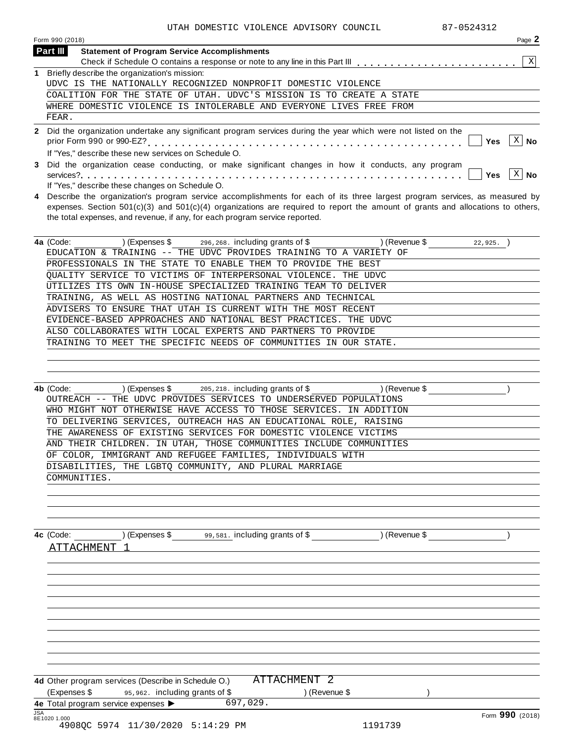|              | Page 2<br>Form 990 (2018)                                                                                                                                                                                                                                                                                                                       |
|--------------|-------------------------------------------------------------------------------------------------------------------------------------------------------------------------------------------------------------------------------------------------------------------------------------------------------------------------------------------------|
|              | Part III<br><b>Statement of Program Service Accomplishments</b>                                                                                                                                                                                                                                                                                 |
|              | X<br>Check if Schedule O contains a response or note to any line in this Part III                                                                                                                                                                                                                                                               |
|              | Briefly describe the organization's mission:                                                                                                                                                                                                                                                                                                    |
|              | UDVC IS THE NATIONALLY RECOGNIZED NONPROFIT DOMESTIC VIOLENCE                                                                                                                                                                                                                                                                                   |
|              | COALITION FOR THE STATE OF<br>UTAH. UDVC'S MISSION IS<br>TO<br>CREATE A STATE                                                                                                                                                                                                                                                                   |
|              | WHERE DOMESTIC VIOLENCE IS INTOLERABLE AND EVERYONE LIVES FREE FROM                                                                                                                                                                                                                                                                             |
|              | FEAR.                                                                                                                                                                                                                                                                                                                                           |
| $\mathbf{2}$ | Did the organization undertake any significant program services during the year which were not listed on the<br>Χ<br>Yes<br>No<br>If "Yes," describe these new services on Schedule O.                                                                                                                                                          |
| 3            | Did the organization cease conducting, or make significant changes in how it conducts, any program<br>Х<br><b>Yes</b><br>No<br>If "Yes," describe these changes on Schedule O.                                                                                                                                                                  |
| 4            | Describe the organization's program service accomplishments for each of its three largest program services, as measured by<br>expenses. Section $501(c)(3)$ and $501(c)(4)$ organizations are required to report the amount of grants and allocations to others,<br>the total expenses, and revenue, if any, for each program service reported. |
|              | 4a (Code:<br>) (Expenses $\frac{1}{3}$ 296, 268. including grants of $\frac{1}{3}$<br>(Revenue \$<br>22,925.                                                                                                                                                                                                                                    |
|              | EDUCATION & TRAINING -- THE UDVC PROVIDES TRAINING TO A VARIETY OF                                                                                                                                                                                                                                                                              |
|              | PROFESSIONALS IN THE<br>STATE<br>TO ENABLE<br>BEST<br>THEM<br>TO<br>PROVIDE<br>THE.                                                                                                                                                                                                                                                             |

| OUALITY SERVICE TO VICTIMS OF INTERPERSONAL VIOLENCE. THE UDVC   |
|------------------------------------------------------------------|
| UTILIZES ITS OWN IN-HOUSE SPECIALIZED TRAINING TEAM TO DELIVER   |
| TRAINING, AS WELL AS HOSTING NATIONAL PARTNERS AND TECHNICAL     |
| ADVISERS TO ENSURE THAT UTAH IS CURRENT WITH THE MOST RECENT     |
| EVIDENCE-BASED APPROACHES AND NATIONAL BEST PRACTICES. THE UDVC  |
| ALSO COLLABORATES WITH LOCAL EXPERTS AND PARTNERS TO PROVIDE     |
| TRAINING TO MEET THE SPECIFIC NEEDS OF COMMUNITIES IN OUR STATE. |
|                                                                  |

| 4b (Code:    | $(Express $ 305, 218, 218]$ including grants of \$                 | (Revenue \$ |  |
|--------------|--------------------------------------------------------------------|-------------|--|
|              | OUTREACH -- THE UDVC PROVIDES SERVICES TO UNDERSERVED POPULATIONS  |             |  |
|              | WHO MIGHT NOT OTHERWISE HAVE ACCESS TO THOSE SERVICES. IN ADDITION |             |  |
|              | TO DELIVERING SERVICES, OUTREACH HAS AN EDUCATIONAL ROLE, RAISING  |             |  |
|              | THE AWARENESS OF EXISTING SERVICES FOR DOMESTIC VIOLENCE VICTIMS   |             |  |
|              | AND THEIR CHILDREN. IN UTAH, THOSE COMMUNITIES INCLUDE COMMUNITIES |             |  |
|              | OF COLOR, IMMIGRANT AND REFUGEE FAMILIES, INDIVIDUALS WITH         |             |  |
|              | DISABILITIES, THE LGBTO COMMUNITY, AND PLURAL MARRIAGE             |             |  |
| COMMUNITIES. |                                                                    |             |  |
|              |                                                                    |             |  |

| 4c (Code: | ∴xbenses | $99,581$ . Including grants of $\$$ | Pevenue L |  |
|-----------|----------|-------------------------------------|-----------|--|
| .         |          |                                     |           |  |

**4d** Other program services (Describe in Schedule O.) (Expenses \$ 95,962. including grants of \$ ) (Revenue \$ ) **4e** Total program service expenses ▶ [ATTACHMENT 2](#page-35-0)

JSA Form **990** (2018) 8E1020 1.000 4908QC 5974 11/30/2020 5:14:29 PM 1191739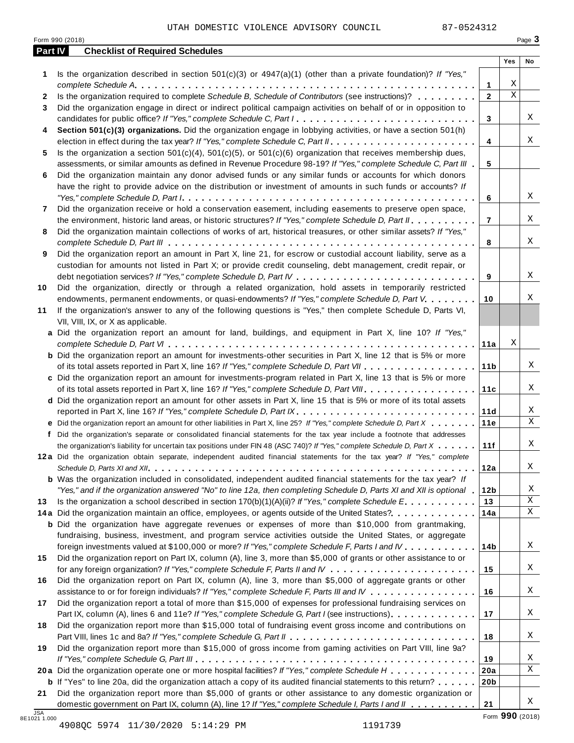| Part IV      | <b>Checklist of Required Schedules</b>                                                                                  |                 |             |    |
|--------------|-------------------------------------------------------------------------------------------------------------------------|-----------------|-------------|----|
|              |                                                                                                                         |                 | Yes         | No |
| 1            | Is the organization described in section $501(c)(3)$ or $4947(a)(1)$ (other than a private foundation)? If "Yes,"       |                 |             |    |
|              |                                                                                                                         | 1               | Χ           |    |
| $\mathbf{2}$ | Is the organization required to complete Schedule B, Schedule of Contributors (see instructions)?                       | $\overline{2}$  | $\mathbf X$ |    |
| 3            | Did the organization engage in direct or indirect political campaign activities on behalf of or in opposition to        |                 |             |    |
|              | candidates for public office? If "Yes," complete Schedule C, Part I.                                                    | 3               |             | Χ  |
| 4            | Section 501(c)(3) organizations. Did the organization engage in lobbying activities, or have a section 501(h)           |                 |             |    |
|              |                                                                                                                         | 4               |             | X  |
| 5            | Is the organization a section $501(c)(4)$ , $501(c)(5)$ , or $501(c)(6)$ organization that receives membership dues,    |                 |             |    |
|              | assessments, or similar amounts as defined in Revenue Procedure 98-19? If "Yes," complete Schedule C, Part III          | 5               |             |    |
| 6            | Did the organization maintain any donor advised funds or any similar funds or accounts for which donors                 |                 |             |    |
|              | have the right to provide advice on the distribution or investment of amounts in such funds or accounts? If             |                 |             |    |
|              |                                                                                                                         | 6               |             | X  |
| 7            | Did the organization receive or hold a conservation easement, including easements to preserve open space,               |                 |             |    |
|              | the environment, historic land areas, or historic structures? If "Yes," complete Schedule D, Part II.                   | $\overline{7}$  |             | Χ  |
| 8            | Did the organization maintain collections of works of art, historical treasures, or other similar assets? If "Yes,"     |                 |             | Χ  |
|              |                                                                                                                         | 8               |             |    |
| 9            | Did the organization report an amount in Part X, line 21, for escrow or custodial account liability, serve as a         |                 |             |    |
|              | custodian for amounts not listed in Part X; or provide credit counseling, debt management, credit repair, or            | 9               |             | X  |
| 10           | Did the organization, directly or through a related organization, hold assets in temporarily restricted                 |                 |             |    |
|              | endowments, permanent endowments, or quasi-endowments? If "Yes," complete Schedule D, Part V.                           | 10              |             | Χ  |
| 11           | If the organization's answer to any of the following questions is "Yes," then complete Schedule D, Parts VI,            |                 |             |    |
|              | VII, VIII, IX, or X as applicable.                                                                                      |                 |             |    |
|              | a Did the organization report an amount for land, buildings, and equipment in Part X, line 10? If "Yes,"                |                 |             |    |
|              |                                                                                                                         | 11a             | Χ           |    |
|              | <b>b</b> Did the organization report an amount for investments-other securities in Part X, line 12 that is 5% or more   |                 |             |    |
|              |                                                                                                                         | 11 <sub>b</sub> |             | Χ  |
|              | c Did the organization report an amount for investments-program related in Part X, line 13 that is 5% or more           |                 |             |    |
|              |                                                                                                                         | 11c             |             | Χ  |
|              | d Did the organization report an amount for other assets in Part X, line 15 that is 5% or more of its total assets      |                 |             |    |
|              | reported in Part X, line 16? If "Yes," complete Schedule D, Part IX.                                                    | 11d             |             | Χ  |
|              | e Did the organization report an amount for other liabilities in Part X, line 25? If "Yes," complete Schedule D, Part X | 11e             |             | X  |
| f            | Did the organization's separate or consolidated financial statements for the tax year include a footnote that addresses |                 |             |    |
|              | the organization's liability for uncertain tax positions under FIN 48 (ASC 740)? If "Yes," complete Schedule D, Part X  | 11f             |             | Χ  |
|              | 12a Did the organization obtain separate, independent audited financial statements for the tax year? If "Yes," complete |                 |             |    |
|              |                                                                                                                         | 12a             |             | Χ  |
|              | <b>b</b> Was the organization included in consolidated, independent audited financial statements for the tax year? If   |                 |             |    |
|              | "Yes," and if the organization answered "No" to line 12a, then completing Schedule D, Parts XI and XII is optional 1    | 12 <sub>b</sub> |             | Χ  |
| 13           | Is the organization a school described in section $170(b)(1)(A)(ii)?$ If "Yes," complete Schedule E.                    | 13              |             | Χ  |
|              | 14a Did the organization maintain an office, employees, or agents outside of the United States?                         | 14a             |             | Χ  |
|              | <b>b</b> Did the organization have aggregate revenues or expenses of more than \$10,000 from grantmaking,               |                 |             |    |
|              | fundraising, business, investment, and program service activities outside the United States, or aggregate               |                 |             |    |
|              | foreign investments valued at \$100,000 or more? If "Yes," complete Schedule F, Parts I and IV                          | 14b             |             | Χ  |
| 15           | Did the organization report on Part IX, column (A), line 3, more than \$5,000 of grants or other assistance to or       |                 |             |    |
|              |                                                                                                                         | 15              |             | Χ  |
| 16           | Did the organization report on Part IX, column (A), line 3, more than \$5,000 of aggregate grants or other              |                 |             |    |
|              | assistance to or for foreign individuals? If "Yes," complete Schedule F, Parts III and IV                               | 16              |             | Χ  |
| 17           | Did the organization report a total of more than \$15,000 of expenses for professional fundraising services on          |                 |             |    |
|              | Part IX, column (A), lines 6 and 11e? If "Yes," complete Schedule G, Part I (see instructions)                          | 17              |             | Χ  |
| 18           | Did the organization report more than \$15,000 total of fundraising event gross income and contributions on             |                 |             |    |
|              |                                                                                                                         | 18              |             | Χ  |
| 19           | Did the organization report more than \$15,000 of gross income from gaming activities on Part VIII, line 9a?            |                 |             |    |
|              |                                                                                                                         | 19              |             | Χ  |
|              | 20a Did the organization operate one or more hospital facilities? If "Yes," complete Schedule H                         | 20a             |             | X  |
|              | <b>b</b> If "Yes" to line 20a, did the organization attach a copy of its audited financial statements to this return?   | 20 <sub>b</sub> |             |    |
|              |                                                                                                                         |                 |             |    |
| 21           | Did the organization report more than \$5,000 of grants or other assistance to any domestic organization or             |                 |             |    |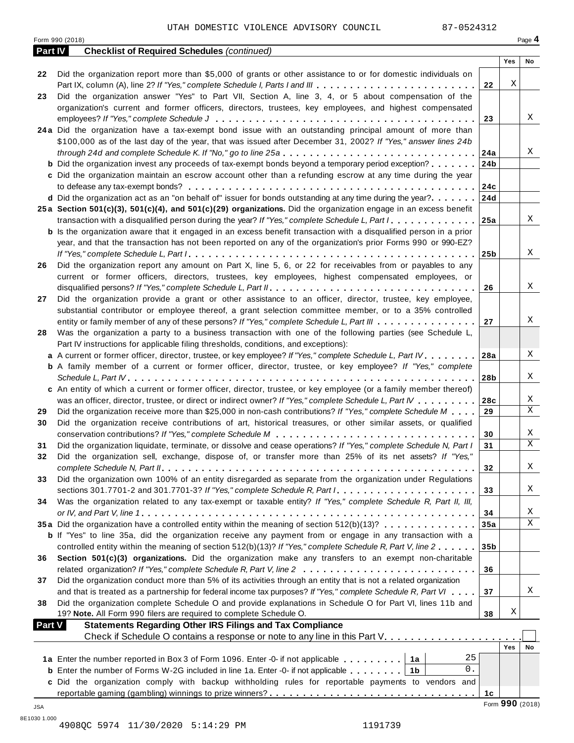Form <sup>990</sup> (2018) Page **4**

| Part IV       | <b>Checklist of Required Schedules (continued)</b>                                                                        |                 |                 |    |
|---------------|---------------------------------------------------------------------------------------------------------------------------|-----------------|-----------------|----|
|               |                                                                                                                           |                 | Yes             | No |
| 22            | Did the organization report more than \$5,000 of grants or other assistance to or for domestic individuals on             |                 |                 |    |
|               |                                                                                                                           | 22              | Χ               |    |
| 23            | Did the organization answer "Yes" to Part VII, Section A, line 3, 4, or 5 about compensation of the                       |                 |                 |    |
|               | organization's current and former officers, directors, trustees, key employees, and highest compensated                   |                 |                 |    |
|               |                                                                                                                           | 23              |                 | X  |
|               | 24a Did the organization have a tax-exempt bond issue with an outstanding principal amount of more than                   |                 |                 |    |
|               | \$100,000 as of the last day of the year, that was issued after December 31, 2002? If "Yes," answer lines 24b             |                 |                 |    |
|               |                                                                                                                           |                 |                 | Χ  |
|               | <b>b</b> Did the organization invest any proceeds of tax-exempt bonds beyond a temporary period exception?                | 24b             |                 |    |
|               | c Did the organization maintain an escrow account other than a refunding escrow at any time during the year               |                 |                 |    |
|               |                                                                                                                           |                 |                 |    |
|               |                                                                                                                           | 24c             |                 |    |
|               | <b>d</b> Did the organization act as an "on behalf of" issuer for bonds outstanding at any time during the year?          | 24d             |                 |    |
|               | 25a Section 501(c)(3), 501(c)(4), and 501(c)(29) organizations. Did the organization engage in an excess benefit          |                 |                 |    |
|               |                                                                                                                           |                 |                 | X  |
|               | <b>b</b> Is the organization aware that it engaged in an excess benefit transaction with a disqualified person in a prior |                 |                 |    |
|               | year, and that the transaction has not been reported on any of the organization's prior Forms 990 or 990-EZ?              |                 |                 |    |
|               |                                                                                                                           | 25b             |                 | X  |
| 26            | Did the organization report any amount on Part X, line 5, 6, or 22 for receivables from or payables to any                |                 |                 |    |
|               | current or former officers, directors, trustees, key employees, highest compensated employees, or                         |                 |                 |    |
|               |                                                                                                                           | 26              |                 | Χ  |
| 27            | Did the organization provide a grant or other assistance to an officer, director, trustee, key employee,                  |                 |                 |    |
|               | substantial contributor or employee thereof, a grant selection committee member, or to a 35% controlled                   |                 |                 |    |
|               | entity or family member of any of these persons? If "Yes," complete Schedule L, Part III                                  | 27              |                 | Χ  |
| 28            | Was the organization a party to a business transaction with one of the following parties (see Schedule L,                 |                 |                 |    |
|               | Part IV instructions for applicable filing thresholds, conditions, and exceptions):                                       |                 |                 |    |
|               | a A current or former officer, director, trustee, or key employee? If "Yes," complete Schedule L, Part IV                 | 28a             |                 | X  |
|               | <b>b</b> A family member of a current or former officer, director, trustee, or key employee? If "Yes," complete           |                 |                 |    |
|               |                                                                                                                           | 28b             |                 | X  |
|               | c An entity of which a current or former officer, director, trustee, or key employee (or a family member thereof)         |                 |                 |    |
|               | was an officer, director, trustee, or direct or indirect owner? If "Yes," complete Schedule L, Part IV                    | 28c             |                 | X  |
| 29            | Did the organization receive more than \$25,000 in non-cash contributions? If "Yes," complete Schedule M                  | 29              |                 | X  |
|               | Did the organization receive contributions of art, historical treasures, or other similar assets, or qualified            |                 |                 |    |
| 30            |                                                                                                                           |                 |                 | Χ  |
|               |                                                                                                                           | 30              |                 | X  |
| 31            | Did the organization liquidate, terminate, or dissolve and cease operations? If "Yes," complete Schedule N, Part I        | 31              |                 |    |
| 32            | Did the organization sell, exchange, dispose of, or transfer more than 25% of its net assets? If "Yes,"                   |                 |                 |    |
|               |                                                                                                                           | 32              |                 | Χ  |
| 33            | Did the organization own 100% of an entity disregarded as separate from the organization under Regulations                |                 |                 |    |
|               |                                                                                                                           | 33              |                 | Χ  |
| 34            | Was the organization related to any tax-exempt or taxable entity? If "Yes," complete Schedule R, Part II, III,            |                 |                 |    |
|               |                                                                                                                           | 34              |                 | X  |
|               | 35a Did the organization have a controlled entity within the meaning of section 512(b)(13)?                               | 35a             |                 | X  |
|               | <b>b</b> If "Yes" to line 35a, did the organization receive any payment from or engage in any transaction with a          |                 |                 |    |
|               | controlled entity within the meaning of section 512(b)(13)? If "Yes," complete Schedule R, Part V, line 2                 | 35 <sub>b</sub> |                 |    |
| 36            | Section 501(c)(3) organizations. Did the organization make any transfers to an exempt non-charitable                      |                 |                 |    |
|               | related organization? If "Yes," complete Schedule R, Part V, line 2                                                       | 36              |                 |    |
| 37            | Did the organization conduct more than 5% of its activities through an entity that is not a related organization          |                 |                 |    |
|               | and that is treated as a partnership for federal income tax purposes? If "Yes," complete Schedule R, Part VI              | 37              |                 | Χ  |
| 38            | Did the organization complete Schedule O and provide explanations in Schedule O for Part VI, lines 11b and                |                 |                 |    |
|               | 19? Note. All Form 990 filers are required to complete Schedule O.                                                        | 38              | Χ               |    |
| <b>Part V</b> | <b>Statements Regarding Other IRS Filings and Tax Compliance</b>                                                          |                 |                 |    |
|               | Check if Schedule O contains a response or note to any line in this Part V.                                               |                 |                 |    |
|               |                                                                                                                           |                 | Yes             | No |
|               | 25<br>1a Enter the number reported in Box 3 of Form 1096. Enter -0- if not applicable   1a                                |                 |                 |    |
|               | 0.<br><b>b</b> Enter the number of Forms W-2G included in line 1a. Enter -0- if not applicable $\ldots \ldots$   1b       |                 |                 |    |
|               | c Did the organization comply with backup withholding rules for reportable payments to vendors and                        |                 |                 |    |
|               |                                                                                                                           | 1 <sub>c</sub>  |                 |    |
|               |                                                                                                                           |                 | Form 990 (2018) |    |
| JSA           |                                                                                                                           |                 |                 |    |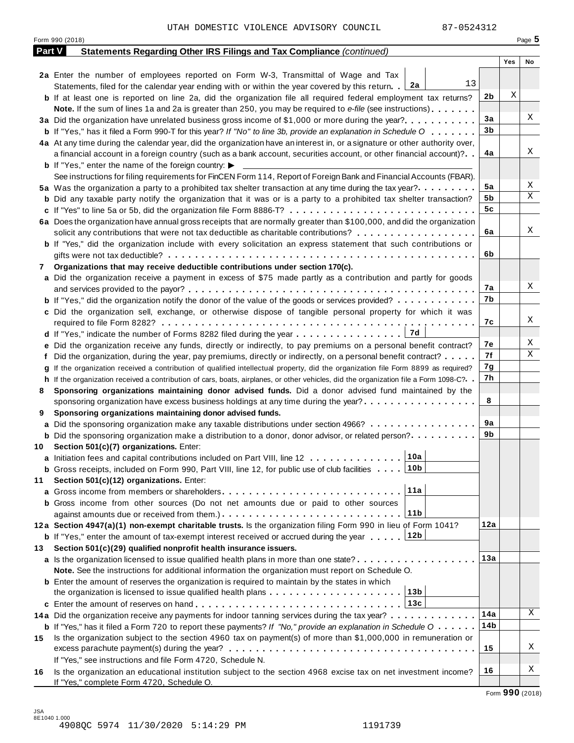|    | Form 990 (2018)                                                                                                                              |     |     | Page 5 |
|----|----------------------------------------------------------------------------------------------------------------------------------------------|-----|-----|--------|
|    | <b>Part V</b><br>Statements Regarding Other IRS Filings and Tax Compliance (continued)                                                       |     |     |        |
|    |                                                                                                                                              |     | Yes | No     |
|    | 2a Enter the number of employees reported on Form W-3, Transmittal of Wage and Tax<br>13                                                     |     |     |        |
|    | Statements, filed for the calendar year ending with or within the year covered by this return. [2a                                           | 2b  | X   |        |
|    | <b>b</b> If at least one is reported on line 2a, did the organization file all required federal employment tax returns?                      |     |     |        |
|    | <b>Note.</b> If the sum of lines 1a and 2a is greater than 250, you may be required to e-file (see instructions).                            | 3a  |     | Χ      |
|    | 3a Did the organization have unrelated business gross income of \$1,000 or more during the year?                                             | 3b  |     |        |
|    | <b>b</b> If "Yes," has it filed a Form 990-T for this year? If "No" to line 3b, provide an explanation in Schedule O                         |     |     |        |
|    | 4a At any time during the calendar year, did the organization have an interest in, or a signature or other authority over,                   | 4a  |     | Χ      |
|    | a financial account in a foreign country (such as a bank account, securities account, or other financial account)?                           |     |     |        |
|    | <b>b</b> If "Yes," enter the name of the foreign country: $\blacktriangleright$                                                              |     |     |        |
|    | See instructions for filing requirements for FinCEN Form 114, Report of Foreign Bank and Financial Accounts (FBAR).                          | 5a  |     | Χ      |
|    | 5a Was the organization a party to a prohibited tax shelter transaction at any time during the tax year?.                                    | 5b  |     | Χ      |
|    | <b>b</b> Did any taxable party notify the organization that it was or is a party to a prohibited tax shelter transaction?                    | 5c  |     |        |
|    | c If "Yes" to line 5a or 5b, did the organization file Form 8886-T?                                                                          |     |     |        |
|    | 6a Does the organization have annual gross receipts that are normally greater than \$100,000, and did the organization                       |     |     | Χ      |
|    | solicit any contributions that were not tax deductible as charitable contributions?                                                          | 6a  |     |        |
|    | <b>b</b> If "Yes," did the organization include with every solicitation an express statement that such contributions or                      |     |     |        |
|    |                                                                                                                                              | 6b  |     |        |
| 7  | Organizations that may receive deductible contributions under section 170(c).                                                                |     |     |        |
|    | a Did the organization receive a payment in excess of \$75 made partly as a contribution and partly for goods                                |     |     |        |
|    |                                                                                                                                              | 7а  |     | Χ      |
|    | <b>b</b> If "Yes," did the organization notify the donor of the value of the goods or services provided?                                     | 7b  |     |        |
|    | c Did the organization sell, exchange, or otherwise dispose of tangible personal property for which it was                                   |     |     |        |
|    |                                                                                                                                              | 7c  |     | Χ      |
|    | d If "Yes," indicate the number of Forms 8282 filed during the year 7d                                                                       |     |     |        |
|    | e Did the organization receive any funds, directly or indirectly, to pay premiums on a personal benefit contract?                            | 7e  |     | Χ      |
|    | Did the organization, during the year, pay premiums, directly or indirectly, on a personal benefit contract?                                 | 7f  |     | Χ      |
|    | If the organization received a contribution of qualified intellectual property, did the organization file Form 8899 as required?             | 7g  |     |        |
|    | h If the organization received a contribution of cars, boats, airplanes, or other vehicles, did the organization file a Form 1098-C?         | 7h  |     |        |
| 8  | Sponsoring organizations maintaining donor advised funds. Did a donor advised fund maintained by the                                         |     |     |        |
|    | sponsoring organization have excess business holdings at any time during the year?                                                           | 8   |     |        |
| 9  | Sponsoring organizations maintaining donor advised funds.                                                                                    |     |     |        |
|    | a Did the sponsoring organization make any taxable distributions under section 4966?                                                         | 9a  |     |        |
|    | <b>b</b> Did the sponsoring organization make a distribution to a donor, donor advisor, or related person?                                   | 9b  |     |        |
|    | 10 Section 501(c)(7) organizations. Enter:                                                                                                   |     |     |        |
|    | 10a <br>a Initiation fees and capital contributions included on Part VIII, line 12                                                           |     |     |        |
|    | <b>b</b> Gross receipts, included on Form 990, Part VIII, line 12, for public use of club facilities 10b                                     |     |     |        |
| 11 | Section 501(c)(12) organizations. Enter:                                                                                                     |     |     |        |
|    | 11a                                                                                                                                          |     |     |        |
|    | b Gross income from other sources (Do not net amounts due or paid to other sources                                                           |     |     |        |
|    | 11 <sub>b</sub>                                                                                                                              |     |     |        |
|    | 12a Section 4947(a)(1) non-exempt charitable trusts. Is the organization filing Form 990 in lieu of Form 1041?                               | 12a |     |        |
|    | 12b<br><b>b</b> If "Yes," enter the amount of tax-exempt interest received or accrued during the year                                        |     |     |        |
| 13 | Section 501(c)(29) qualified nonprofit health insurance issuers.                                                                             |     |     |        |
|    | a Is the organization licensed to issue qualified health plans in more than one state?                                                       | 13а |     |        |
|    | Note. See the instructions for additional information the organization must report on Schedule O.                                            |     |     |        |
|    | <b>b</b> Enter the amount of reserves the organization is required to maintain by the states in which                                        |     |     |        |
|    | 13b<br>the organization is licensed to issue qualified health plans $\ldots \ldots \ldots \ldots \ldots \ldots \ldots$                       |     |     |        |
|    | 13c                                                                                                                                          |     |     |        |
|    | 14a Did the organization receive any payments for indoor tanning services during the tax year?                                               | 14a |     | Χ      |
|    | <b>b</b> If "Yes," has it filed a Form 720 to report these payments? If "No," provide an explanation in Schedule $0 \cdot \cdot \cdot \cdot$ | 14b |     |        |
|    | Is the organization subject to the section 4960 tax on payment(s) of more than \$1,000,000 in remuneration or                                |     |     |        |
| 15 |                                                                                                                                              | 15  |     | Χ      |
|    |                                                                                                                                              |     |     |        |
|    | If "Yes," see instructions and file Form 4720, Schedule N.                                                                                   |     |     | Χ      |
| 16 | Is the organization an educational institution subject to the section 4968 excise tax on net investment income?                              | 16  |     |        |

JSA 8E1040 1.000 4908QC 5974 11/30/2020 5:14:29 PM 1191739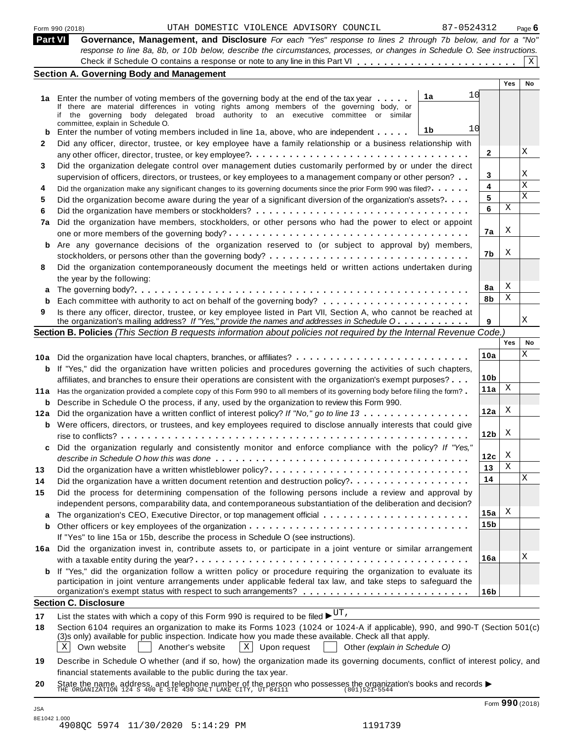| Form 990 (2018) |  |  |
|-----------------|--|--|
|                 |  |  |

| Part VI Governance, Management, and Disclosure For each "Yes" response to lines 2 through 7b below, and for a "No"        |
|---------------------------------------------------------------------------------------------------------------------------|
| response to line 8a, 8b, or 10b below, describe the circumstances, processes, or changes in Schedule O. See instructions. |
|                                                                                                                           |
| Section A. Coverning Body and Managament                                                                                  |

|          | Section A. Governing Body and Management                                                                                                                                                                                                                                                 |                 |     |             |
|----------|------------------------------------------------------------------------------------------------------------------------------------------------------------------------------------------------------------------------------------------------------------------------------------------|-----------------|-----|-------------|
|          |                                                                                                                                                                                                                                                                                          |                 | Yes | No          |
|          | 10<br>1a<br>1a Enter the number of voting members of the governing body at the end of the tax year<br>If there are material differences in voting rights among members of the governing body, or<br>if the governing body delegated broad authority to an executive committee or similar |                 |     |             |
| b        | committee, explain in Schedule O.<br>10<br>1b<br>Enter the number of voting members included in line 1a, above, who are independent                                                                                                                                                      |                 |     |             |
| 2        | Did any officer, director, trustee, or key employee have a family relationship or a business relationship with                                                                                                                                                                           |                 |     |             |
|          |                                                                                                                                                                                                                                                                                          | $\mathbf{2}$    |     | Χ           |
| 3        | Did the organization delegate control over management duties customarily performed by or under the direct                                                                                                                                                                                |                 |     |             |
|          | supervision of officers, directors, or trustees, or key employees to a management company or other person?                                                                                                                                                                               | 3               |     | Χ           |
| 4        | Did the organization make any significant changes to its governing documents since the prior Form 990 was filed?                                                                                                                                                                         | 4               |     | $\mathbf X$ |
| 5        | Did the organization become aware during the year of a significant diversion of the organization's assets?                                                                                                                                                                               | 5               |     | $\mathbf x$ |
| 6        |                                                                                                                                                                                                                                                                                          | 6               | Χ   |             |
|          | Did the organization have members, stockholders, or other persons who had the power to elect or appoint                                                                                                                                                                                  |                 |     |             |
| 7a       |                                                                                                                                                                                                                                                                                          | 7a              | Χ   |             |
|          |                                                                                                                                                                                                                                                                                          |                 |     |             |
| b        | Are any governance decisions of the organization reserved to (or subject to approval by) members,                                                                                                                                                                                        | 7b              | Χ   |             |
|          |                                                                                                                                                                                                                                                                                          |                 |     |             |
| 8        | Did the organization contemporaneously document the meetings held or written actions undertaken during                                                                                                                                                                                   |                 |     |             |
|          | the year by the following:                                                                                                                                                                                                                                                               | 8а              | Χ   |             |
| a        |                                                                                                                                                                                                                                                                                          | 8b              | Χ   |             |
| b        |                                                                                                                                                                                                                                                                                          |                 |     |             |
| 9        | Is there any officer, director, trustee, or key employee listed in Part VII, Section A, who cannot be reached at<br>the organization's mailing address? If "Yes," provide the names and addresses in Schedule O                                                                          | 9               |     | Χ           |
|          | Section B. Policies (This Section B requests information about policies not required by the Internal Revenue Code.)                                                                                                                                                                      |                 |     |             |
|          |                                                                                                                                                                                                                                                                                          |                 | Yes | No          |
|          |                                                                                                                                                                                                                                                                                          |                 |     | Χ           |
|          |                                                                                                                                                                                                                                                                                          | 10a             |     |             |
|          | <b>b</b> If "Yes," did the organization have written policies and procedures governing the activities of such chapters,                                                                                                                                                                  |                 |     |             |
|          | affiliates, and branches to ensure their operations are consistent with the organization's exempt purposes?                                                                                                                                                                              | 10 <sub>b</sub> | Χ   |             |
|          | 11a Has the organization provided a complete copy of this Form 990 to all members of its governing body before filing the form?                                                                                                                                                          | 11a             |     |             |
| b        | Describe in Schedule O the process, if any, used by the organization to review this Form 990.                                                                                                                                                                                            |                 |     |             |
| 12a      | Did the organization have a written conflict of interest policy? If "No," go to line 13                                                                                                                                                                                                  | 12a             | Χ   |             |
| b        | Were officers, directors, or trustees, and key employees required to disclose annually interests that could give                                                                                                                                                                         |                 |     |             |
|          |                                                                                                                                                                                                                                                                                          | 12 <sub>b</sub> | Χ   |             |
| c        | Did the organization regularly and consistently monitor and enforce compliance with the policy? If "Yes,"                                                                                                                                                                                |                 |     |             |
|          |                                                                                                                                                                                                                                                                                          | 12c             | X   |             |
| 13       |                                                                                                                                                                                                                                                                                          | 13              | Χ   |             |
| 14       | Did the organization have a written document retention and destruction policy?                                                                                                                                                                                                           | 14              |     | Χ           |
| 15       | Did the process for determining compensation of the following persons include a review and approval by                                                                                                                                                                                   |                 |     |             |
|          |                                                                                                                                                                                                                                                                                          |                 |     |             |
|          | independent persons, comparability data, and contemporaneous substantiation of the deliberation and decision?                                                                                                                                                                            |                 | X   |             |
| a        |                                                                                                                                                                                                                                                                                          | 15a             |     |             |
| b        |                                                                                                                                                                                                                                                                                          | 15 <sub>b</sub> |     |             |
|          | If "Yes" to line 15a or 15b, describe the process in Schedule O (see instructions).                                                                                                                                                                                                      |                 |     |             |
|          | 16a Did the organization invest in, contribute assets to, or participate in a joint venture or similar arrangement                                                                                                                                                                       |                 |     |             |
|          |                                                                                                                                                                                                                                                                                          | 16a             |     | Χ           |
| b        | If "Yes," did the organization follow a written policy or procedure requiring the organization to evaluate its                                                                                                                                                                           |                 |     |             |
|          | participation in joint venture arrangements under applicable federal tax law, and take steps to safeguard the                                                                                                                                                                            |                 |     |             |
|          |                                                                                                                                                                                                                                                                                          | 16b             |     |             |
|          | <b>Section C. Disclosure</b>                                                                                                                                                                                                                                                             |                 |     |             |
|          |                                                                                                                                                                                                                                                                                          |                 |     |             |
|          | List the states with which a copy of this Form 990 is required to be filed $\blacktriangleright^{\text{UT}}$ .<br>Section 6104 requires an organization to make its Forms 1023 (1024 or 1024-A if applicable), 990, and 990-T (Section 501(c)                                            |                 |     |             |
| 17<br>18 | (3)s only) available for public inspection. Indicate how you made these available. Check all that apply.<br>Own website<br>Another's website<br>$X \mid$ Upon request $\mid$ Other (explain in Schedule O)                                                                               |                 |     |             |

**<sup>19</sup>** Describe in Schedule O whether (and if so, how) the organization made its governing documents, conflict of interest policy, and financial statements available to the public during the tax year.

**<sup>20</sup>** Inflaticial statements available to the public during the tax year.<br>State the name, address, and telephone number of the person who possesses the organization's books and records <br>THE ORGANIZATION 124 S 400 E STE 430 SALT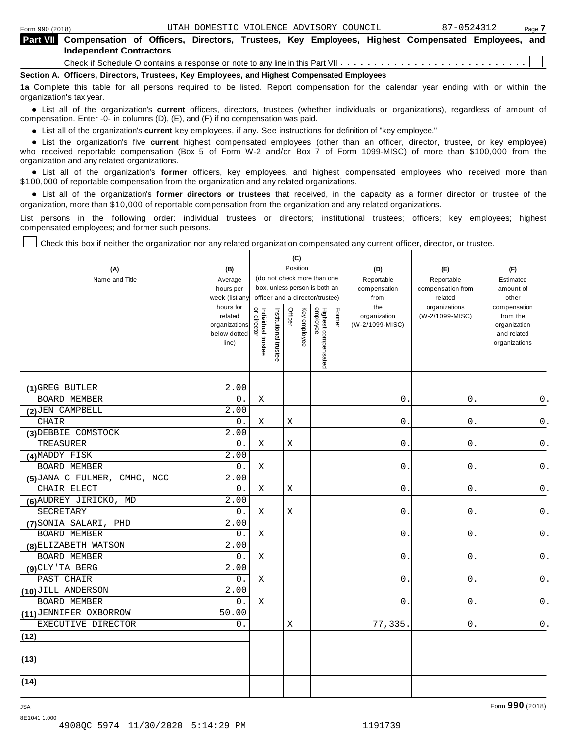| <b>Part VII</b> Compensation of Officers, Directors, Trustees, Key Employees, Highest Compensated Employees, and                  |                                |  |  |  |  |  |  |  |  |
|-----------------------------------------------------------------------------------------------------------------------------------|--------------------------------|--|--|--|--|--|--|--|--|
|                                                                                                                                   | <b>Independent Contractors</b> |  |  |  |  |  |  |  |  |
|                                                                                                                                   |                                |  |  |  |  |  |  |  |  |
| Section A. Officers, Directors, Trustees, Key Employees, and Highest Compensated Employees                                        |                                |  |  |  |  |  |  |  |  |
| 1a Complete this table for all persons required to be listed. Report compensation for the calendar year ending with or within the |                                |  |  |  |  |  |  |  |  |

organization's tax year.

anization's lax year.<br>● List all of the organization's **current** officers, directors, trustees (whether individuals or organizations), regardless of amount of<br>nnensation Enter -0- in columns (D) (E) and (E) if no compensa compensation. Enter -0- in columns (D), (E), and (F) if no compensation was paid.

• List all of the organization's **current** key employees, if any. See instructions for definition of "key employee."<br>● List the experientials five expect highest expressed explores (other than an efficer director of

**Example in the organization's current** key employees, if any. See instructions for definition of key employee.<br>• List the organization's five **current** highest compensated employees (other than an officer, director, trust who received reportable compensation (Box 5 of Form W-2 and/or Box 7 of Form 1099-MISC) of more than \$100,000 from the

organization and any related organizations.<br>• List all of the organization's **former** officers, key employees, and highest compensated employees who received more than<br>\$1.00.000 of reportable componention from the erganiza \$100,000 of reportable compensation from the organization and any related organizations.

% List all of the organization's **former directors or trustees** that received, in the capacity as a former director or trustee of the organization, more than \$10,000 of reportable compensation from the organization and any related organizations.

List persons in the following order: individual trustees or directors; institutional trustees; officers; key employees; highest compensated employees; and former such persons.

Check this box if neither the organization nor any related organization compensated any current officer, director, or trustee.

|                              |                             |                                   |                       | (C)     |              |                                                                  |        |                      |                              |                              |
|------------------------------|-----------------------------|-----------------------------------|-----------------------|---------|--------------|------------------------------------------------------------------|--------|----------------------|------------------------------|------------------------------|
| (A)                          | (B)                         |                                   |                       |         | Position     |                                                                  |        | (D)                  | (E)                          | (F)                          |
| Name and Title               | Average                     |                                   |                       |         |              | (do not check more than one                                      |        | Reportable           | Reportable                   | Estimated                    |
|                              | hours per                   |                                   |                       |         |              | box, unless person is both an<br>officer and a director/trustee) |        | compensation<br>from | compensation from<br>related | amount of<br>other           |
|                              | week (list any<br>hours for |                                   |                       |         |              |                                                                  |        | the                  | organizations                | compensation                 |
|                              | related                     | Individual trustee<br>or director | Institutional trustee | Officer | Key employee |                                                                  | Former | organization         | (W-2/1099-MISC)              | from the                     |
|                              | organizations               |                                   |                       |         |              |                                                                  |        | (W-2/1099-MISC)      |                              | organization                 |
|                              | below dotted<br>line)       |                                   |                       |         |              |                                                                  |        |                      |                              | and related<br>organizations |
|                              |                             |                                   |                       |         |              |                                                                  |        |                      |                              |                              |
|                              |                             |                                   |                       |         |              | Highest compensated<br>employee                                  |        |                      |                              |                              |
|                              |                             |                                   |                       |         |              |                                                                  |        |                      |                              |                              |
| (1) GREG BUTLER              | 2.00                        |                                   |                       |         |              |                                                                  |        |                      |                              |                              |
| <b>BOARD MEMBER</b>          | $0$ .                       | Χ                                 |                       |         |              |                                                                  |        | $0$ .                | 0.                           | 0.                           |
| (2) JEN CAMPBELL             | 2.00                        |                                   |                       |         |              |                                                                  |        |                      |                              |                              |
| CHAIR                        | 0.                          | Χ                                 |                       | Χ       |              |                                                                  |        | $0$ .                | $0$ .                        | $0$ .                        |
| (3) DEBBIE COMSTOCK          | 2.00                        |                                   |                       |         |              |                                                                  |        |                      |                              |                              |
| TREASURER                    | 0.                          | Χ                                 |                       | Χ       |              |                                                                  |        | $0$ .                | 0.                           | $\mathsf 0$ .                |
| (4) MADDY FISK               | 2.00                        |                                   |                       |         |              |                                                                  |        |                      |                              |                              |
| BOARD MEMBER                 | $0$ .                       | Χ                                 |                       |         |              |                                                                  |        | $0$ .                | $0$ .                        | $\mathsf 0$ .                |
| (5) JANA C FULMER, CMHC, NCC | 2.00                        |                                   |                       |         |              |                                                                  |        |                      |                              |                              |
| CHAIR ELECT                  | 0.                          | Χ                                 |                       | Χ       |              |                                                                  |        | 0.                   | 0.                           | 0.                           |
| (6) AUDREY JIRICKO, MD       | 2.00                        |                                   |                       |         |              |                                                                  |        |                      |                              |                              |
| <b>SECRETARY</b>             | 0.                          | Χ                                 |                       | Χ       |              |                                                                  |        | 0.                   | 0.                           | 0.                           |
| (7) SONIA SALARI, PHD        | 2.00                        |                                   |                       |         |              |                                                                  |        |                      |                              |                              |
| BOARD MEMBER                 | 0.                          | Χ                                 |                       |         |              |                                                                  |        | $0$ .                | 0.                           | 0.                           |
| (8) ELIZABETH WATSON         | 2.00                        |                                   |                       |         |              |                                                                  |        |                      |                              |                              |
| <b>BOARD MEMBER</b>          | 0.                          | Χ                                 |                       |         |              |                                                                  |        | $0$ .                | 0.                           | 0.                           |
| (9) CLY'TA BERG              | 2.00                        |                                   |                       |         |              |                                                                  |        |                      |                              |                              |
| PAST CHAIR                   | 0.                          | Χ                                 |                       |         |              |                                                                  |        | 0.                   | 0.                           | 0.                           |
| (10) JILL ANDERSON           | 2.00                        |                                   |                       |         |              |                                                                  |        |                      |                              |                              |
| <b>BOARD MEMBER</b>          | 0.                          | X                                 |                       |         |              |                                                                  |        | 0.                   | $0$ .                        | 0.                           |
| (11) JENNIFER OXBORROW       | 50.00                       |                                   |                       |         |              |                                                                  |        |                      |                              |                              |
| EXECUTIVE DIRECTOR           | 0.                          |                                   |                       | Χ       |              |                                                                  |        | 77,335.              | $0$ .                        | $0$ .                        |
| (12)                         |                             |                                   |                       |         |              |                                                                  |        |                      |                              |                              |
| (13)                         |                             |                                   |                       |         |              |                                                                  |        |                      |                              |                              |
| (14)                         |                             |                                   |                       |         |              |                                                                  |        |                      |                              |                              |
|                              |                             |                                   |                       |         |              |                                                                  |        |                      |                              |                              |

8E1041 1.000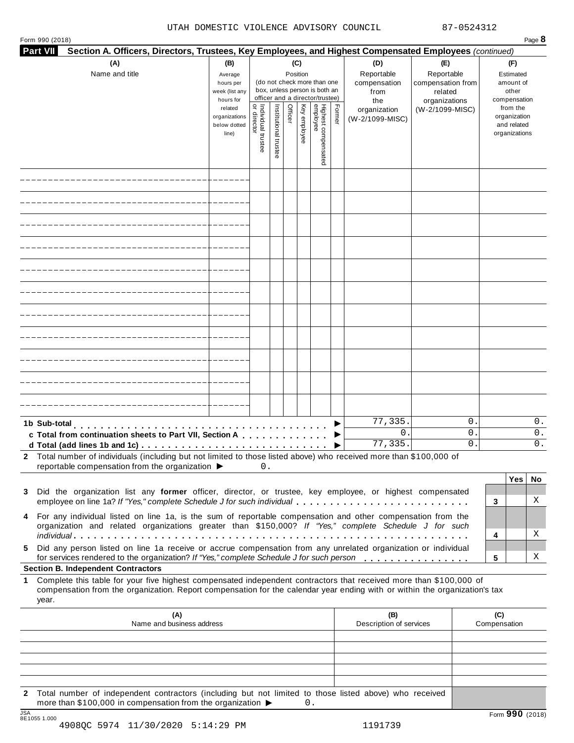| <b>Part VII</b><br>Section A. Officers, Directors, Trustees, Key Employees, and Highest Compensated Employees (continued)                                                                                                                                       |                                                   |                                   |                       |                 |              |                                                                                                 |        |                                 |                                               |                     |                                                          |                |
|-----------------------------------------------------------------------------------------------------------------------------------------------------------------------------------------------------------------------------------------------------------------|---------------------------------------------------|-----------------------------------|-----------------------|-----------------|--------------|-------------------------------------------------------------------------------------------------|--------|---------------------------------|-----------------------------------------------|---------------------|----------------------------------------------------------|----------------|
| (A)<br>Name and title                                                                                                                                                                                                                                           | (B)<br>Average                                    |                                   |                       | (C)<br>Position |              |                                                                                                 |        | (D)<br>Reportable               | (E)<br>Reportable                             |                     | (F)<br>Estimated                                         |                |
|                                                                                                                                                                                                                                                                 | hours per<br>week (list any<br>hours for          |                                   |                       |                 |              | (do not check more than one<br>box, unless person is both an<br>officer and a director/trustee) |        | compensation<br>from<br>the     | compensation from<br>related<br>organizations |                     | amount of<br>other<br>compensation                       |                |
|                                                                                                                                                                                                                                                                 | related<br>organizations<br>below dotted<br>line) | Individual trustee<br>or director | Institutional trustee | Officer         | Key employee | Highest compensate<br>employee                                                                  | Former | organization<br>(W-2/1099-MISC) | (W-2/1099-MISC)                               |                     | from the<br>organization<br>and related<br>organizations |                |
|                                                                                                                                                                                                                                                                 |                                                   |                                   |                       |                 |              |                                                                                                 |        |                                 |                                               |                     |                                                          |                |
|                                                                                                                                                                                                                                                                 |                                                   |                                   |                       |                 |              |                                                                                                 |        |                                 |                                               |                     |                                                          |                |
|                                                                                                                                                                                                                                                                 |                                                   |                                   |                       |                 |              |                                                                                                 |        |                                 |                                               |                     |                                                          |                |
|                                                                                                                                                                                                                                                                 |                                                   |                                   |                       |                 |              |                                                                                                 |        |                                 |                                               |                     |                                                          |                |
|                                                                                                                                                                                                                                                                 |                                                   |                                   |                       |                 |              |                                                                                                 |        |                                 |                                               |                     |                                                          |                |
|                                                                                                                                                                                                                                                                 |                                                   |                                   |                       |                 |              |                                                                                                 |        |                                 |                                               |                     |                                                          |                |
|                                                                                                                                                                                                                                                                 |                                                   |                                   |                       |                 |              |                                                                                                 |        |                                 |                                               |                     |                                                          |                |
|                                                                                                                                                                                                                                                                 |                                                   |                                   |                       |                 |              |                                                                                                 |        |                                 |                                               |                     |                                                          |                |
|                                                                                                                                                                                                                                                                 |                                                   |                                   |                       |                 |              |                                                                                                 |        |                                 |                                               |                     |                                                          |                |
|                                                                                                                                                                                                                                                                 |                                                   |                                   |                       |                 |              |                                                                                                 |        |                                 |                                               |                     |                                                          |                |
|                                                                                                                                                                                                                                                                 |                                                   |                                   |                       |                 |              |                                                                                                 |        |                                 |                                               |                     |                                                          |                |
| 1b Sub-total<br>c Total from continuation sheets to Part VII, Section A                                                                                                                                                                                         |                                                   |                                   |                       |                 |              |                                                                                                 |        | 77,335.<br>0<br>77,335.         | 0.<br>0.<br>0.                                |                     |                                                          | 0.<br>0.<br>0. |
| 2 Total number of individuals (including but not limited to those listed above) who received more than \$100,000 of<br>reportable compensation from the organization ▶                                                                                          |                                                   | 0.                                |                       |                 |              |                                                                                                 |        |                                 |                                               |                     |                                                          |                |
| Did the organization list any former officer, director, or trustee, key employee, or highest compensated<br>3                                                                                                                                                   |                                                   |                                   |                       |                 |              |                                                                                                 |        |                                 |                                               |                     | Yes                                                      | No             |
| employee on line 1a? If "Yes," complete Schedule J for such individual<br>4 For any individual listed on line 1a, is the sum of reportable compensation and other compensation from the                                                                         |                                                   |                                   |                       |                 |              |                                                                                                 |        |                                 |                                               | 3                   |                                                          | Χ              |
| organization and related organizations greater than \$150,000? If "Yes," complete Schedule J for such                                                                                                                                                           |                                                   |                                   |                       |                 |              |                                                                                                 |        |                                 |                                               | 4                   |                                                          | Χ              |
| Did any person listed on line 1a receive or accrue compensation from any unrelated organization or individual<br>5.<br>for services rendered to the organization? If "Yes," complete Schedule J for such person                                                 |                                                   |                                   |                       |                 |              |                                                                                                 |        |                                 |                                               | 5                   |                                                          | X              |
| <b>Section B. Independent Contractors</b>                                                                                                                                                                                                                       |                                                   |                                   |                       |                 |              |                                                                                                 |        |                                 |                                               |                     |                                                          |                |
| Complete this table for your five highest compensated independent contractors that received more than \$100,000 of<br>1.<br>compensation from the organization. Report compensation for the calendar year ending with or within the organization's tax<br>year. |                                                   |                                   |                       |                 |              |                                                                                                 |        |                                 |                                               |                     |                                                          |                |
| (A)<br>Name and business address                                                                                                                                                                                                                                |                                                   |                                   |                       |                 |              |                                                                                                 |        | (B)<br>Description of services  |                                               | (C)<br>Compensation |                                                          |                |
|                                                                                                                                                                                                                                                                 |                                                   |                                   |                       |                 |              |                                                                                                 |        |                                 |                                               |                     |                                                          |                |
|                                                                                                                                                                                                                                                                 |                                                   |                                   |                       |                 |              |                                                                                                 |        |                                 |                                               |                     |                                                          |                |
| Total number of independent contractors (including but not limited to those listed above) who received<br>$\mathbf{2}$                                                                                                                                          |                                                   |                                   |                       |                 |              |                                                                                                 |        |                                 |                                               |                     |                                                          |                |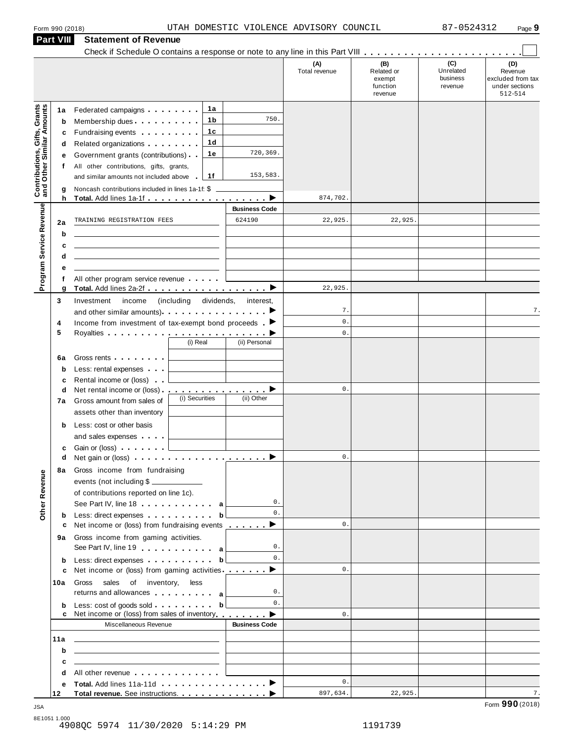|                                                                  | <b>Part VIII</b> | <b>Statement of Revenue</b>                                                                                                                                                                                                          |                                 |                          |                      |                                                    |                                         |                                                                  |
|------------------------------------------------------------------|------------------|--------------------------------------------------------------------------------------------------------------------------------------------------------------------------------------------------------------------------------------|---------------------------------|--------------------------|----------------------|----------------------------------------------------|-----------------------------------------|------------------------------------------------------------------|
|                                                                  |                  |                                                                                                                                                                                                                                      |                                 |                          | (A)<br>Total revenue | (B)<br>Related or<br>exempt<br>function<br>revenue | (C)<br>Unrelated<br>business<br>revenue | (D)<br>Revenue<br>excluded from tax<br>under sections<br>512-514 |
|                                                                  | 1a               | Federated campaigns <b>Federated</b>                                                                                                                                                                                                 | 1a                              |                          |                      |                                                    |                                         |                                                                  |
|                                                                  | b                | Membership dues                                                                                                                                                                                                                      | 1b                              | 750.                     |                      |                                                    |                                         |                                                                  |
|                                                                  | c                | Fundraising events <b>Fundraising</b>                                                                                                                                                                                                | 1c                              |                          |                      |                                                    |                                         |                                                                  |
|                                                                  | d                | Related organizations <b>and the set of the set of the set of the set of the set of the set of the set of the set of the set of the set of the set of the set of the set of the set of the set of the set of the set of the set </b> | 1 <sub>d</sub>                  |                          |                      |                                                    |                                         |                                                                  |
|                                                                  | е                | Government grants (contributions)                                                                                                                                                                                                    | 1е                              | 720,369.                 |                      |                                                    |                                         |                                                                  |
|                                                                  | f                | All other contributions, gifts, grants,                                                                                                                                                                                              |                                 |                          |                      |                                                    |                                         |                                                                  |
| <b>Contributions, Gifts, Grants</b><br>and Other Similar Amounts |                  | and similar amounts not included above                                                                                                                                                                                               | 1f                              | 153,583.                 |                      |                                                    |                                         |                                                                  |
|                                                                  | g<br>h           | Noncash contributions included in lines 1a-1f: \$                                                                                                                                                                                    |                                 |                          | 874,702.             |                                                    |                                         |                                                                  |
|                                                                  |                  |                                                                                                                                                                                                                                      |                                 | <b>Business Code</b>     |                      |                                                    |                                         |                                                                  |
|                                                                  | 2a               | TRAINING REGISTRATION FEES                                                                                                                                                                                                           |                                 | 624190                   | 22,925.              | 22,925.                                            |                                         |                                                                  |
| Program Service Revenue                                          | b                |                                                                                                                                                                                                                                      |                                 |                          |                      |                                                    |                                         |                                                                  |
|                                                                  | c                |                                                                                                                                                                                                                                      |                                 |                          |                      |                                                    |                                         |                                                                  |
|                                                                  | d                | the control of the control of the control of the control of the control of                                                                                                                                                           |                                 |                          |                      |                                                    |                                         |                                                                  |
|                                                                  | е                |                                                                                                                                                                                                                                      |                                 |                          |                      |                                                    |                                         |                                                                  |
|                                                                  | f                | All other program service revenue                                                                                                                                                                                                    |                                 |                          |                      |                                                    |                                         |                                                                  |
|                                                                  | g                |                                                                                                                                                                                                                                      |                                 |                          | 22,925.              |                                                    |                                         |                                                                  |
|                                                                  | 3                | Investment<br>income<br>and other similar amounts). $\cdots$ $\cdots$ $\cdots$ $\cdots$                                                                                                                                              | (including dividends, interest, |                          | 7.                   |                                                    |                                         | 7.                                                               |
|                                                                  | 4                | Income from investment of tax-exempt bond proceeds $\blacktriangleright$                                                                                                                                                             |                                 |                          | $\mathbf{0}$ .       |                                                    |                                         |                                                                  |
|                                                                  | 5                |                                                                                                                                                                                                                                      |                                 |                          | $\mathbf{0}$ .       |                                                    |                                         |                                                                  |
|                                                                  |                  |                                                                                                                                                                                                                                      | (i) Real                        | (ii) Personal            |                      |                                                    |                                         |                                                                  |
|                                                                  | 6a               | Gross rents                                                                                                                                                                                                                          |                                 |                          |                      |                                                    |                                         |                                                                  |
|                                                                  | b                | Less: rental expenses                                                                                                                                                                                                                |                                 |                          |                      |                                                    |                                         |                                                                  |
|                                                                  | c                | Rental income or (loss)                                                                                                                                                                                                              |                                 |                          |                      |                                                    |                                         |                                                                  |
|                                                                  | d                | Net rental income or (loss).                                                                                                                                                                                                         | (i) Securities                  | <u>.</u> ><br>(ii) Other | $\mathbf{0}$ .       |                                                    |                                         |                                                                  |
|                                                                  | 7a               | Gross amount from sales of                                                                                                                                                                                                           |                                 |                          |                      |                                                    |                                         |                                                                  |
|                                                                  |                  | assets other than inventory                                                                                                                                                                                                          |                                 |                          |                      |                                                    |                                         |                                                                  |
|                                                                  | b                | Less: cost or other basis                                                                                                                                                                                                            |                                 |                          |                      |                                                    |                                         |                                                                  |
|                                                                  | c                | and sales expenses<br>Gain or (loss)                                                                                                                                                                                                 |                                 |                          |                      |                                                    |                                         |                                                                  |
|                                                                  | d                |                                                                                                                                                                                                                                      |                                 |                          | $0$ .                |                                                    |                                         |                                                                  |
|                                                                  |                  | 8a Gross income from fundraising                                                                                                                                                                                                     |                                 |                          |                      |                                                    |                                         |                                                                  |
| Other Revenue                                                    |                  | events (not including \$                                                                                                                                                                                                             |                                 |                          |                      |                                                    |                                         |                                                                  |
|                                                                  |                  | of contributions reported on line 1c).                                                                                                                                                                                               |                                 |                          |                      |                                                    |                                         |                                                                  |
|                                                                  |                  | See Part IV, line 18 $\ldots$ $\ldots$ $\ldots$ a                                                                                                                                                                                    |                                 | $0$ .                    |                      |                                                    |                                         |                                                                  |
|                                                                  | b                | Less: direct expenses b                                                                                                                                                                                                              |                                 | $\mathbf{0}$ .           | $\mathbf{0}$ .       |                                                    |                                         |                                                                  |
|                                                                  | с                | Net income or (loss) from fundraising events _________▶                                                                                                                                                                              |                                 |                          |                      |                                                    |                                         |                                                                  |
|                                                                  |                  | 9a Gross income from gaming activities.<br>See Part IV, line 19 and a later with a                                                                                                                                                   |                                 | 0.                       |                      |                                                    |                                         |                                                                  |
|                                                                  | b                | Less: direct expenses b                                                                                                                                                                                                              |                                 | $\mathbf{0}$ .           |                      |                                                    |                                         |                                                                  |
|                                                                  | c                | Net income or (loss) from gaming activities __________▶                                                                                                                                                                              |                                 |                          | 0.                   |                                                    |                                         |                                                                  |
|                                                                  | 10a              | Gross sales of inventory, less                                                                                                                                                                                                       |                                 |                          |                      |                                                    |                                         |                                                                  |
|                                                                  |                  | returns and allowances and all a                                                                                                                                                                                                     |                                 | 0.                       |                      |                                                    |                                         |                                                                  |
|                                                                  | b                | Less: $cost$ of goods sold $\ldots$ , $\ldots$ , $\mathbf{b}$<br>Net income or (loss) from sales of inventory <b>come of the D</b>                                                                                                   |                                 | $\mathbf{0}$ .           | 0.                   |                                                    |                                         |                                                                  |
|                                                                  |                  | Miscellaneous Revenue                                                                                                                                                                                                                |                                 | <b>Business Code</b>     |                      |                                                    |                                         |                                                                  |
|                                                                  | 11a              | <u> 1989 - John Harry Harry Harry Harry Harry Harry Harry Harry Harry Harry Harry Harry Harry Harry Harry Harry Harry Harry Harry Harry Harry Harry Harry Harry Harry Harry Harry Harry Harry Harry Harry Harry Harry Harry Harr</u> |                                 |                          |                      |                                                    |                                         |                                                                  |
|                                                                  | b                | <u> 1989 - Johann Harry Barn, mars and de Branch and de Branch and de Branch and de Branch and de Branch and de B</u>                                                                                                                |                                 |                          |                      |                                                    |                                         |                                                                  |
|                                                                  | C                | <u> 1989 - John Stein, Amerikaansk politiker (</u>                                                                                                                                                                                   |                                 |                          |                      |                                                    |                                         |                                                                  |
|                                                                  | d                | All other revenue experience and the set of the set of the set of the set of the set of the set of the set of the set of the set of the set of the set of the set of the set of the set of the set of the set of the set of th       |                                 |                          |                      |                                                    |                                         |                                                                  |
|                                                                  | е                | Total. Add lines 11a-11d ▶                                                                                                                                                                                                           |                                 |                          | $\mathbf{0}$ .       |                                                    |                                         |                                                                  |
|                                                                  | 12               | Total revenue. See instructions. ▶                                                                                                                                                                                                   |                                 |                          | 897,634.             | 22,925.                                            |                                         | 7.                                                               |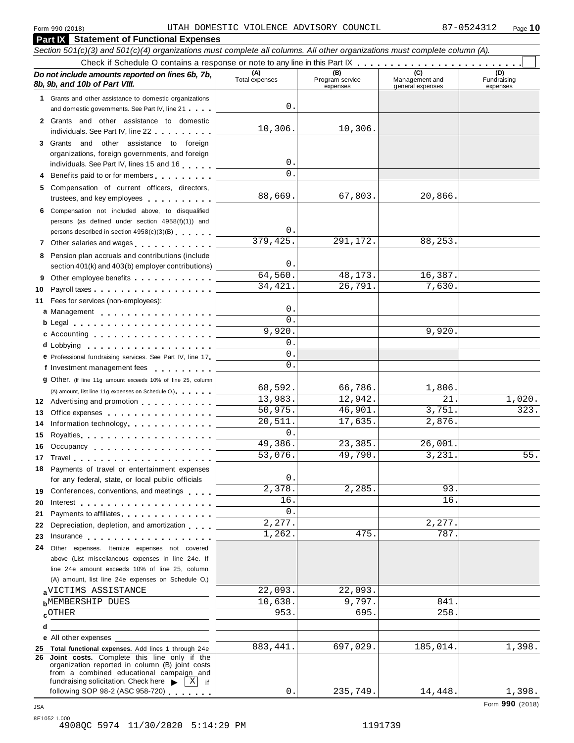| Section 501(c)(3) and 501(c)(4) organizations must complete all columns. All other organizations must complete column (A).                                                                                                                                           |          |                       |                                    |                                    |                                |
|----------------------------------------------------------------------------------------------------------------------------------------------------------------------------------------------------------------------------------------------------------------------|----------|-----------------------|------------------------------------|------------------------------------|--------------------------------|
|                                                                                                                                                                                                                                                                      |          |                       |                                    |                                    |                                |
| Do not include amounts reported on lines 6b, 7b,<br>8b, 9b, and 10b of Part VIII.                                                                                                                                                                                    |          | (A)<br>Total expenses | (B)<br>Program service<br>expenses | Management and<br>general expenses | (D)<br>Fundraising<br>expenses |
| 1 Grants and other assistance to domestic organizations                                                                                                                                                                                                              |          |                       |                                    |                                    |                                |
| and domestic governments. See Part IV, line 21                                                                                                                                                                                                                       |          | 0                     |                                    |                                    |                                |
| 2 Grants and other assistance to domestic<br>individuals. See Part IV, line 22                                                                                                                                                                                       |          | 10,306.               | 10,306.                            |                                    |                                |
| 3 Grants and other assistance to foreign                                                                                                                                                                                                                             |          |                       |                                    |                                    |                                |
| organizations, foreign governments, and foreign                                                                                                                                                                                                                      |          |                       |                                    |                                    |                                |
| individuals. See Part IV, lines 15 and 16                                                                                                                                                                                                                            |          | 0                     |                                    |                                    |                                |
| Benefits paid to or for members                                                                                                                                                                                                                                      |          | $\Omega$              |                                    |                                    |                                |
| 5 Compensation of current officers, directors,<br>trustees, and key employees expressed and the state of                                                                                                                                                             |          | 88,669.               | 67,803.                            | 20,866                             |                                |
| 6 Compensation not included above, to disqualified                                                                                                                                                                                                                   |          |                       |                                    |                                    |                                |
| persons (as defined under section 4958(f)(1)) and                                                                                                                                                                                                                    |          |                       |                                    |                                    |                                |
| persons described in section 4958(c)(3)(B)                                                                                                                                                                                                                           |          | 0                     |                                    |                                    |                                |
| 7 Other salaries and wages                                                                                                                                                                                                                                           |          | 379,425               | 291,172.                           | 88,253.                            |                                |
| 8 Pension plan accruals and contributions (include                                                                                                                                                                                                                   |          |                       |                                    |                                    |                                |
| section 401(k) and 403(b) employer contributions)                                                                                                                                                                                                                    |          | 0                     |                                    |                                    |                                |
| Other employee benefits<br>9                                                                                                                                                                                                                                         |          | 64,560.               | 48,173.                            | 16,387.                            |                                |
| 10                                                                                                                                                                                                                                                                   |          | 34,421                | 26,791.                            | 7,630.                             |                                |
| Fees for services (non-employees):<br>11                                                                                                                                                                                                                             |          |                       |                                    |                                    |                                |
| a Management                                                                                                                                                                                                                                                         |          | 0                     |                                    |                                    |                                |
|                                                                                                                                                                                                                                                                      |          | $\Omega$              |                                    |                                    |                                |
| c Accounting entries and the set of the set of the set of the set of the set of the set of the set of the set of the set of the set of the set of the set of the set of the set of the set of the set of the set of the set of                                       |          | 9,920                 |                                    | 9,920                              |                                |
| d Lobbying                                                                                                                                                                                                                                                           |          | 0<br>0                |                                    |                                    |                                |
| e Professional fundraising services. See Part IV, line 17                                                                                                                                                                                                            |          | 0                     |                                    |                                    |                                |
| f Investment management fees                                                                                                                                                                                                                                         |          |                       |                                    |                                    |                                |
| <b>g</b> Other. (If line 11g amount exceeds 10% of line 25, column                                                                                                                                                                                                   |          | 68,592.               | 66,786.                            | 1,806.                             |                                |
| (A) amount, list line 11g expenses on Schedule O.)                                                                                                                                                                                                                   |          | 13,983.               | 12,942.                            | 21                                 | 1,020.                         |
| 12 Advertising and promotion                                                                                                                                                                                                                                         |          | 50,975.               | 46,901.                            | 3,751                              | 323.                           |
| Office expenses example and the set of the set of the set of the set of the set of the set of the set of the set of the set of the set of the set of the set of the set of the set of the set of the set of the set of the set<br>13<br>Information technology<br>14 |          | 20,511.               | 17,635.                            | 2,876.                             |                                |
| 15                                                                                                                                                                                                                                                                   |          | $\Omega$              |                                    |                                    |                                |
| Occupancy experience and a series are a series of the series of the series of the series of the series of the<br>16                                                                                                                                                  |          | 49,386.               | 23,385.                            | 26,001                             |                                |
| 17 Travel                                                                                                                                                                                                                                                            |          | 53,076.               | 49,790.                            | 3,231                              | 55.                            |
| 18 Payments of travel or entertainment expenses                                                                                                                                                                                                                      |          |                       |                                    |                                    |                                |
| for any federal, state, or local public officials                                                                                                                                                                                                                    |          | 0                     |                                    |                                    |                                |
| 19 Conferences, conventions, and meetings                                                                                                                                                                                                                            |          | 2,378                 | 2,285.                             | 93                                 |                                |
| 20                                                                                                                                                                                                                                                                   |          | 16                    |                                    | 16                                 |                                |
| Payments to affiliates experience and the set of the set of the set of the set of the set of the set of the set of the set of the set of the set of the set of the set of the set of the set of the set of the set of the set<br>21                                  |          | 0                     |                                    |                                    |                                |
| Depreciation, depletion, and amortization<br>22                                                                                                                                                                                                                      |          | 2,277.                |                                    | 2,277.                             |                                |
| 23<br>Insurance <b>All According to the Contract of the Contract of Table 1</b>                                                                                                                                                                                      |          | 1,262.                | 475.                               | 787.                               |                                |
| Other expenses. Itemize expenses not covered<br>24                                                                                                                                                                                                                   |          |                       |                                    |                                    |                                |
| above (List miscellaneous expenses in line 24e. If                                                                                                                                                                                                                   |          |                       |                                    |                                    |                                |
| line 24e amount exceeds 10% of line 25, column                                                                                                                                                                                                                       |          |                       |                                    |                                    |                                |
| (A) amount, list line 24e expenses on Schedule O.)                                                                                                                                                                                                                   |          |                       |                                    |                                    |                                |
| <b>AVICTIMS ASSISTANCE</b>                                                                                                                                                                                                                                           |          | 22,093.               | 22,093.                            |                                    |                                |
| <b>b</b> MEMBERSHIP DUES                                                                                                                                                                                                                                             |          | 10,638.               | 9,797.                             | 841                                |                                |
| $c$ OTHER                                                                                                                                                                                                                                                            |          | 953                   | 695.                               | 258.                               |                                |
| d                                                                                                                                                                                                                                                                    |          |                       |                                    |                                    |                                |
| e All other expenses                                                                                                                                                                                                                                                 |          |                       |                                    |                                    |                                |
| 25 Total functional expenses. Add lines 1 through 24e<br>26 Joint costs. Complete this line only if the                                                                                                                                                              |          | 883,441               | 697,029.                           | 185,014.                           | 1,398.                         |
| organization reported in column (B) joint costs<br>from a combined educational campaign and<br>fundraising solicitation. Check here                                                                                                                                  |          |                       |                                    |                                    |                                |
| following SOP 98-2 (ASC 958-720)                                                                                                                                                                                                                                     | ΧI<br>if | 0.                    | 235,749.                           | 14,448.                            | 1,398.                         |
|                                                                                                                                                                                                                                                                      |          |                       |                                    |                                    |                                |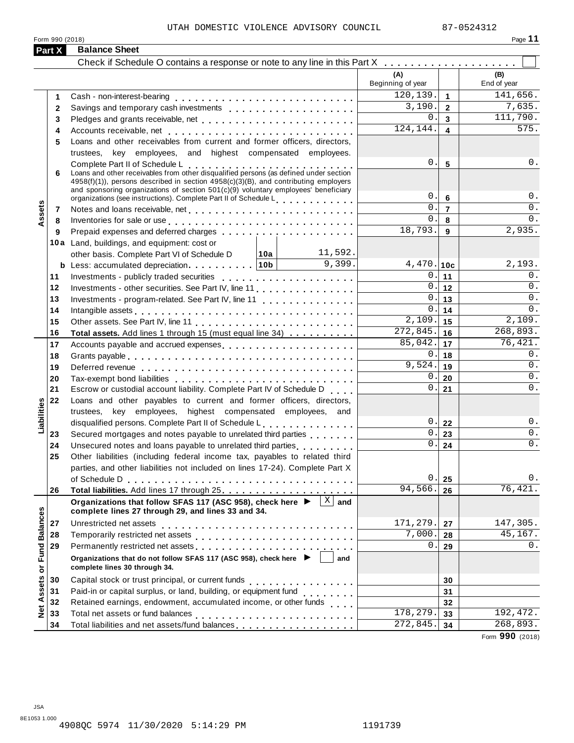Form <sup>990</sup> (2018) Page **11**

**Part X Balance Sheet** Check if Schedule O contains a response or note to any line in this Part X musual m m m m m m m m m m m m m m **(A)** Beginning of year **(B)** End of year Cash - non-interest-bearing **1** m m m m m m m m m m m m m m m m m m m m m m m m m m m Savings and temporary cash investments m m m m m m m m m m m m m m m m m m m Savings and temporary cash investments<br>Pledges and grants receivable, net<br>. Accounts receivable, net **1 2 3 4 5 6 7 8 9 10c**  $0.\vert 11 \vert 0.$ **12 13 14 15 16 17 18 19 20 21**  $0.22$  0. **23 24 25 26 2 3 4** 5 Loans and other receivables from current and former officers, directors, Pledges and grants receivable, net<br>Accounts receivable, net<br>Loans and other receivables from current and former officers, directors, trustees, key employees, and highest compensated employees. trustees, key employees, and highest compensated employees.<br>**6** Loans and other receivables from other disqualified persons (as defined under section 4958(f)(1)), persons described in section 4958(c)(3)(B), and contributing employers and sponsoring organizations of section 501(c)(9) voluntary employees' beneficiary organizations (see instructions). Complete Part II of Schedule L and sponsoring organizations of section 501(c)(9) voluntary employees' beneficiary<br>organizations (see instructions). Complete Part II of Schedule L<br>Notes and loans receivable, net 7 Notes and loans receivable, net<br>8 Inventories for sale or use<br><u>Fig.es and the metal</u> Prepaid expenses and deferred charges **7 9** Notes and loans receivable, net  $\dots \dots \dots \dots \dots \dots \dots \dots \dots$ m m m m m m m m m m m m m m m m m m m m **10a 10b <sup>b</sup>** Less: accumulated depreciation m m m m m m m m m m **10 a** Land, buildings, and equipment: cost or **11 12 13 14 15 16** other basis. Complete Part VI of Schedule D Less: accumulated depreciation.<br>Investments - publicly traded securities<br>. Investments - publicly traded securities<br>Investments - other securities. See Part IV, line 11<br>. Investments - other securities. See Part IV, line 11<br>Investments - program-related. See Part IV, line 11<br>. Intangible assets m m m m m m m m m m m m m m m m m m m m m m m m m m m m m m m m m Other assets. See Part IV, line 11 m m m m m m m m m m m m m m m m m m m m m m m m **Total assets.** Add lines 1 through 15 (must equal line 34) m m m m m m m m m m **Assets 17 18 19 20** Accounts payable and accrued expenses m m m m m m m m m m m m m m m m m m m m Grants payable m m m m m m m m m m m m m m m m m m m m m m m m m m m m m m m m m m Deferred revenue m m m m m m m m m m m m m m m m m m m m m m m m m m m m m m m m Tax-exempt bond liabilities 19 Deferred revenue<br>20 Tax-exempt bond liabilities ............................<br>21 Escrow or custodial account liability. Complete Part IV of Schedule D <sub>....</sub> 22 Loans and other payables to current and former officers, directors, **23 24** 25 Other liabilities (including federal income tax, payables to related third **26** Escrow or custodial account liability. Complete Part IV of Schedule D trustees, key employees, highest compensated employees, and disqualified persons. Complete Part II of Schedule L . . . . . . . . . . . . . . . Unsecured notes and loans payable to unrelated third parties Secured mortgages and notes payable to unrelated third parties Secured mortgages and notes payable to unrelated third parties<br>Unsecured notes and loans payable to unrelated third parties<br>Other liabilities (including federal income tax, payables to related third parties, and other liabilities not included on lines 17-24). Complete Part X of Schedule <sup>D</sup> m m m m m m m m m m m m m m m m m m m m m m m m m m m m m m m m m m **CORGIST BEST AND THEST IT INCOUGHT 25.**<br> **Organizations that follow SFAS 117 (ASC 958), check here ▶**  $\boxed{X}$  **and Total liabilities.** Add lines 17 through 25 mm m m m m m m **Liabilities complete lines 27 through 29, and lines 33 and 34. 27 28 29 30 31 32 33 34** <table>\n<tbody>\n<tr>\n<td>20</td>\n<td>complete lines 27 through 29, and lines 33 and 34.</td>\n</tr>\n<tr>\n<td>27</td>\n<td>Unrestricted net assets</td>\n</tr>\n<tr>\n<td>28</td>\n<td>Temporarily restricted net assets</td>\n</tr>\n<tr>\n<td>29</td>\n<td>Permanently restricted net assets</td>\n</tr>\n<tr>\n<td>29</td>\n<td>Permanently restricted net assets</td>\n</tr>\n<tr>\n<td>Organizations that do not follow SFAST 117 (ASC 958), check here</td>\n</tr>\n<tr>\n<td>30</td>\n<td>Capital stock or trust principal, or current funds</td>\n</tr>\n<tr>\n<td onrestricted net assets<br>Temporarily restricted net assets<br>P Permanently restricted net assets<br>  $\ldots$   $\ldots$   $\ldots$   $\ldots$ Capital stock or trust principal, or current funds m m m m m m m m m m m m m m m m Capital stock of trust principal, or current lunds<br>Paid-in or capital surplus, or land, building, or equipment fund Paid-in or capital surplus, or land, building, or equipment lund<br>Retained earnings, endowment, accumulated income, or other funds Retained earnings, endowment, accumulated income, or other lunds<br>Total net assets or fund balances<br>The distance Total liabilities and net assets/fund balances **27 28 29 30 31 32 33 34** I **Organizations that do not follow SFAS 117 (ASC 958), check here** m m m m m m m m m m m m m m m m m m m m m m m m **complete lines 30 through 34. and** Form **990** (2018)  $120.139.$  141.656.  $3,190.$   $2 \mid 7,635.$  $0.\overline{3}$  111,790.  $124, 144. \mid \bullet \mid$  575.  $0.\vert 5 \vert 0.$  $0.\vert$  6  $\vert$  0.  $0.7$  0.  $0. \ 8 \ 0.$  $18,793.$   $9$   $2,935.$ 11,592. 9,399.  $4,470.$   $10c$   $2,193$ .  $0.12$  0.  $0.13$  0.  $\overline{0.114}$  0.  $2,109.$  15  $2,109.$  $272,845.$  16  $268,893.$  $85,042.$  17 76,421.  $0.18$  0.  $\overline{9,524.}$  19 0.  $0.20$  0.  $0.21$  0.  $\overline{0.123}$  0.  $0.24$  0.  $0.25$  0.  $94,566.$  26 76,421.  $171,279.$  27 | 147,305.  $7,000.$  28 45,167.  $0.29$  0.  $\overline{178,279.}$  33  $\overline{192,472.}$  $272,845.$  34 268,893.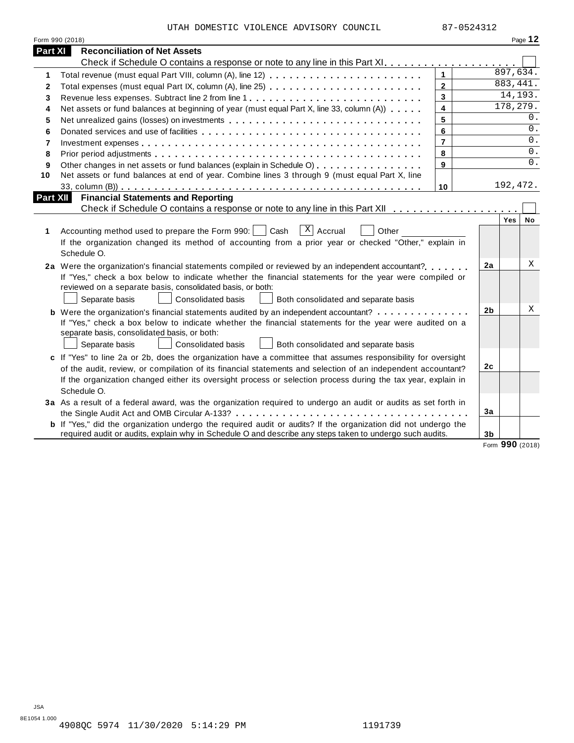| Form 990 (2018)                                                                                                                                                                                        |                         |                |          | Page 12   |
|--------------------------------------------------------------------------------------------------------------------------------------------------------------------------------------------------------|-------------------------|----------------|----------|-----------|
| Part XI<br><b>Reconciliation of Net Assets</b>                                                                                                                                                         |                         |                |          |           |
|                                                                                                                                                                                                        |                         |                |          |           |
| Total revenue (must equal Part VIII, column (A), line 12)<br>1                                                                                                                                         | $\mathbf{1}$            |                | 897,634. |           |
| Total expenses (must equal Part IX, column (A), line 25)<br>2                                                                                                                                          | $\mathbf{2}$            |                | 883,441. |           |
| 3                                                                                                                                                                                                      | $\mathbf{3}$            |                | 14, 193. |           |
| Net assets or fund balances at beginning of year (must equal Part X, line 33, column (A))<br>4                                                                                                         | $\overline{\mathbf{4}}$ |                | 178,279. |           |
| 5                                                                                                                                                                                                      | 5                       |                |          | 0.        |
| 6                                                                                                                                                                                                      | 6                       |                |          | 0.        |
| 7                                                                                                                                                                                                      | $\overline{7}$          |                |          | $0$ .     |
| 8                                                                                                                                                                                                      | 8                       |                |          | 0.        |
| Other changes in net assets or fund balances (explain in Schedule O)<br>9                                                                                                                              | 9                       |                |          | $0$ .     |
| Net assets or fund balances at end of year. Combine lines 3 through 9 (must equal Part X, line<br>10                                                                                                   |                         |                |          |           |
|                                                                                                                                                                                                        | 10                      |                | 192,472. |           |
| <b>Financial Statements and Reporting</b><br>Part XII                                                                                                                                                  |                         |                |          |           |
|                                                                                                                                                                                                        |                         |                |          |           |
|                                                                                                                                                                                                        |                         |                | Yes      | <b>No</b> |
| $X$ Accrual<br>Accounting method used to prepare the Form 990:     Cash<br>Other<br>1                                                                                                                  |                         |                |          |           |
| If the organization changed its method of accounting from a prior year or checked "Other," explain in                                                                                                  |                         |                |          |           |
| Schedule O.                                                                                                                                                                                            |                         |                |          |           |
| 2a Were the organization's financial statements compiled or reviewed by an independent accountant?                                                                                                     |                         | 2a             |          | Χ         |
| If "Yes," check a box below to indicate whether the financial statements for the year were compiled or                                                                                                 |                         |                |          |           |
| reviewed on a separate basis, consolidated basis, or both:                                                                                                                                             |                         |                |          |           |
| Separate basis<br><b>Consolidated basis</b><br>Both consolidated and separate basis                                                                                                                    |                         |                |          |           |
|                                                                                                                                                                                                        |                         | 2b             |          | х         |
| <b>b</b> Were the organization's financial statements audited by an independent accountant?<br>If "Yes," check a box below to indicate whether the financial statements for the year were audited on a |                         |                |          |           |
| separate basis, consolidated basis, or both:                                                                                                                                                           |                         |                |          |           |
| Separate basis<br><b>Consolidated basis</b><br>Both consolidated and separate basis                                                                                                                    |                         |                |          |           |
|                                                                                                                                                                                                        |                         |                |          |           |
| c If "Yes" to line 2a or 2b, does the organization have a committee that assumes responsibility for oversight                                                                                          |                         | 2c             |          |           |
| of the audit, review, or compilation of its financial statements and selection of an independent accountant?                                                                                           |                         |                |          |           |
| If the organization changed either its oversight process or selection process during the tax year, explain in                                                                                          |                         |                |          |           |
| Schedule O.                                                                                                                                                                                            |                         |                |          |           |
| 3a As a result of a federal award, was the organization required to undergo an audit or audits as set forth in                                                                                         |                         |                |          |           |
|                                                                                                                                                                                                        |                         | 3a             |          |           |
| <b>b</b> If "Yes," did the organization undergo the required audit or audits? If the organization did not undergo the                                                                                  |                         |                |          |           |
| required audit or audits, explain why in Schedule O and describe any steps taken to undergo such audits.                                                                                               |                         | 3 <sub>b</sub> |          |           |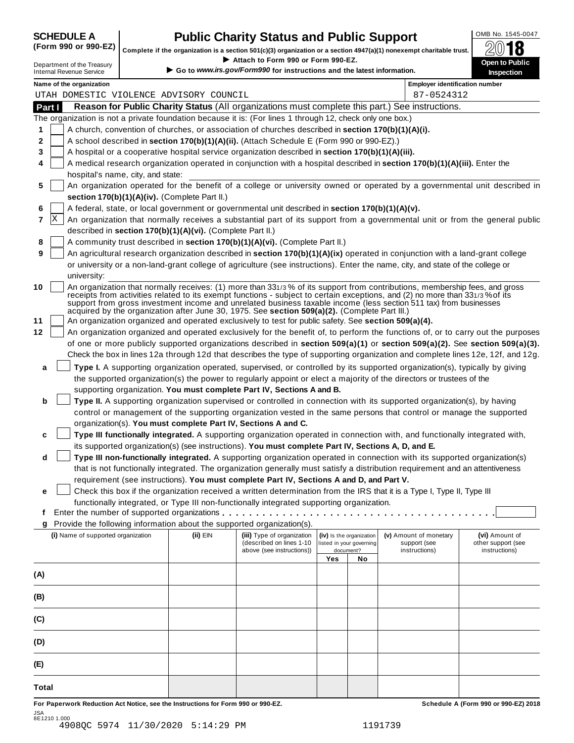| <b>SCHEDULE A</b> |  |  |  |                               |  |
|-------------------|--|--|--|-------------------------------|--|
|                   |  |  |  | $\sqrt{2}$ and and $\sqrt{2}$ |  |

## **CHEDULE A Public Charity Status and Public Support**  $\frac{\text{OMB No. 1545-0047}}{\text{OMB}}$

(Form 990 or 990-EZ) complete if the organization is a section 501(c)(3) organization or a section 4947(a)(1) nonexempt charitable trust.  $2018$ 

|        |   |                                                               |                                                            | Complete if the organization is a section 501(c)(3) organization or a section $4947(a)(1)$ nonexempt charitable trust.<br>Attach to Form 990 or Form 990-EZ. |     |                                                      |                                                                                                                                                                                                                                                   | ZW IO                                                                                                                            |
|--------|---|---------------------------------------------------------------|------------------------------------------------------------|--------------------------------------------------------------------------------------------------------------------------------------------------------------|-----|------------------------------------------------------|---------------------------------------------------------------------------------------------------------------------------------------------------------------------------------------------------------------------------------------------------|----------------------------------------------------------------------------------------------------------------------------------|
|        |   | Department of the Treasury<br><b>Internal Revenue Service</b> |                                                            | Go to www.irs.gov/Form990 for instructions and the latest information.                                                                                       |     |                                                      |                                                                                                                                                                                                                                                   | Open to Public<br>Inspection                                                                                                     |
|        |   | Name of the organization                                      |                                                            |                                                                                                                                                              |     |                                                      | <b>Employer identification number</b>                                                                                                                                                                                                             |                                                                                                                                  |
|        |   |                                                               | UTAH DOMESTIC VIOLENCE ADVISORY COUNCIL                    |                                                                                                                                                              |     |                                                      | 87-0524312                                                                                                                                                                                                                                        |                                                                                                                                  |
| Part I |   |                                                               |                                                            |                                                                                                                                                              |     |                                                      | Reason for Public Charity Status (All organizations must complete this part.) See instructions.                                                                                                                                                   |                                                                                                                                  |
|        |   |                                                               |                                                            | The organization is not a private foundation because it is: (For lines 1 through 12, check only one box.)                                                    |     |                                                      |                                                                                                                                                                                                                                                   |                                                                                                                                  |
| 1      |   |                                                               |                                                            | A church, convention of churches, or association of churches described in section 170(b)(1)(A)(i).                                                           |     |                                                      |                                                                                                                                                                                                                                                   |                                                                                                                                  |
| 2      |   |                                                               |                                                            | A school described in section 170(b)(1)(A)(ii). (Attach Schedule E (Form 990 or 990-EZ).)                                                                    |     |                                                      |                                                                                                                                                                                                                                                   |                                                                                                                                  |
| 3      |   |                                                               |                                                            | A hospital or a cooperative hospital service organization described in section 170(b)(1)(A)(iii).                                                            |     |                                                      |                                                                                                                                                                                                                                                   |                                                                                                                                  |
| 4      |   |                                                               |                                                            |                                                                                                                                                              |     |                                                      | A medical research organization operated in conjunction with a hospital described in section 170(b)(1)(A)(iii). Enter the                                                                                                                         |                                                                                                                                  |
| 5      |   | hospital's name, city, and state:                             |                                                            |                                                                                                                                                              |     |                                                      |                                                                                                                                                                                                                                                   | An organization operated for the benefit of a college or university owned or operated by a governmental unit described in        |
|        |   |                                                               |                                                            |                                                                                                                                                              |     |                                                      |                                                                                                                                                                                                                                                   |                                                                                                                                  |
|        |   |                                                               | section 170(b)(1)(A)(iv). (Complete Part II.)              |                                                                                                                                                              |     |                                                      |                                                                                                                                                                                                                                                   |                                                                                                                                  |
| 6      | X |                                                               |                                                            | A federal, state, or local government or governmental unit described in section 170(b)(1)(A)(v).                                                             |     |                                                      |                                                                                                                                                                                                                                                   |                                                                                                                                  |
| 7      |   |                                                               |                                                            |                                                                                                                                                              |     |                                                      |                                                                                                                                                                                                                                                   | An organization that normally receives a substantial part of its support from a governmental unit or from the general public     |
|        |   |                                                               | described in section 170(b)(1)(A)(vi). (Complete Part II.) | A community trust described in section 170(b)(1)(A)(vi). (Complete Part II.)                                                                                 |     |                                                      |                                                                                                                                                                                                                                                   |                                                                                                                                  |
| 8<br>9 |   |                                                               |                                                            |                                                                                                                                                              |     |                                                      |                                                                                                                                                                                                                                                   |                                                                                                                                  |
|        |   |                                                               |                                                            |                                                                                                                                                              |     |                                                      | An agricultural research organization described in section 170(b)(1)(A)(ix) operated in conjunction with a land-grant college                                                                                                                     |                                                                                                                                  |
|        |   | university:                                                   |                                                            |                                                                                                                                                              |     |                                                      | or university or a non-land-grant college of agriculture (see instructions). Enter the name, city, and state of the college or                                                                                                                    |                                                                                                                                  |
| 10     |   |                                                               |                                                            |                                                                                                                                                              |     |                                                      | An organization that normally receives: (1) more than 331/3% of its support from contributions, membership fees, and gross                                                                                                                        |                                                                                                                                  |
|        |   |                                                               |                                                            | acquired by the organization after June 30, 1975. See section 509(a)(2). (Complete Part III.)                                                                |     |                                                      | receipts from activities related to its exempt functions - subject to certain exceptions, and (2) no more than 331/3% of its<br>support from gross investment income and unrelated business taxable income (less section 511 tax) from businesses |                                                                                                                                  |
| 11     |   |                                                               |                                                            | An organization organized and operated exclusively to test for public safety. See section 509(a)(4).                                                         |     |                                                      |                                                                                                                                                                                                                                                   |                                                                                                                                  |
| 12     |   |                                                               |                                                            |                                                                                                                                                              |     |                                                      |                                                                                                                                                                                                                                                   | An organization organized and operated exclusively for the benefit of, to perform the functions of, or to carry out the purposes |
|        |   |                                                               |                                                            |                                                                                                                                                              |     |                                                      |                                                                                                                                                                                                                                                   | of one or more publicly supported organizations described in section 509(a)(1) or section 509(a)(2). See section 509(a)(3).      |
|        |   |                                                               |                                                            |                                                                                                                                                              |     |                                                      |                                                                                                                                                                                                                                                   | Check the box in lines 12a through 12d that describes the type of supporting organization and complete lines 12e, 12f, and 12g.  |
| a      |   |                                                               |                                                            |                                                                                                                                                              |     |                                                      | Type I. A supporting organization operated, supervised, or controlled by its supported organization(s), typically by giving                                                                                                                       |                                                                                                                                  |
|        |   |                                                               |                                                            |                                                                                                                                                              |     |                                                      | the supported organization(s) the power to regularly appoint or elect a majority of the directors or trustees of the                                                                                                                              |                                                                                                                                  |
|        |   |                                                               |                                                            | supporting organization. You must complete Part IV, Sections A and B.                                                                                        |     |                                                      |                                                                                                                                                                                                                                                   |                                                                                                                                  |
| b      |   |                                                               |                                                            |                                                                                                                                                              |     |                                                      | Type II. A supporting organization supervised or controlled in connection with its supported organization(s), by having                                                                                                                           |                                                                                                                                  |
|        |   |                                                               |                                                            |                                                                                                                                                              |     |                                                      | control or management of the supporting organization vested in the same persons that control or manage the supported                                                                                                                              |                                                                                                                                  |
|        |   |                                                               |                                                            | organization(s). You must complete Part IV, Sections A and C.                                                                                                |     |                                                      |                                                                                                                                                                                                                                                   |                                                                                                                                  |
| c      |   |                                                               |                                                            |                                                                                                                                                              |     |                                                      | Type III functionally integrated. A supporting organization operated in connection with, and functionally integrated with,                                                                                                                        |                                                                                                                                  |
|        |   |                                                               |                                                            | its supported organization(s) (see instructions). You must complete Part IV, Sections A, D, and E.                                                           |     |                                                      |                                                                                                                                                                                                                                                   |                                                                                                                                  |
| d      |   |                                                               |                                                            |                                                                                                                                                              |     |                                                      | Type III non-functionally integrated. A supporting organization operated in connection with its supported organization(s)                                                                                                                         |                                                                                                                                  |
|        |   |                                                               |                                                            |                                                                                                                                                              |     |                                                      | that is not functionally integrated. The organization generally must satisfy a distribution requirement and an attentiveness                                                                                                                      |                                                                                                                                  |
|        |   |                                                               |                                                            | requirement (see instructions). You must complete Part IV, Sections A and D, and Part V.                                                                     |     |                                                      |                                                                                                                                                                                                                                                   |                                                                                                                                  |
| е      |   |                                                               |                                                            |                                                                                                                                                              |     |                                                      | Check this box if the organization received a written determination from the IRS that it is a Type I, Type II, Type III                                                                                                                           |                                                                                                                                  |
|        |   |                                                               |                                                            | functionally integrated, or Type III non-functionally integrated supporting organization.                                                                    |     |                                                      |                                                                                                                                                                                                                                                   |                                                                                                                                  |
| t      |   |                                                               |                                                            |                                                                                                                                                              |     |                                                      |                                                                                                                                                                                                                                                   |                                                                                                                                  |
| g      |   |                                                               |                                                            | Provide the following information about the supported organization(s).                                                                                       |     |                                                      |                                                                                                                                                                                                                                                   |                                                                                                                                  |
|        |   | (i) Name of supported organization                            | $(ii)$ EIN                                                 | (iii) Type of organization<br>(described on lines 1-10                                                                                                       |     | (iv) Is the organization<br>listed in your governing | (v) Amount of monetary<br>support (see                                                                                                                                                                                                            | (vi) Amount of<br>other support (see                                                                                             |
|        |   |                                                               |                                                            | above (see instructions))                                                                                                                                    |     | document?                                            | instructions)                                                                                                                                                                                                                                     | instructions)                                                                                                                    |
|        |   |                                                               |                                                            |                                                                                                                                                              | Yes | No                                                   |                                                                                                                                                                                                                                                   |                                                                                                                                  |
| (A)    |   |                                                               |                                                            |                                                                                                                                                              |     |                                                      |                                                                                                                                                                                                                                                   |                                                                                                                                  |
|        |   |                                                               |                                                            |                                                                                                                                                              |     |                                                      |                                                                                                                                                                                                                                                   |                                                                                                                                  |
| (B)    |   |                                                               |                                                            |                                                                                                                                                              |     |                                                      |                                                                                                                                                                                                                                                   |                                                                                                                                  |
| (C)    |   |                                                               |                                                            |                                                                                                                                                              |     |                                                      |                                                                                                                                                                                                                                                   |                                                                                                                                  |
| (D)    |   |                                                               |                                                            |                                                                                                                                                              |     |                                                      |                                                                                                                                                                                                                                                   |                                                                                                                                  |
| (E)    |   |                                                               |                                                            |                                                                                                                                                              |     |                                                      |                                                                                                                                                                                                                                                   |                                                                                                                                  |
|        |   |                                                               |                                                            |                                                                                                                                                              |     |                                                      |                                                                                                                                                                                                                                                   |                                                                                                                                  |
| Total  |   |                                                               |                                                            |                                                                                                                                                              |     |                                                      |                                                                                                                                                                                                                                                   |                                                                                                                                  |

For Paperwork Reduction Act Notice, see the Instructions for Form 990 or 990-EZ. Schedule A (Form 990 or 990-EZ) 2018 JSA 8E1210 1.000 4908QC 5974 11/30/2020 5:14:29 PM 1191739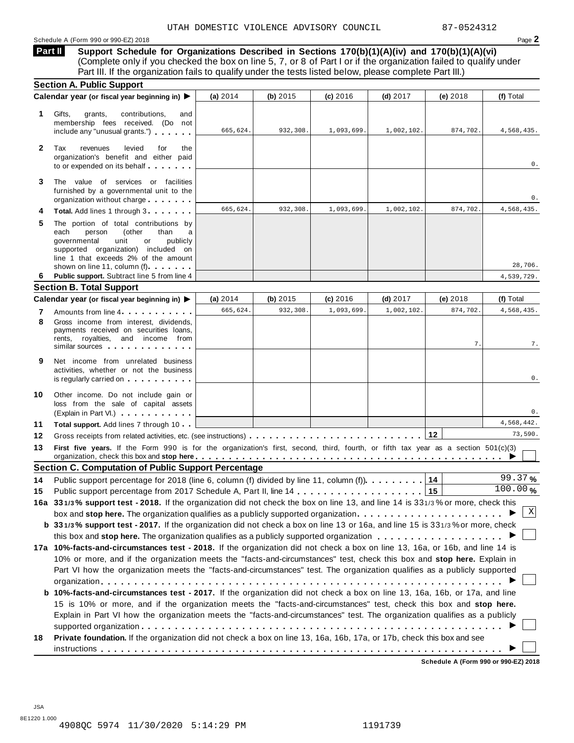#### Schedule A (Form 990 or 990-EZ) 2018 Page 2

**Support Schedule for Organizations Described in Sections 170(b)(1)(A)(iv) and 170(b)(1)(A)(vi)** Complete only if you checked the box on line 5, 7, or 8 of Part I or if the organization failed to qualify under Part III. If the organization fails to qualify under the tests listed below, please complete Part III.) **Part II**

|              | <b>Section A. Public Support</b>                                                                                                                                                                                                                                                                                |            |                        |            |                          |                |                         |
|--------------|-----------------------------------------------------------------------------------------------------------------------------------------------------------------------------------------------------------------------------------------------------------------------------------------------------------------|------------|------------------------|------------|--------------------------|----------------|-------------------------|
|              | Calendar year (or fiscal year beginning in) $\blacktriangleright$                                                                                                                                                                                                                                               | (a) $2014$ | (b) $2015$             | (c) 2016   | $(d)$ 2017               | (e) 2018       | (f) Total               |
| 1.           | Gifts,<br>grants,<br>contributions,<br>and<br>membership fees received. (Do not<br>include any "unusual grants.")                                                                                                                                                                                               | 665,624.   | 932,308.               | 1,093,699. | 1,002,102.               | 874,702.       | 4,568,435.              |
| $\mathbf{2}$ | levied<br>Tax<br>revenues<br>for<br>the<br>organization's benefit and either paid<br>to or expended on its behalf                                                                                                                                                                                               |            |                        |            |                          |                | 0.                      |
| 3            | The value of services or facilities<br>furnished by a governmental unit to the<br>organization without charge                                                                                                                                                                                                   |            |                        |            |                          |                | 0.                      |
|              | Total. Add lines 1 through 3                                                                                                                                                                                                                                                                                    | 665,624.   | 932,308.               | 1,093,699. | 1,002,102.               | 874,702.       | 4,568,435.              |
| 5            | The portion of total contributions by<br>each<br>person<br>(other<br>than<br>a<br>unit<br>governmental<br>or<br>publicly<br>supported organization) included on<br>line 1 that exceeds 2% of the amount                                                                                                         |            |                        |            |                          |                |                         |
|              | shown on line 11, column (f)                                                                                                                                                                                                                                                                                    |            |                        |            |                          |                | 28,706.                 |
| 6            | Public support. Subtract line 5 from line 4                                                                                                                                                                                                                                                                     |            |                        |            |                          |                | 4,539,729.              |
|              | <b>Section B. Total Support</b>                                                                                                                                                                                                                                                                                 |            |                        |            |                          |                |                         |
|              | Calendar year (or fiscal year beginning in) ▶                                                                                                                                                                                                                                                                   | (a) $2014$ | (b) $2015$<br>932,308. | (c) 2016   | $(d)$ 2017<br>1,002,102. | (e) 2018       | (f) Total<br>4,568,435. |
| 7<br>8       | Amounts from line 4<br>Gross income from interest, dividends,<br>payments received on securities loans,<br>rents, royalties, and income from<br>similar sources experiences                                                                                                                                     | 665,624.   |                        | 1,093,699  |                          | 874,702.<br>7. | 7.                      |
| 9            | Net income from unrelated business<br>activities, whether or not the business<br>is regularly carried on the control of the control of the control of the control of the control of the control of the control of the control of the control of the control of the control of the control of the control of the |            |                        |            |                          |                | 0.                      |
| 10           | Other income. Do not include gain or<br>loss from the sale of capital assets<br>(Explain in Part VI.)                                                                                                                                                                                                           |            |                        |            |                          |                | 0.                      |
| 11           | <b>Total support.</b> Add lines 7 through 10                                                                                                                                                                                                                                                                    |            |                        |            |                          |                | 4,568,442.              |
| 12           |                                                                                                                                                                                                                                                                                                                 |            |                        |            |                          |                | 73,590.                 |
| 13           | First five years. If the Form 990 is for the organization's first, second, third, fourth, or fifth tax year as a section 501(c)(3)                                                                                                                                                                              |            |                        |            |                          |                |                         |
|              | <b>Section C. Computation of Public Support Percentage</b>                                                                                                                                                                                                                                                      |            |                        |            |                          |                |                         |
| 14           | Public support percentage for 2018 (line 6, column (f) divided by line 11, column (f).                                                                                                                                                                                                                          |            |                        |            |                          | 14             | 99.37%                  |
| 15           |                                                                                                                                                                                                                                                                                                                 |            |                        |            |                          |                | 100.00%                 |
|              | 16a 331/3% support test - 2018. If the organization did not check the box on line 13, and line 14 is 331/3% or more, check this                                                                                                                                                                                 |            |                        |            |                          |                |                         |
|              | box and stop here. The organization qualifies as a publicly supported organization                                                                                                                                                                                                                              |            |                        |            |                          |                | Χ                       |
|              | b 331/3% support test - 2017. If the organization did not check a box on line 13 or 16a, and line 15 is 331/3% or more, check                                                                                                                                                                                   |            |                        |            |                          |                |                         |
|              | this box and stop here. The organization qualifies as a publicly supported organization $\ldots \ldots \ldots \ldots \ldots \ldots$                                                                                                                                                                             |            |                        |            |                          |                |                         |
|              | 17a 10%-facts-and-circumstances test - 2018. If the organization did not check a box on line 13, 16a, or 16b, and line 14 is                                                                                                                                                                                    |            |                        |            |                          |                |                         |
|              | 10% or more, and if the organization meets the "facts-and-circumstances" test, check this box and stop here. Explain in                                                                                                                                                                                         |            |                        |            |                          |                |                         |
|              | Part VI how the organization meets the "facts-and-circumstances" test. The organization qualifies as a publicly supported                                                                                                                                                                                       |            |                        |            |                          |                |                         |
|              |                                                                                                                                                                                                                                                                                                                 |            |                        |            |                          |                |                         |
|              | b 10%-facts-and-circumstances test - 2017. If the organization did not check a box on line 13, 16a, 16b, or 17a, and line                                                                                                                                                                                       |            |                        |            |                          |                |                         |
|              | 15 is 10% or more, and if the organization meets the "facts-and-circumstances" test, check this box and stop here.                                                                                                                                                                                              |            |                        |            |                          |                |                         |
|              | Explain in Part VI how the organization meets the "facts-and-circumstances" test. The organization qualifies as a publicly                                                                                                                                                                                      |            |                        |            |                          |                |                         |
|              |                                                                                                                                                                                                                                                                                                                 |            |                        |            |                          |                |                         |
| 18           | Private foundation. If the organization did not check a box on line 13, 16a, 16b, 17a, or 17b, check this box and see                                                                                                                                                                                           |            |                        |            |                          |                |                         |
|              |                                                                                                                                                                                                                                                                                                                 |            |                        |            |                          |                |                         |

**Schedule A (Form 990 or 990-EZ) 2018**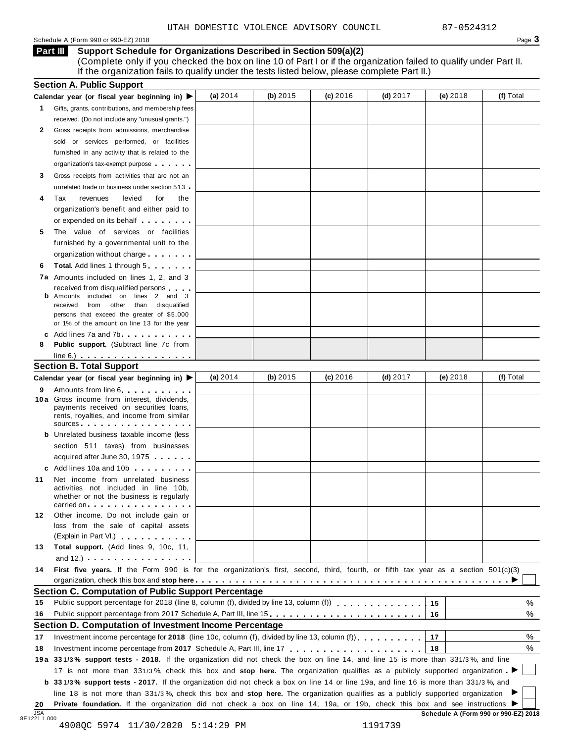#### Schedule <sup>A</sup> (Form <sup>990</sup> or 990-EZ) <sup>2018</sup> Page **3**

**Support Schedule for Organizations Described in Section 509(a)(2) Part III**

(Complete only if you checked the box on line 10 of Part I or if the organization failed to qualify under Part II. If the organization fails to qualify under the tests listed below, please complete Part II.)

| Gifts, grants, contributions, and membership fees<br>received. (Do not include any "unusual grants.")<br>Gross receipts from admissions, merchandise                                                                          |                                                                                                                                                                                                                                                                                                                                                                                                                                                                                                                                                                                                                                                                                                                                                                                                                               |            |                                                                                                                                    |            |                                                                                                                                                                                                                       |                                                                                                                                                                                                                                                                                                                                                                                                                                                                                                                                                                 |
|-------------------------------------------------------------------------------------------------------------------------------------------------------------------------------------------------------------------------------|-------------------------------------------------------------------------------------------------------------------------------------------------------------------------------------------------------------------------------------------------------------------------------------------------------------------------------------------------------------------------------------------------------------------------------------------------------------------------------------------------------------------------------------------------------------------------------------------------------------------------------------------------------------------------------------------------------------------------------------------------------------------------------------------------------------------------------|------------|------------------------------------------------------------------------------------------------------------------------------------|------------|-----------------------------------------------------------------------------------------------------------------------------------------------------------------------------------------------------------------------|-----------------------------------------------------------------------------------------------------------------------------------------------------------------------------------------------------------------------------------------------------------------------------------------------------------------------------------------------------------------------------------------------------------------------------------------------------------------------------------------------------------------------------------------------------------------|
|                                                                                                                                                                                                                               |                                                                                                                                                                                                                                                                                                                                                                                                                                                                                                                                                                                                                                                                                                                                                                                                                               |            |                                                                                                                                    |            |                                                                                                                                                                                                                       |                                                                                                                                                                                                                                                                                                                                                                                                                                                                                                                                                                 |
|                                                                                                                                                                                                                               |                                                                                                                                                                                                                                                                                                                                                                                                                                                                                                                                                                                                                                                                                                                                                                                                                               |            |                                                                                                                                    |            |                                                                                                                                                                                                                       |                                                                                                                                                                                                                                                                                                                                                                                                                                                                                                                                                                 |
|                                                                                                                                                                                                                               |                                                                                                                                                                                                                                                                                                                                                                                                                                                                                                                                                                                                                                                                                                                                                                                                                               |            |                                                                                                                                    |            |                                                                                                                                                                                                                       |                                                                                                                                                                                                                                                                                                                                                                                                                                                                                                                                                                 |
| sold or services performed, or facilities                                                                                                                                                                                     |                                                                                                                                                                                                                                                                                                                                                                                                                                                                                                                                                                                                                                                                                                                                                                                                                               |            |                                                                                                                                    |            |                                                                                                                                                                                                                       |                                                                                                                                                                                                                                                                                                                                                                                                                                                                                                                                                                 |
| furnished in any activity that is related to the                                                                                                                                                                              |                                                                                                                                                                                                                                                                                                                                                                                                                                                                                                                                                                                                                                                                                                                                                                                                                               |            |                                                                                                                                    |            |                                                                                                                                                                                                                       |                                                                                                                                                                                                                                                                                                                                                                                                                                                                                                                                                                 |
| organization's tax-exempt purpose                                                                                                                                                                                             |                                                                                                                                                                                                                                                                                                                                                                                                                                                                                                                                                                                                                                                                                                                                                                                                                               |            |                                                                                                                                    |            |                                                                                                                                                                                                                       |                                                                                                                                                                                                                                                                                                                                                                                                                                                                                                                                                                 |
| Gross receipts from activities that are not an                                                                                                                                                                                |                                                                                                                                                                                                                                                                                                                                                                                                                                                                                                                                                                                                                                                                                                                                                                                                                               |            |                                                                                                                                    |            |                                                                                                                                                                                                                       |                                                                                                                                                                                                                                                                                                                                                                                                                                                                                                                                                                 |
| unrelated trade or business under section 513 -                                                                                                                                                                               |                                                                                                                                                                                                                                                                                                                                                                                                                                                                                                                                                                                                                                                                                                                                                                                                                               |            |                                                                                                                                    |            |                                                                                                                                                                                                                       |                                                                                                                                                                                                                                                                                                                                                                                                                                                                                                                                                                 |
| Tax<br>revenues<br>levied<br>for<br>the                                                                                                                                                                                       |                                                                                                                                                                                                                                                                                                                                                                                                                                                                                                                                                                                                                                                                                                                                                                                                                               |            |                                                                                                                                    |            |                                                                                                                                                                                                                       |                                                                                                                                                                                                                                                                                                                                                                                                                                                                                                                                                                 |
|                                                                                                                                                                                                                               |                                                                                                                                                                                                                                                                                                                                                                                                                                                                                                                                                                                                                                                                                                                                                                                                                               |            |                                                                                                                                    |            |                                                                                                                                                                                                                       |                                                                                                                                                                                                                                                                                                                                                                                                                                                                                                                                                                 |
| or expended on its behalf <b>contained contained contained contained contained contained contained contained contained contained contained contained contained contained contained contained con</b>                          |                                                                                                                                                                                                                                                                                                                                                                                                                                                                                                                                                                                                                                                                                                                                                                                                                               |            |                                                                                                                                    |            |                                                                                                                                                                                                                       |                                                                                                                                                                                                                                                                                                                                                                                                                                                                                                                                                                 |
|                                                                                                                                                                                                                               |                                                                                                                                                                                                                                                                                                                                                                                                                                                                                                                                                                                                                                                                                                                                                                                                                               |            |                                                                                                                                    |            |                                                                                                                                                                                                                       |                                                                                                                                                                                                                                                                                                                                                                                                                                                                                                                                                                 |
|                                                                                                                                                                                                                               |                                                                                                                                                                                                                                                                                                                                                                                                                                                                                                                                                                                                                                                                                                                                                                                                                               |            |                                                                                                                                    |            |                                                                                                                                                                                                                       |                                                                                                                                                                                                                                                                                                                                                                                                                                                                                                                                                                 |
| organization without charge                                                                                                                                                                                                   |                                                                                                                                                                                                                                                                                                                                                                                                                                                                                                                                                                                                                                                                                                                                                                                                                               |            |                                                                                                                                    |            |                                                                                                                                                                                                                       |                                                                                                                                                                                                                                                                                                                                                                                                                                                                                                                                                                 |
|                                                                                                                                                                                                                               |                                                                                                                                                                                                                                                                                                                                                                                                                                                                                                                                                                                                                                                                                                                                                                                                                               |            |                                                                                                                                    |            |                                                                                                                                                                                                                       |                                                                                                                                                                                                                                                                                                                                                                                                                                                                                                                                                                 |
| 7a Amounts included on lines 1, 2, and 3                                                                                                                                                                                      |                                                                                                                                                                                                                                                                                                                                                                                                                                                                                                                                                                                                                                                                                                                                                                                                                               |            |                                                                                                                                    |            |                                                                                                                                                                                                                       |                                                                                                                                                                                                                                                                                                                                                                                                                                                                                                                                                                 |
| received from disqualified persons                                                                                                                                                                                            |                                                                                                                                                                                                                                                                                                                                                                                                                                                                                                                                                                                                                                                                                                                                                                                                                               |            |                                                                                                                                    |            |                                                                                                                                                                                                                       |                                                                                                                                                                                                                                                                                                                                                                                                                                                                                                                                                                 |
| received from other than disqualified                                                                                                                                                                                         |                                                                                                                                                                                                                                                                                                                                                                                                                                                                                                                                                                                                                                                                                                                                                                                                                               |            |                                                                                                                                    |            |                                                                                                                                                                                                                       |                                                                                                                                                                                                                                                                                                                                                                                                                                                                                                                                                                 |
| persons that exceed the greater of \$5,000                                                                                                                                                                                    |                                                                                                                                                                                                                                                                                                                                                                                                                                                                                                                                                                                                                                                                                                                                                                                                                               |            |                                                                                                                                    |            |                                                                                                                                                                                                                       |                                                                                                                                                                                                                                                                                                                                                                                                                                                                                                                                                                 |
| or 1% of the amount on line 13 for the year                                                                                                                                                                                   |                                                                                                                                                                                                                                                                                                                                                                                                                                                                                                                                                                                                                                                                                                                                                                                                                               |            |                                                                                                                                    |            |                                                                                                                                                                                                                       |                                                                                                                                                                                                                                                                                                                                                                                                                                                                                                                                                                 |
|                                                                                                                                                                                                                               |                                                                                                                                                                                                                                                                                                                                                                                                                                                                                                                                                                                                                                                                                                                                                                                                                               |            |                                                                                                                                    |            |                                                                                                                                                                                                                       |                                                                                                                                                                                                                                                                                                                                                                                                                                                                                                                                                                 |
|                                                                                                                                                                                                                               |                                                                                                                                                                                                                                                                                                                                                                                                                                                                                                                                                                                                                                                                                                                                                                                                                               |            |                                                                                                                                    |            |                                                                                                                                                                                                                       |                                                                                                                                                                                                                                                                                                                                                                                                                                                                                                                                                                 |
|                                                                                                                                                                                                                               |                                                                                                                                                                                                                                                                                                                                                                                                                                                                                                                                                                                                                                                                                                                                                                                                                               |            |                                                                                                                                    |            |                                                                                                                                                                                                                       |                                                                                                                                                                                                                                                                                                                                                                                                                                                                                                                                                                 |
|                                                                                                                                                                                                                               |                                                                                                                                                                                                                                                                                                                                                                                                                                                                                                                                                                                                                                                                                                                                                                                                                               |            |                                                                                                                                    |            |                                                                                                                                                                                                                       | (f) Total                                                                                                                                                                                                                                                                                                                                                                                                                                                                                                                                                       |
|                                                                                                                                                                                                                               |                                                                                                                                                                                                                                                                                                                                                                                                                                                                                                                                                                                                                                                                                                                                                                                                                               |            |                                                                                                                                    |            |                                                                                                                                                                                                                       |                                                                                                                                                                                                                                                                                                                                                                                                                                                                                                                                                                 |
| 10a Gross income from interest, dividends,                                                                                                                                                                                    |                                                                                                                                                                                                                                                                                                                                                                                                                                                                                                                                                                                                                                                                                                                                                                                                                               |            |                                                                                                                                    |            |                                                                                                                                                                                                                       |                                                                                                                                                                                                                                                                                                                                                                                                                                                                                                                                                                 |
| payments received on securities loans,                                                                                                                                                                                        |                                                                                                                                                                                                                                                                                                                                                                                                                                                                                                                                                                                                                                                                                                                                                                                                                               |            |                                                                                                                                    |            |                                                                                                                                                                                                                       |                                                                                                                                                                                                                                                                                                                                                                                                                                                                                                                                                                 |
|                                                                                                                                                                                                                               |                                                                                                                                                                                                                                                                                                                                                                                                                                                                                                                                                                                                                                                                                                                                                                                                                               |            |                                                                                                                                    |            |                                                                                                                                                                                                                       |                                                                                                                                                                                                                                                                                                                                                                                                                                                                                                                                                                 |
|                                                                                                                                                                                                                               |                                                                                                                                                                                                                                                                                                                                                                                                                                                                                                                                                                                                                                                                                                                                                                                                                               |            |                                                                                                                                    |            |                                                                                                                                                                                                                       |                                                                                                                                                                                                                                                                                                                                                                                                                                                                                                                                                                 |
|                                                                                                                                                                                                                               |                                                                                                                                                                                                                                                                                                                                                                                                                                                                                                                                                                                                                                                                                                                                                                                                                               |            |                                                                                                                                    |            |                                                                                                                                                                                                                       |                                                                                                                                                                                                                                                                                                                                                                                                                                                                                                                                                                 |
| acquired after June 30, 1975                                                                                                                                                                                                  |                                                                                                                                                                                                                                                                                                                                                                                                                                                                                                                                                                                                                                                                                                                                                                                                                               |            |                                                                                                                                    |            |                                                                                                                                                                                                                       |                                                                                                                                                                                                                                                                                                                                                                                                                                                                                                                                                                 |
| c Add lines 10a and 10b c and the state of the state of the state of the state of the state of the state of the state of the state of the state of the state of the state of the state of the state of the state of the state |                                                                                                                                                                                                                                                                                                                                                                                                                                                                                                                                                                                                                                                                                                                                                                                                                               |            |                                                                                                                                    |            |                                                                                                                                                                                                                       |                                                                                                                                                                                                                                                                                                                                                                                                                                                                                                                                                                 |
| Net income from unrelated business                                                                                                                                                                                            |                                                                                                                                                                                                                                                                                                                                                                                                                                                                                                                                                                                                                                                                                                                                                                                                                               |            |                                                                                                                                    |            |                                                                                                                                                                                                                       |                                                                                                                                                                                                                                                                                                                                                                                                                                                                                                                                                                 |
| activities not included in line 10b,                                                                                                                                                                                          |                                                                                                                                                                                                                                                                                                                                                                                                                                                                                                                                                                                                                                                                                                                                                                                                                               |            |                                                                                                                                    |            |                                                                                                                                                                                                                       |                                                                                                                                                                                                                                                                                                                                                                                                                                                                                                                                                                 |
| whether or not the business is regularly                                                                                                                                                                                      |                                                                                                                                                                                                                                                                                                                                                                                                                                                                                                                                                                                                                                                                                                                                                                                                                               |            |                                                                                                                                    |            |                                                                                                                                                                                                                       |                                                                                                                                                                                                                                                                                                                                                                                                                                                                                                                                                                 |
|                                                                                                                                                                                                                               |                                                                                                                                                                                                                                                                                                                                                                                                                                                                                                                                                                                                                                                                                                                                                                                                                               |            |                                                                                                                                    |            |                                                                                                                                                                                                                       |                                                                                                                                                                                                                                                                                                                                                                                                                                                                                                                                                                 |
|                                                                                                                                                                                                                               |                                                                                                                                                                                                                                                                                                                                                                                                                                                                                                                                                                                                                                                                                                                                                                                                                               |            |                                                                                                                                    |            |                                                                                                                                                                                                                       |                                                                                                                                                                                                                                                                                                                                                                                                                                                                                                                                                                 |
| (Explain in Part VI.) <b>All Accords</b>                                                                                                                                                                                      |                                                                                                                                                                                                                                                                                                                                                                                                                                                                                                                                                                                                                                                                                                                                                                                                                               |            |                                                                                                                                    |            |                                                                                                                                                                                                                       |                                                                                                                                                                                                                                                                                                                                                                                                                                                                                                                                                                 |
| Total support. (Add lines 9, 10c, 11,                                                                                                                                                                                         |                                                                                                                                                                                                                                                                                                                                                                                                                                                                                                                                                                                                                                                                                                                                                                                                                               |            |                                                                                                                                    |            |                                                                                                                                                                                                                       |                                                                                                                                                                                                                                                                                                                                                                                                                                                                                                                                                                 |
| and $12.$ ) $\cdots$ $\cdots$ $\cdots$ $\cdots$                                                                                                                                                                               |                                                                                                                                                                                                                                                                                                                                                                                                                                                                                                                                                                                                                                                                                                                                                                                                                               |            |                                                                                                                                    |            |                                                                                                                                                                                                                       |                                                                                                                                                                                                                                                                                                                                                                                                                                                                                                                                                                 |
|                                                                                                                                                                                                                               |                                                                                                                                                                                                                                                                                                                                                                                                                                                                                                                                                                                                                                                                                                                                                                                                                               |            |                                                                                                                                    |            |                                                                                                                                                                                                                       |                                                                                                                                                                                                                                                                                                                                                                                                                                                                                                                                                                 |
|                                                                                                                                                                                                                               |                                                                                                                                                                                                                                                                                                                                                                                                                                                                                                                                                                                                                                                                                                                                                                                                                               |            |                                                                                                                                    |            |                                                                                                                                                                                                                       |                                                                                                                                                                                                                                                                                                                                                                                                                                                                                                                                                                 |
|                                                                                                                                                                                                                               |                                                                                                                                                                                                                                                                                                                                                                                                                                                                                                                                                                                                                                                                                                                                                                                                                               |            |                                                                                                                                    |            |                                                                                                                                                                                                                       |                                                                                                                                                                                                                                                                                                                                                                                                                                                                                                                                                                 |
|                                                                                                                                                                                                                               |                                                                                                                                                                                                                                                                                                                                                                                                                                                                                                                                                                                                                                                                                                                                                                                                                               |            |                                                                                                                                    |            | .15                                                                                                                                                                                                                   | %                                                                                                                                                                                                                                                                                                                                                                                                                                                                                                                                                               |
|                                                                                                                                                                                                                               |                                                                                                                                                                                                                                                                                                                                                                                                                                                                                                                                                                                                                                                                                                                                                                                                                               |            |                                                                                                                                    |            | 16                                                                                                                                                                                                                    | %                                                                                                                                                                                                                                                                                                                                                                                                                                                                                                                                                               |
|                                                                                                                                                                                                                               |                                                                                                                                                                                                                                                                                                                                                                                                                                                                                                                                                                                                                                                                                                                                                                                                                               |            |                                                                                                                                    |            |                                                                                                                                                                                                                       |                                                                                                                                                                                                                                                                                                                                                                                                                                                                                                                                                                 |
|                                                                                                                                                                                                                               |                                                                                                                                                                                                                                                                                                                                                                                                                                                                                                                                                                                                                                                                                                                                                                                                                               |            |                                                                                                                                    |            | 17                                                                                                                                                                                                                    | %                                                                                                                                                                                                                                                                                                                                                                                                                                                                                                                                                               |
|                                                                                                                                                                                                                               |                                                                                                                                                                                                                                                                                                                                                                                                                                                                                                                                                                                                                                                                                                                                                                                                                               |            |                                                                                                                                    |            | 18                                                                                                                                                                                                                    | %                                                                                                                                                                                                                                                                                                                                                                                                                                                                                                                                                               |
|                                                                                                                                                                                                                               |                                                                                                                                                                                                                                                                                                                                                                                                                                                                                                                                                                                                                                                                                                                                                                                                                               |            |                                                                                                                                    |            |                                                                                                                                                                                                                       |                                                                                                                                                                                                                                                                                                                                                                                                                                                                                                                                                                 |
|                                                                                                                                                                                                                               |                                                                                                                                                                                                                                                                                                                                                                                                                                                                                                                                                                                                                                                                                                                                                                                                                               |            |                                                                                                                                    |            |                                                                                                                                                                                                                       |                                                                                                                                                                                                                                                                                                                                                                                                                                                                                                                                                                 |
|                                                                                                                                                                                                                               |                                                                                                                                                                                                                                                                                                                                                                                                                                                                                                                                                                                                                                                                                                                                                                                                                               |            |                                                                                                                                    |            |                                                                                                                                                                                                                       |                                                                                                                                                                                                                                                                                                                                                                                                                                                                                                                                                                 |
| line 18 is not more than 331/3%, check this box and stop here. The organization qualifies as a publicly supported organization                                                                                                |                                                                                                                                                                                                                                                                                                                                                                                                                                                                                                                                                                                                                                                                                                                                                                                                                               |            |                                                                                                                                    |            |                                                                                                                                                                                                                       |                                                                                                                                                                                                                                                                                                                                                                                                                                                                                                                                                                 |
| Private foundation. If the organization did not check a box on line 14, 19a, or 19b, check this box and see instructions ▶                                                                                                    |                                                                                                                                                                                                                                                                                                                                                                                                                                                                                                                                                                                                                                                                                                                                                                                                                               |            |                                                                                                                                    |            |                                                                                                                                                                                                                       |                                                                                                                                                                                                                                                                                                                                                                                                                                                                                                                                                                 |
|                                                                                                                                                                                                                               | organization's benefit and either paid to<br>The value of services or facilities<br>furnished by a governmental unit to the<br><b>Total.</b> Add lines 1 through 5<br><b>b</b> Amounts included on lines 2 and 3<br>c Add lines 7a and 7b<br><b>Public support.</b> (Subtract line 7c from<br>$line 6.)$ $\ldots$ $\ldots$ $\ldots$ $\ldots$ $\ldots$ $\ldots$<br><b>Section B. Total Support</b><br>Calendar year (or fiscal year beginning in)<br>Amounts from line 6.<br>rents, royalties, and income from similar<br>sources<br><b>b</b> Unrelated business taxable income (less<br>section 511 taxes) from businesses<br>carried on the carried on the control of the care of the control of the control of the control of the control o<br>Other income. Do not include gain or<br>loss from the sale of capital assets | (a) $2014$ | (b) $2015$<br><b>Section C. Computation of Public Support Percentage</b><br>Section D. Computation of Investment Income Percentage | $(c)$ 2016 | (d) $2017$<br>Public support percentage for 2018 (line 8, column (f), divided by line 13, column (f))<br>Investment income percentage for 2018 (line 10c, column (f), divided by line 13, column (f) $\ldots$ ,,,,,,, | (e) $2018$<br>First five years. If the Form 990 is for the organization's first, second, third, fourth, or fifth tax year as a section 501(c)(3)<br>19a 331/3% support tests - 2018. If the organization did not check the box on line 14, and line 15 is more than 331/3%, and line<br>17 is not more than 331/3%, check this box and stop here. The organization qualifies as a publicly supported organization<br><b>b</b> 331/3% support tests - 2017. If the organization did not check a box on line 14 or line 19a, and line 16 is more than 331/3%, and |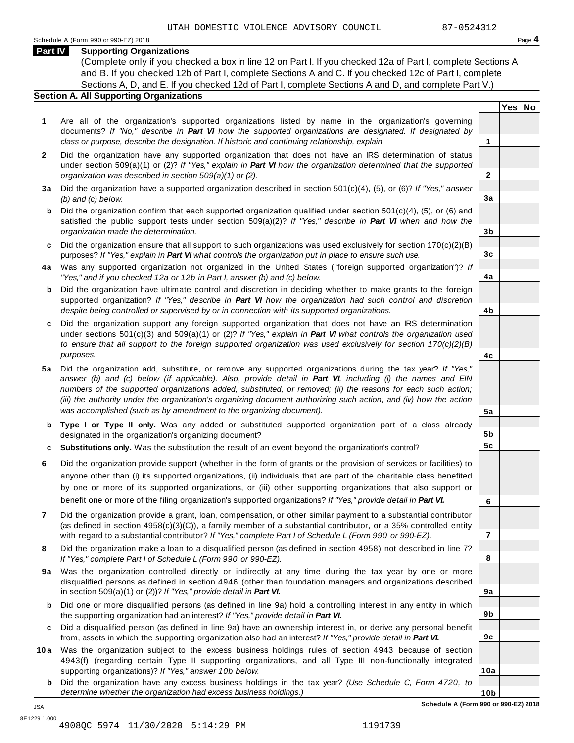**2**

**3a**

**3b**

**3c**

**4a**

**4b**

**4c**

**5a**

**5b 5c**

**6**

**7**

**8**

**9a**

**9b**

**9c**

**10a**

#### **Part IV Supporting Organizations**

(Complete only if you checked a box in line 12 on Part I. If you checked 12a of Part I, complete Sections A and B. If you checked 12b of Part I, complete Sections A and C. If you checked 12c of Part I, complete Sections A, D, and E. If you checked 12d of Part I, complete Sections A and D, and complete Part V.)

#### **Section A. All Supporting Organizations**

- **1** Are all of the organization's supported organizations listed by name in the organization's governing documents? *If "No," describe in Part VI how the supported organizations are designated. If designated by class or purpose, describe the designation. If historic and continuing relationship, explain.* **1**
- **2** Did the organization have any supported organization that does not have an IRS determination of status under section 509(a)(1) or (2)? *If"Yes," explain in Part VI how the organization determined that the supported organization was described in section 509(a)(1) or (2).*
- **3 a** Did the organization have a supported organization described in section 501(c)(4), (5), or (6)? *If "Yes," answer (b) and (c) below.*
- **b** Did the organization confirm that each supported organization qualified under section 501(c)(4), (5), or (6) and | satisfied the public support tests under section 509(a)(2)? *If "Yes," describe in Part VI when and how the organization made the determination.*
- **c** Did the organization ensure that all support to such organizations was used exclusively for section 170(c)(2)(B) purposes? *If"Yes," explain in Part VI what controls the organization put in place to ensure such use.*
- **4 a** Was any supported organization not organized in the United States ("foreign supported organization")? *If "Yes," and if you checked 12a or 12b in Part I, answer (b) and (c) below.*
- **b** Did the organization have ultimate control and discretion in deciding whether to make grants to the foreign | supported organization? *If "Yes," describe in Part VI how the organization had such control and discretion despite being controlled or supervised by or in connection with its supported organizations.*
- **c** Did the organization support any foreign supported organization that does not have an IRS determination | under sections 501(c)(3) and 509(a)(1) or (2)? *If "Yes," explain in Part VI what controls the organization used to ensure that all support to the foreign supported organization was used exclusively for section 170(c)(2)(B) purposes.*
- **5 a** Did the organization add, substitute, or remove any supported organizations during the tax year? *If "Yes,"* answer (b) and (c) below (if applicable). Also, provide detail in Part VI, including (i) the names and EIN *numbers of the supported organizations added, substituted, or removed; (ii) the reasons for each such action;* (iii) the authority under the organization's organizing document authorizing such action; and (iv) how the action *was accomplished (such as by amendment to the organizing document).*
- **b Type I or Type II only.** Was any added or substituted supported organization part of a class already designated in the organization's organizing document?
- **c Substitutions only.** Was the substitution the result of an event beyond the organization's control?
- **6** Did the organization provide support (whether in the form of grants or the provision of services or facilities) to anyone other than (i) its supported organizations, (ii) individuals that are part of the charitable class benefited by one or more of its supported organizations, or (iii) other supporting organizations that also support or benefit one or more of the filing organization's supported organizations? *If"Yes," provide detail in Part VI.*
- **7** Did the organization provide a grant, loan, compensation, or other similar payment to a substantial contributor (as defined in section 4958(c)(3)(C)), a family member of a substantial contributor, or a 35% controlled entity with regard to a substantial contributor? *If"Yes," complete Part I of Schedule L (Form 990 or 990-EZ).*
- **8** Did the organization make a loan to a disqualified person (as defined in section 4958) not described in line 7? *If "Yes," complete Part I of Schedule L (Form 990 or 990-EZ).*
- **9a** Was the organization controlled directly or indirectly at any time during the tax year by one or more | disqualified persons as defined in section 4946 (other than foundation managers and organizations described in section 509(a)(1) or (2))? *If"Yes," provide detail in Part VI.*
- **b** Did one or more disqualified persons (as defined in line 9a) hold a controlling interest in any entity in which | the supporting organization had an interest? *If"Yes," provide detail in Part VI.*
- **c** Did a disqualified person (as defined in line 9a) have an ownership interest in, or derive any personal benefit from, assets in which the supporting organization also had an interest? *If"Yes," provide detail in Part VI.*
- **10a** Was the organization subject to the excess business holdings rules of section 4943 because of section | 4943(f) (regarding certain Type II supporting organizations, and all Type III non-functionally integrated supporting organizations)? *If"Yes," answer 10b below.*
	- **b** Did the organization have any excess business holdings in the tax year? *(Use Schedule C, Form 4720, to determine whether the organization had excess business holdings.)*

**Yes No**

JSA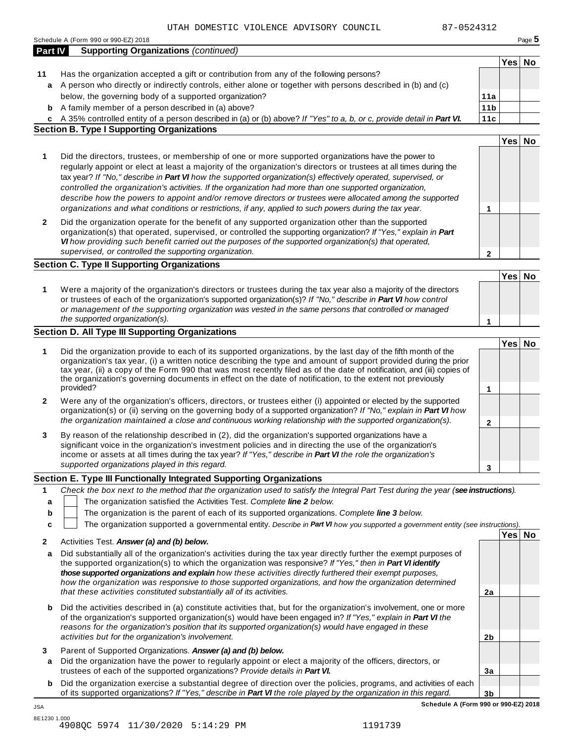|                | Schedule A (Form 990 or 990-EZ) 2018                                                                                                                                                                                                     |                        |        | Page 5 |
|----------------|------------------------------------------------------------------------------------------------------------------------------------------------------------------------------------------------------------------------------------------|------------------------|--------|--------|
| <b>Part IV</b> | <b>Supporting Organizations (continued)</b>                                                                                                                                                                                              |                        |        |        |
|                |                                                                                                                                                                                                                                          |                        | Yes No |        |
| 11             | Has the organization accepted a gift or contribution from any of the following persons?<br>A person who directly or indirectly controls, either alone or together with persons described in (b) and (c)                                  |                        |        |        |
| a              | below, the governing body of a supported organization?                                                                                                                                                                                   |                        |        |        |
|                |                                                                                                                                                                                                                                          | 11a<br>11 <sub>b</sub> |        |        |
| b              | A family member of a person described in (a) above?                                                                                                                                                                                      |                        |        |        |
| c              | A 35% controlled entity of a person described in (a) or (b) above? If "Yes" to a, b, or c, provide detail in Part VI.<br><b>Section B. Type I Supporting Organizations</b>                                                               | 11c                    |        |        |
|                |                                                                                                                                                                                                                                          |                        | Yes No |        |
|                |                                                                                                                                                                                                                                          |                        |        |        |
| 1              | Did the directors, trustees, or membership of one or more supported organizations have the power to                                                                                                                                      |                        |        |        |
|                | regularly appoint or elect at least a majority of the organization's directors or trustees at all times during the                                                                                                                       |                        |        |        |
|                | tax year? If "No," describe in Part VI how the supported organization(s) effectively operated, supervised, or                                                                                                                            |                        |        |        |
|                | controlled the organization's activities. If the organization had more than one supported organization,                                                                                                                                  |                        |        |        |
|                | describe how the powers to appoint and/or remove directors or trustees were allocated among the supported<br>organizations and what conditions or restrictions, if any, applied to such powers during the tax year.                      | 1                      |        |        |
| $\mathbf{2}$   | Did the organization operate for the benefit of any supported organization other than the supported                                                                                                                                      |                        |        |        |
|                | organization(s) that operated, supervised, or controlled the supporting organization? If "Yes," explain in Part                                                                                                                          |                        |        |        |
|                | VI how providing such benefit carried out the purposes of the supported organization(s) that operated,                                                                                                                                   |                        |        |        |
|                | supervised, or controlled the supporting organization.                                                                                                                                                                                   | $\mathbf{2}$           |        |        |
|                | <b>Section C. Type II Supporting Organizations</b>                                                                                                                                                                                       |                        |        |        |
|                |                                                                                                                                                                                                                                          |                        | Yes No |        |
| 1              | Were a majority of the organization's directors or trustees during the tax year also a majority of the directors                                                                                                                         |                        |        |        |
|                | or trustees of each of the organization's supported organization(s)? If "No," describe in Part VI how control                                                                                                                            |                        |        |        |
|                | or management of the supporting organization was vested in the same persons that controlled or managed                                                                                                                                   |                        |        |        |
|                | the supported organization(s).                                                                                                                                                                                                           | 1                      |        |        |
|                | Section D. All Type III Supporting Organizations                                                                                                                                                                                         |                        |        |        |
|                |                                                                                                                                                                                                                                          |                        | Yes No |        |
| 1              | Did the organization provide to each of its supported organizations, by the last day of the fifth month of the                                                                                                                           |                        |        |        |
|                | organization's tax year, (i) a written notice describing the type and amount of support provided during the prior                                                                                                                        |                        |        |        |
|                | tax year, (ii) a copy of the Form 990 that was most recently filed as of the date of notification, and (iii) copies of<br>the organization's governing documents in effect on the date of notification, to the extent not previously     |                        |        |        |
|                | provided?                                                                                                                                                                                                                                | 1                      |        |        |
| 2              | Were any of the organization's officers, directors, or trustees either (i) appointed or elected by the supported                                                                                                                         |                        |        |        |
|                | organization(s) or (ii) serving on the governing body of a supported organization? If "No," explain in Part VI how                                                                                                                       |                        |        |        |
|                | the organization maintained a close and continuous working relationship with the supported organization(s).                                                                                                                              |                        |        |        |
|                |                                                                                                                                                                                                                                          | $\mathbf 2$            |        |        |
| 3              | By reason of the relationship described in (2), did the organization's supported organizations have a                                                                                                                                    |                        |        |        |
|                | significant voice in the organization's investment policies and in directing the use of the organization's                                                                                                                               |                        |        |        |
|                | income or assets at all times during the tax year? If "Yes," describe in Part VI the role the organization's                                                                                                                             |                        |        |        |
|                | supported organizations played in this regard.                                                                                                                                                                                           | 3                      |        |        |
|                | Section E. Type III Functionally Integrated Supporting Organizations                                                                                                                                                                     |                        |        |        |
| 1              | Check the box next to the method that the organization used to satisfy the Integral Part Test during the year (see instructions).                                                                                                        |                        |        |        |
| a              | The organization satisfied the Activities Test. Complete line 2 below.                                                                                                                                                                   |                        |        |        |
| b              | The organization is the parent of each of its supported organizations. Complete line 3 below.                                                                                                                                            |                        |        |        |
| C              | The organization supported a governmental entity. Describe in Part VI how you supported a government entity (see instructions).                                                                                                          |                        |        |        |
|                | Activities Test. Answer (a) and (b) below.                                                                                                                                                                                               |                        | Yes No |        |
|                |                                                                                                                                                                                                                                          |                        |        |        |
| 2              |                                                                                                                                                                                                                                          |                        |        |        |
| a              | Did substantially all of the organization's activities during the tax year directly further the exempt purposes of                                                                                                                       |                        |        |        |
|                | the supported organization(s) to which the organization was responsive? If "Yes," then in Part VI identify                                                                                                                               |                        |        |        |
|                | those supported organizations and explain how these activities directly furthered their exempt purposes,                                                                                                                                 |                        |        |        |
|                | how the organization was responsive to those supported organizations, and how the organization determined                                                                                                                                | 2a                     |        |        |
|                | that these activities constituted substantially all of its activities.                                                                                                                                                                   |                        |        |        |
| b              | Did the activities described in (a) constitute activities that, but for the organization's involvement, one or more                                                                                                                      |                        |        |        |
|                | of the organization's supported organization(s) would have been engaged in? If "Yes," explain in Part VI the                                                                                                                             |                        |        |        |
|                | reasons for the organization's position that its supported organization(s) would have engaged in these                                                                                                                                   |                        |        |        |
|                | activities but for the organization's involvement.                                                                                                                                                                                       | 2 <sub>b</sub>         |        |        |
|                | Parent of Supported Organizations. Answer (a) and (b) below.                                                                                                                                                                             |                        |        |        |
| a              | Did the organization have the power to regularly appoint or elect a majority of the officers, directors, or                                                                                                                              |                        |        |        |
| 3              | trustees of each of the supported organizations? Provide details in Part VI.                                                                                                                                                             | 3a                     |        |        |
| b              | Did the organization exercise a substantial degree of direction over the policies, programs, and activities of each<br>of its supported organizations? If "Yes," describe in Part VI the role played by the organization in this regard. | 3 <sub>b</sub>         |        |        |

8E1230 1.000 4908QC 5974 11/30/2020 5:14:29 PM 1191739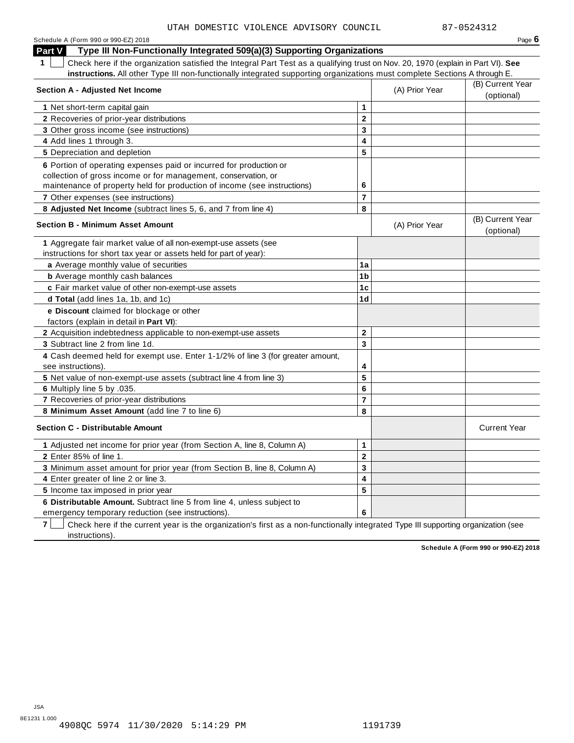| Schedule A (Form 990 or 990-EZ) 2018                                                                                                            |                         |                | Page $6$                       |
|-------------------------------------------------------------------------------------------------------------------------------------------------|-------------------------|----------------|--------------------------------|
| Type III Non-Functionally Integrated 509(a)(3) Supporting Organizations<br><b>Part V</b>                                                        |                         |                |                                |
| $\mathbf 1$<br>Check here if the organization satisfied the Integral Part Test as a qualifying trust on Nov. 20, 1970 (explain in Part VI). See |                         |                |                                |
| instructions. All other Type III non-functionally integrated supporting organizations must complete Sections A through E.                       |                         |                |                                |
| <b>Section A - Adjusted Net Income</b>                                                                                                          |                         | (A) Prior Year | (B) Current Year               |
|                                                                                                                                                 |                         |                | (optional)                     |
| 1 Net short-term capital gain                                                                                                                   | $\mathbf{1}$            |                |                                |
| 2 Recoveries of prior-year distributions                                                                                                        | $\overline{2}$          |                |                                |
| 3 Other gross income (see instructions)                                                                                                         | 3                       |                |                                |
| 4 Add lines 1 through 3.                                                                                                                        | 4                       |                |                                |
| 5 Depreciation and depletion                                                                                                                    | 5                       |                |                                |
| 6 Portion of operating expenses paid or incurred for production or                                                                              |                         |                |                                |
| collection of gross income or for management, conservation, or                                                                                  |                         |                |                                |
| maintenance of property held for production of income (see instructions)                                                                        | 6                       |                |                                |
| 7 Other expenses (see instructions)                                                                                                             | $\overline{7}$          |                |                                |
| 8 Adjusted Net Income (subtract lines 5, 6, and 7 from line 4)                                                                                  | 8                       |                |                                |
| <b>Section B - Minimum Asset Amount</b>                                                                                                         |                         | (A) Prior Year | (B) Current Year<br>(optional) |
| 1 Aggregate fair market value of all non-exempt-use assets (see                                                                                 |                         |                |                                |
| instructions for short tax year or assets held for part of year):                                                                               |                         |                |                                |
| a Average monthly value of securities                                                                                                           | 1a                      |                |                                |
| <b>b</b> Average monthly cash balances                                                                                                          | 1 <sub>b</sub>          |                |                                |
| c Fair market value of other non-exempt-use assets                                                                                              | 1 <sub>c</sub>          |                |                                |
| d Total (add lines 1a, 1b, and 1c)                                                                                                              | 1d                      |                |                                |
| e Discount claimed for blockage or other<br>factors (explain in detail in <b>Part VI</b> ):                                                     |                         |                |                                |
| 2 Acquisition indebtedness applicable to non-exempt-use assets                                                                                  | $\mathbf{2}$            |                |                                |
| 3 Subtract line 2 from line 1d.                                                                                                                 | 3                       |                |                                |
| 4 Cash deemed held for exempt use. Enter 1-1/2% of line 3 (for greater amount,<br>see instructions).                                            | 4                       |                |                                |
| 5 Net value of non-exempt-use assets (subtract line 4 from line 3)                                                                              | 5                       |                |                                |
| 6 Multiply line 5 by .035.                                                                                                                      | $6\phantom{1}6$         |                |                                |
| 7 Recoveries of prior-year distributions                                                                                                        | $\overline{7}$          |                |                                |
| 8 Minimum Asset Amount (add line 7 to line 6)                                                                                                   | 8                       |                |                                |
| <b>Section C - Distributable Amount</b>                                                                                                         |                         |                | <b>Current Year</b>            |
| 1 Adjusted net income for prior year (from Section A, line 8, Column A)                                                                         | $\mathbf 1$             |                |                                |
| 2 Enter 85% of line 1.                                                                                                                          | $\mathbf 2$             |                |                                |
| 3 Minimum asset amount for prior year (from Section B, line 8, Column A)                                                                        | 3                       |                |                                |
| 4 Enter greater of line 2 or line 3.                                                                                                            | $\overline{\mathbf{4}}$ |                |                                |
| 5 Income tax imposed in prior year                                                                                                              | 5                       |                |                                |
| 6 Distributable Amount. Subtract line 5 from line 4, unless subject to                                                                          |                         |                |                                |
| emergency temporary reduction (see instructions).                                                                                               | 6                       |                |                                |

**7** | Check here if the current year is the organization's first as a non-functionally integrated Type III supporting organization (see instructions).

**Schedule A (Form 990 or 990-EZ) 2018**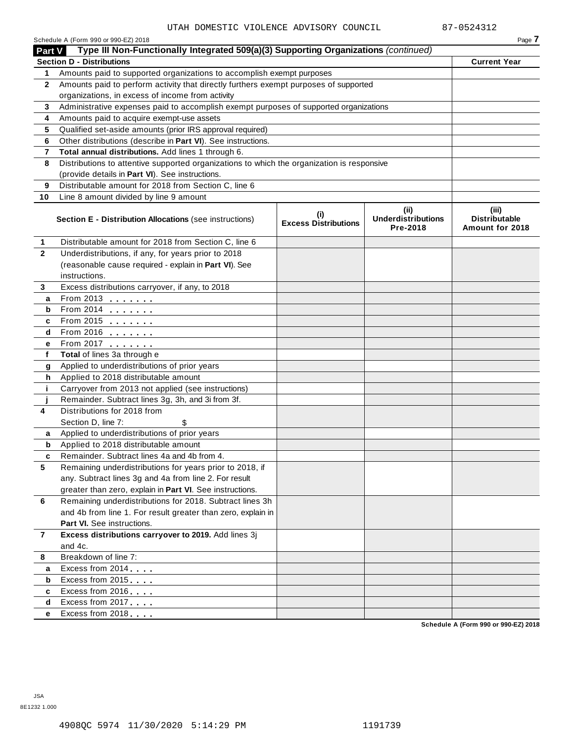|                | Schedule A (Form 990 or 990-EZ) 2018                                                                                                     |                                    |                                               | Page 7                                           |
|----------------|------------------------------------------------------------------------------------------------------------------------------------------|------------------------------------|-----------------------------------------------|--------------------------------------------------|
| <b>Part V</b>  | Type III Non-Functionally Integrated 509(a)(3) Supporting Organizations (continued)                                                      |                                    |                                               |                                                  |
|                | <b>Section D - Distributions</b>                                                                                                         |                                    |                                               | <b>Current Year</b>                              |
| 1              | Amounts paid to supported organizations to accomplish exempt purposes                                                                    |                                    |                                               |                                                  |
| $\mathbf{2}$   | Amounts paid to perform activity that directly furthers exempt purposes of supported<br>organizations, in excess of income from activity |                                    |                                               |                                                  |
|                |                                                                                                                                          |                                    |                                               |                                                  |
| 3              | Administrative expenses paid to accomplish exempt purposes of supported organizations                                                    |                                    |                                               |                                                  |
| 4              | Amounts paid to acquire exempt-use assets<br>Qualified set-aside amounts (prior IRS approval required)                                   |                                    |                                               |                                                  |
| 5<br>6         | Other distributions (describe in Part VI). See instructions.                                                                             |                                    |                                               |                                                  |
| 7              | Total annual distributions. Add lines 1 through 6.                                                                                       |                                    |                                               |                                                  |
| 8              | Distributions to attentive supported organizations to which the organization is responsive                                               |                                    |                                               |                                                  |
|                | (provide details in Part VI). See instructions.                                                                                          |                                    |                                               |                                                  |
| 9              | Distributable amount for 2018 from Section C, line 6                                                                                     |                                    |                                               |                                                  |
| 10             | Line 8 amount divided by line 9 amount                                                                                                   |                                    |                                               |                                                  |
|                |                                                                                                                                          |                                    |                                               |                                                  |
|                | <b>Section E - Distribution Allocations (see instructions)</b>                                                                           | (i)<br><b>Excess Distributions</b> | (ii)<br><b>Underdistributions</b><br>Pre-2018 | (iii)<br><b>Distributable</b><br>Amount for 2018 |
| 1              | Distributable amount for 2018 from Section C, line 6                                                                                     |                                    |                                               |                                                  |
| $\mathbf{2}$   | Underdistributions, if any, for years prior to 2018                                                                                      |                                    |                                               |                                                  |
|                | (reasonable cause required - explain in Part VI). See                                                                                    |                                    |                                               |                                                  |
|                | instructions.                                                                                                                            |                                    |                                               |                                                  |
| 3              | Excess distributions carryover, if any, to 2018                                                                                          |                                    |                                               |                                                  |
| а              | From 2013 $\frac{1}{2}$                                                                                                                  |                                    |                                               |                                                  |
| b              | From 2014 $\frac{2014}{20}$                                                                                                              |                                    |                                               |                                                  |
| c              | From 2015 $\frac{1}{2}$                                                                                                                  |                                    |                                               |                                                  |
| d              | From 2016 $\frac{2016}{200}$                                                                                                             |                                    |                                               |                                                  |
| е              | From 2017 <b>Figure 1.1 (19)</b>                                                                                                         |                                    |                                               |                                                  |
| f              | Total of lines 3a through e                                                                                                              |                                    |                                               |                                                  |
| g              | Applied to underdistributions of prior years                                                                                             |                                    |                                               |                                                  |
| h              | Applied to 2018 distributable amount                                                                                                     |                                    |                                               |                                                  |
| j.             | Carryover from 2013 not applied (see instructions)                                                                                       |                                    |                                               |                                                  |
|                | Remainder. Subtract lines 3g, 3h, and 3i from 3f.                                                                                        |                                    |                                               |                                                  |
| 4              | Distributions for 2018 from                                                                                                              |                                    |                                               |                                                  |
|                | Section D, line 7:<br>\$                                                                                                                 |                                    |                                               |                                                  |
| a              | Applied to underdistributions of prior years                                                                                             |                                    |                                               |                                                  |
| b              | Applied to 2018 distributable amount<br>Remainder. Subtract lines 4a and 4b from 4.                                                      |                                    |                                               |                                                  |
| c<br>5         | Remaining underdistributions for years prior to 2018, if                                                                                 |                                    |                                               |                                                  |
|                | any. Subtract lines 3g and 4a from line 2. For result                                                                                    |                                    |                                               |                                                  |
|                | greater than zero, explain in Part VI. See instructions.                                                                                 |                                    |                                               |                                                  |
| 6              | Remaining underdistributions for 2018. Subtract lines 3h                                                                                 |                                    |                                               |                                                  |
|                | and 4b from line 1. For result greater than zero, explain in                                                                             |                                    |                                               |                                                  |
|                | Part VI. See instructions.                                                                                                               |                                    |                                               |                                                  |
| $\overline{7}$ | Excess distributions carryover to 2019. Add lines 3j                                                                                     |                                    |                                               |                                                  |
|                | and 4c.                                                                                                                                  |                                    |                                               |                                                  |
| 8              | Breakdown of line 7:                                                                                                                     |                                    |                                               |                                                  |
| а              | Excess from 2014                                                                                                                         |                                    |                                               |                                                  |
| b              | Excess from 2015                                                                                                                         |                                    |                                               |                                                  |
| c              | Excess from 2016                                                                                                                         |                                    |                                               |                                                  |
| d              | Excess from 2017                                                                                                                         |                                    |                                               |                                                  |
| е              | Excess from 2018                                                                                                                         |                                    |                                               |                                                  |
|                |                                                                                                                                          |                                    |                                               |                                                  |

**Schedule A (Form 990 or 990-EZ) 2018**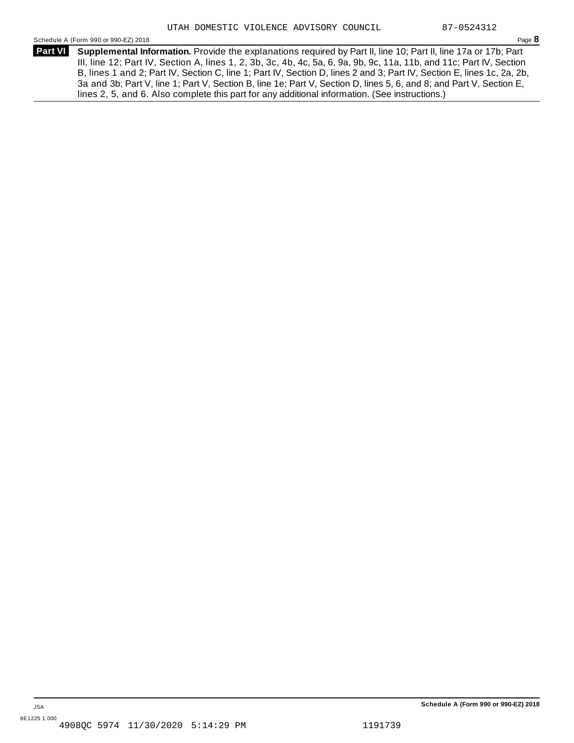Schedule <sup>A</sup> (Form <sup>990</sup> or 990-EZ) <sup>2018</sup> Page **8**

**Supplemental Information.** Provide the explanations required by Part II, line 10; Part II, line 17a or 17b; Part **Part VI** III, line 12; Part IV, Section A, lines 1, 2, 3b, 3c, 4b, 4c, 5a, 6, 9a, 9b, 9c, 11a, 11b, and 11c; Part IV, Section B, lines 1 and 2; Part IV, Section C, line 1; Part IV, Section D, lines 2 and 3; Part IV, Section E, lines 1c, 2a, 2b, 3a and 3b; Part V, line 1; Part V, Section B, line 1e; Part V, Section D, lines 5, 6, and 8; and Part V, Section E, lines 2, 5, and 6. Also complete this part for any additional information. (See instructions.)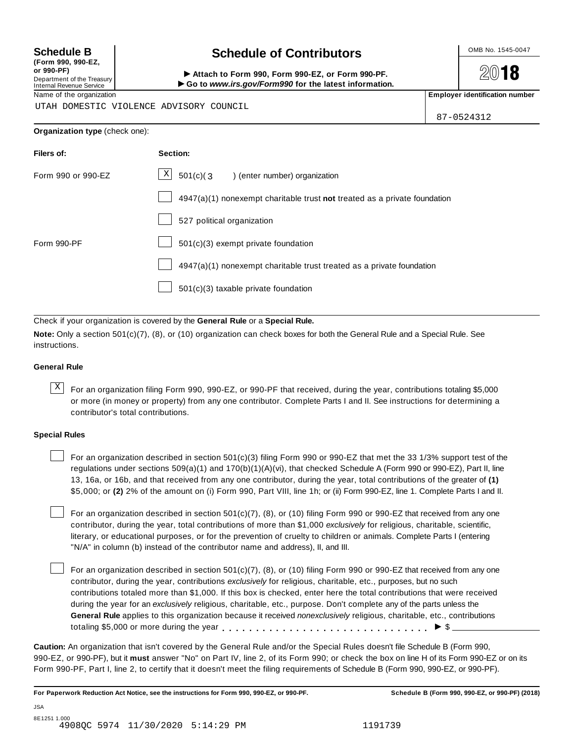**(Form 990, 990-EZ, or 990-PF)** Department of the Treasury<br>Internal Revenue Service

## **Schedule B chedule of Contributors**

(Porm 990, Form 990, Form 990-EZ, or Form 990-PF.<br>Department of the Treasury → Attach to Form 990, Form 990-EZ, or Form 990-PF.<br>Internal Revenue Service → → Go to www.irs.gov/Form990 for the latest information.<br>Name of th

**2018** 

UTAH DOMESTIC VIOLENCE ADVISORY COUNCIL

87-0524312

|  | Organization type (check one): |  |
|--|--------------------------------|--|
|--|--------------------------------|--|

| Filers of:         | Section:                                                                    |
|--------------------|-----------------------------------------------------------------------------|
| Form 990 or 990-EZ | $\vert X \vert$<br>$501(c)$ $(3$<br>) (enter number) organization           |
|                    | $4947(a)(1)$ nonexempt charitable trust not treated as a private foundation |
|                    | 527 political organization                                                  |
| Form 990-PF        | $501(c)(3)$ exempt private foundation                                       |
|                    | $4947(a)(1)$ nonexempt charitable trust treated as a private foundation     |
|                    | $501(c)(3)$ taxable private foundation                                      |

Check if your organization is covered by the **General Rule** or a **Special Rule.**

**Note:** Only a section 501(c)(7), (8), or (10) organization can check boxes for both the General Rule and a Special Rule. See instructions.

#### **General Rule**

 $\overline{X}$  For an organization filing Form 990, 990-EZ, or 990-PF that received, during the year, contributions totaling \$5,000 or more (in money or property) from any one contributor. Complete Parts I and II. See instructions for determining a contributor's total contributions.

#### **Special Rules**

For an organization described in section 501(c)(3) filing Form 990 or 990-EZ that met the 33 1/3% support test of the regulations under sections 509(a)(1) and 170(b)(1)(A)(vi), that checked Schedule A (Form 990 or 990-EZ), Part II, line 13, 16a, or 16b, and that received from any one contributor, during the year, total contributions of the greater of **(1)** \$5,000; or **(2)** 2% of the amount on (i) Form 990, Part VIII, line 1h; or (ii) Form 990-EZ, line 1. Complete Parts I and II.

For an organization described in section 501(c)(7), (8), or (10) filing Form 990 or 990-EZ that received from any one contributor, during the year, total contributions of more than \$1,000 *exclusively* for religious, charitable, scientific, literary, or educational purposes, or for the prevention of cruelty to children or animals. Complete Parts I (entering "N/A" in column (b) instead of the contributor name and address), II, and III.

For an organization described in section  $501(c)(7)$ , (8), or (10) filing Form 990 or 990-EZ that received from any one contributor, during the year, contributions *exclusively* for religious, charitable, etc., purposes, but no such contributions totaled more than \$1,000. If this box is checked, enter here the total contributions that were received during the year for an *exclusively* religious, charitable, etc., purpose. Don't complete any of the parts unless the **General Rule** applies to this organization because it received *nonexclusively* religious, charitable, etc., contributions totaling \$5,000 or more during the year  $\ldots \ldots \ldots \ldots \ldots \ldots \ldots \ldots \ldots \vdots \ldots \vdots$ 

**Caution:** An organization that isn't covered by the General Rule and/or the Special Rules doesn't file Schedule B (Form 990, 990-EZ, or 990-PF), but it **must** answer "No" on Part IV, line 2, of its Form 990; or check the box on line H of its Form 990-EZ or on its Form 990-PF, Part I, line 2, to certify that it doesn't meet the filing requirements of Schedule B (Form 990, 990-EZ, or 990-PF).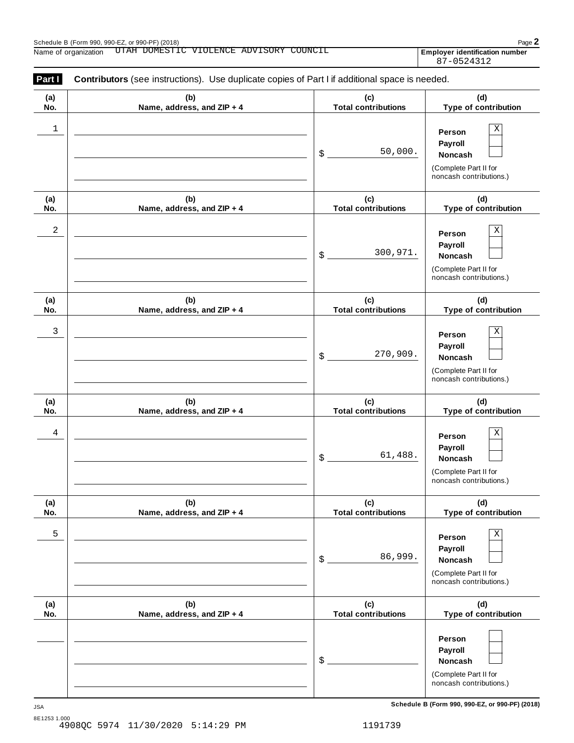Employer identification number<br>87-0524312

| (a)        | (b)                               | (c)                               | (d)                                              |
|------------|-----------------------------------|-----------------------------------|--------------------------------------------------|
| No.        | Name, address, and ZIP + 4        | <b>Total contributions</b>        | Type of contribution                             |
|            |                                   |                                   |                                                  |
| 1          |                                   |                                   | X<br>Person                                      |
|            |                                   |                                   | Payroll                                          |
|            |                                   | 50,000.<br>\$                     | Noncash                                          |
|            |                                   |                                   | (Complete Part II for                            |
|            |                                   |                                   | noncash contributions.)                          |
| (a)        | (b)                               | (c)                               | (d)                                              |
| No.        | Name, address, and ZIP + 4        | <b>Total contributions</b>        | Type of contribution                             |
| 2          |                                   |                                   | $\rm X$                                          |
|            |                                   |                                   | Person                                           |
|            |                                   | 300,971.<br>\$                    | Payroll<br>Noncash                               |
|            |                                   |                                   |                                                  |
|            |                                   |                                   | (Complete Part II for<br>noncash contributions.) |
| (a)        | (b)                               | (c)                               | (d)                                              |
| No.        | Name, address, and ZIP + 4        | <b>Total contributions</b>        | Type of contribution                             |
| 3          |                                   |                                   | Χ<br>Person                                      |
|            |                                   |                                   | Payroll                                          |
|            |                                   | 270,909.<br>\$                    | Noncash                                          |
|            |                                   |                                   | (Complete Part II for                            |
|            |                                   |                                   | noncash contributions.)                          |
| (a)<br>No. | (b)<br>Name, address, and ZIP + 4 | (c)<br><b>Total contributions</b> | (d)<br>Type of contribution                      |
|            |                                   |                                   |                                                  |
| 4          |                                   |                                   | $\rm X$<br>Person                                |
|            |                                   |                                   | Payroll                                          |
|            |                                   | 61,488.<br>\$                     | Noncash                                          |
|            |                                   |                                   | (Complete Part II for                            |
|            |                                   |                                   | noncash contributions.)                          |
| (a)        | (b)                               | (c)                               | (d)                                              |
| No.        | Name, address, and ZIP + 4        | <b>Total contributions</b>        | Type of contribution                             |
|            |                                   |                                   |                                                  |
| 5          |                                   |                                   | Χ<br>Person                                      |
|            |                                   | 86,999.                           | Payroll                                          |
|            |                                   | \$                                | <b>Noncash</b>                                   |
|            |                                   |                                   | (Complete Part II for                            |
|            |                                   |                                   | noncash contributions.)                          |
| (a)        | (b)                               | (c)                               | (d)                                              |
| No.        | Name, address, and ZIP + 4        | <b>Total contributions</b>        | Type of contribution                             |
|            |                                   |                                   |                                                  |
|            |                                   |                                   | Person                                           |
|            |                                   | \$                                | Payroll<br>Noncash                               |
|            |                                   |                                   |                                                  |
|            |                                   |                                   |                                                  |
|            |                                   |                                   | (Complete Part II for<br>noncash contributions.) |

**Schedule B (Form 990, 990-EZ, or 990-PF) (2018)** JSA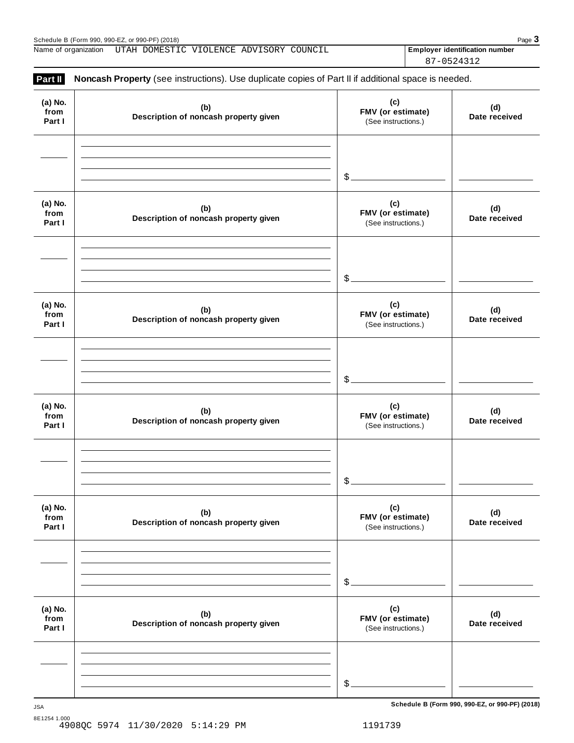Name of organization UTAH DOMESTIC VIOLENCE ADVISORY COUNCIL **Final Contract Latentification number** 

87-0524312

| (a) No.<br>from<br>Part I | (b)<br>Description of noncash property given | (c)<br>FMV (or estimate)<br>(See instructions.) | (d)<br>Date received |
|---------------------------|----------------------------------------------|-------------------------------------------------|----------------------|
|                           |                                              | $\frac{2}{2}$                                   |                      |
| (a) No.<br>from<br>Part I | (b)<br>Description of noncash property given | (c)<br>FMV (or estimate)<br>(See instructions.) | (d)<br>Date received |
|                           |                                              | $\frac{1}{2}$                                   |                      |
| (a) No.<br>from<br>Part I | (b)<br>Description of noncash property given | (c)<br>FMV (or estimate)<br>(See instructions.) | (d)<br>Date received |
|                           |                                              | $\frac{2}{2}$                                   |                      |
| (a) No.<br>from<br>Part I | (b)<br>Description of noncash property given | (c)<br>FMV (or estimate)<br>(See instructions.) | (d)<br>Date received |
|                           |                                              | \$.                                             |                      |
| (a) No.<br>from<br>Part I | (b)<br>Description of noncash property given | (c)<br>FMV (or estimate)<br>(See instructions.) | (d)<br>Date received |
|                           |                                              | \$                                              |                      |
| (a) No.<br>from<br>Part I | (b)<br>Description of noncash property given | (c)<br>FMV (or estimate)<br>(See instructions.) | (d)<br>Date received |
|                           |                                              |                                                 |                      |

**Schedule B (Form 990, 990-EZ, or 990-PF) (2018)** JSA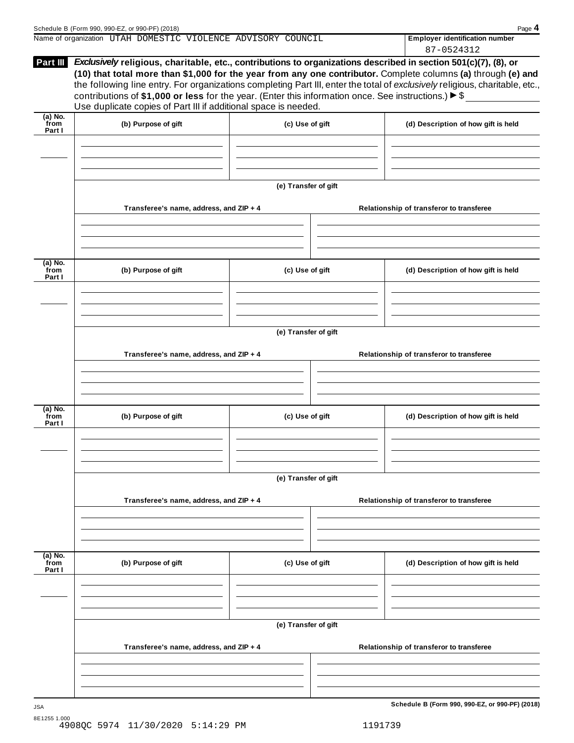|                           | Name of organization UTAH DOMESTIC VIOLENCE ADVISORY COUNCIL                                                                                                                                                                                                                                              |                      | <b>Employer identification number</b>                                                                                                                                                                                                         |
|---------------------------|-----------------------------------------------------------------------------------------------------------------------------------------------------------------------------------------------------------------------------------------------------------------------------------------------------------|----------------------|-----------------------------------------------------------------------------------------------------------------------------------------------------------------------------------------------------------------------------------------------|
|                           |                                                                                                                                                                                                                                                                                                           |                      | 87-0524312                                                                                                                                                                                                                                    |
| Part III                  | Exclusively religious, charitable, etc., contributions to organizations described in section 501(c)(7), (8), or<br>contributions of \$1,000 or less for the year. (Enter this information once. See instructions.) $\triangleright$ \$<br>Use duplicate copies of Part III if additional space is needed. |                      | (10) that total more than \$1,000 for the year from any one contributor. Complete columns (a) through (e) and<br>the following line entry. For organizations completing Part III, enter the total of exclusively religious, charitable, etc., |
| (a) No.<br>from<br>Part I | (b) Purpose of gift                                                                                                                                                                                                                                                                                       | (c) Use of gift      | (d) Description of how gift is held                                                                                                                                                                                                           |
|                           | Transferee's name, address, and ZIP + 4                                                                                                                                                                                                                                                                   | (e) Transfer of gift | Relationship of transferor to transferee                                                                                                                                                                                                      |

| (b) Purpose of gift |                                                                                    | (d) Description of how gift is held                                                                   |
|---------------------|------------------------------------------------------------------------------------|-------------------------------------------------------------------------------------------------------|
|                     |                                                                                    |                                                                                                       |
|                     |                                                                                    |                                                                                                       |
|                     |                                                                                    | Relationship of transferor to transferee                                                              |
|                     |                                                                                    |                                                                                                       |
| (b) Purpose of gift |                                                                                    | (d) Description of how gift is held                                                                   |
|                     |                                                                                    |                                                                                                       |
|                     |                                                                                    |                                                                                                       |
|                     |                                                                                    | Relationship of transferor to transferee                                                              |
|                     |                                                                                    |                                                                                                       |
| (b) Purpose of gift |                                                                                    | (d) Description of how gift is held                                                                   |
|                     | Transferee's name, address, and ZIP + 4<br>Transferee's name, address, and ZIP + 4 | (c) Use of gift<br>(e) Transfer of gift<br>(c) Use of gift<br>(e) Transfer of gift<br>(c) Use of gift |

**(e) Transfer of gift**

**Transferee's name, address, and ZIP + 4 Relationship of transferor to transferee**

**Schedule B (Form 990, 990-EZ, or 990-PF) (2018)** JSA 8E1255 1.000 4908QC 5974 11/30/2020 5:14:29 PM 1191739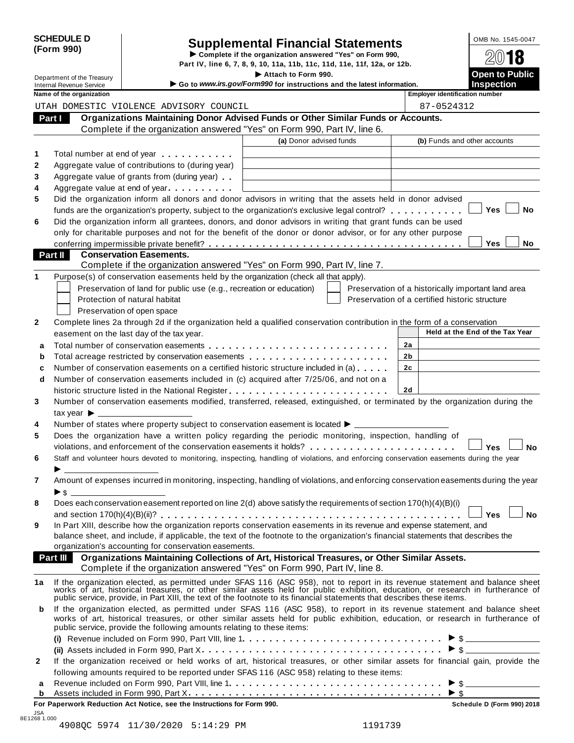| <b>SCHEDULE D</b> |  |
|-------------------|--|
| (Form 990)        |  |

# SCHEDULE D<br>
Supplemental Financial Statements<br>
Form 990)<br>
Part IV, line 6, 7, 8, 9, 10, 11a, 11b, 11c, 11d, 11e, 11f, 12a, or 12b.<br>
Part IV, line 6, 7, 8, 9, 10, 11a, 11b, 11c, 11d, 11e, 11f, 12a, or 12b.

|                                 |                                  |                                                                        | Part IV, line 6, 7, 8, 9, 10, 11a, 11b, 11c, 11d, 11e, 11f, 12a, or 12b.                                                                                                                                                                                                                                                                                  |                                                    |                                            |
|---------------------------------|----------------------------------|------------------------------------------------------------------------|-----------------------------------------------------------------------------------------------------------------------------------------------------------------------------------------------------------------------------------------------------------------------------------------------------------------------------------------------------------|----------------------------------------------------|--------------------------------------------|
| <b>Internal Revenue Service</b> | Department of the Treasury       |                                                                        | Attach to Form 990.<br>Go to www.irs.gov/Form990 for instructions and the latest information.                                                                                                                                                                                                                                                             |                                                    | <b>Open to Public</b><br><b>Inspection</b> |
|                                 | Name of the organization         |                                                                        |                                                                                                                                                                                                                                                                                                                                                           | <b>Employer identification number</b>              |                                            |
|                                 |                                  | UTAH DOMESTIC VIOLENCE ADVISORY COUNCIL                                |                                                                                                                                                                                                                                                                                                                                                           | 87-0524312                                         |                                            |
| Part I                          |                                  |                                                                        | Organizations Maintaining Donor Advised Funds or Other Similar Funds or Accounts.                                                                                                                                                                                                                                                                         |                                                    |                                            |
|                                 |                                  |                                                                        | Complete if the organization answered "Yes" on Form 990, Part IV, line 6.                                                                                                                                                                                                                                                                                 |                                                    |                                            |
|                                 |                                  |                                                                        | (a) Donor advised funds                                                                                                                                                                                                                                                                                                                                   |                                                    | (b) Funds and other accounts               |
| 1                               |                                  | Total number at end of year example.                                   |                                                                                                                                                                                                                                                                                                                                                           |                                                    |                                            |
| 2                               |                                  | Aggregate value of contributions to (during year)                      |                                                                                                                                                                                                                                                                                                                                                           |                                                    |                                            |
|                                 |                                  | Aggregate value of grants from (during year)                           |                                                                                                                                                                                                                                                                                                                                                           |                                                    |                                            |
|                                 |                                  | Aggregate value at end of year                                         |                                                                                                                                                                                                                                                                                                                                                           |                                                    |                                            |
|                                 |                                  |                                                                        | Did the organization inform all donors and donor advisors in writing that the assets held in donor advised                                                                                                                                                                                                                                                |                                                    |                                            |
| 5                               |                                  |                                                                        | funds are the organization's property, subject to the organization's exclusive legal control?                                                                                                                                                                                                                                                             |                                                    | Yes<br>No                                  |
|                                 |                                  |                                                                        | Did the organization inform all grantees, donors, and donor advisors in writing that grant funds can be used                                                                                                                                                                                                                                              |                                                    |                                            |
| 6                               |                                  |                                                                        | only for charitable purposes and not for the benefit of the donor or donor advisor, or for any other purpose                                                                                                                                                                                                                                              |                                                    |                                            |
|                                 |                                  |                                                                        |                                                                                                                                                                                                                                                                                                                                                           |                                                    | <b>Yes</b><br>No                           |
| Part II                         |                                  | <b>Conservation Easements.</b>                                         |                                                                                                                                                                                                                                                                                                                                                           |                                                    |                                            |
|                                 |                                  |                                                                        | Complete if the organization answered "Yes" on Form 990, Part IV, line 7.                                                                                                                                                                                                                                                                                 |                                                    |                                            |
|                                 |                                  |                                                                        | Purpose(s) of conservation easements held by the organization (check all that apply).                                                                                                                                                                                                                                                                     |                                                    |                                            |
|                                 |                                  | Preservation of land for public use (e.g., recreation or education)    |                                                                                                                                                                                                                                                                                                                                                           | Preservation of a historically important land area |                                            |
|                                 |                                  | Protection of natural habitat                                          |                                                                                                                                                                                                                                                                                                                                                           | Preservation of a certified historic structure     |                                            |
|                                 |                                  | Preservation of open space                                             |                                                                                                                                                                                                                                                                                                                                                           |                                                    |                                            |
|                                 |                                  |                                                                        | Complete lines 2a through 2d if the organization held a qualified conservation contribution in the form of a conservation                                                                                                                                                                                                                                 |                                                    |                                            |
|                                 |                                  | easement on the last day of the tax year.                              |                                                                                                                                                                                                                                                                                                                                                           |                                                    | Held at the End of the Tax Year            |
| a                               |                                  |                                                                        |                                                                                                                                                                                                                                                                                                                                                           | 2a                                                 |                                            |
| b                               |                                  |                                                                        | Total acreage restricted by conservation easements                                                                                                                                                                                                                                                                                                        | 2b                                                 |                                            |
| c                               |                                  |                                                                        | Number of conservation easements on a certified historic structure included in (a)                                                                                                                                                                                                                                                                        | 2 <sub>c</sub>                                     |                                            |
| d                               |                                  |                                                                        | Number of conservation easements included in (c) acquired after 7/25/06, and not on a                                                                                                                                                                                                                                                                     |                                                    |                                            |
|                                 |                                  |                                                                        |                                                                                                                                                                                                                                                                                                                                                           | 2d                                                 |                                            |
|                                 |                                  |                                                                        | Number of conservation easements modified, transferred, released, extinguished, or terminated by the organization during the                                                                                                                                                                                                                              |                                                    |                                            |
|                                 | tax year $\blacktriangleright$ _ |                                                                        |                                                                                                                                                                                                                                                                                                                                                           |                                                    |                                            |
|                                 |                                  |                                                                        | Number of states where property subject to conservation easement is located ▶ _________                                                                                                                                                                                                                                                                   |                                                    |                                            |
|                                 |                                  |                                                                        | Does the organization have a written policy regarding the periodic monitoring, inspection, handling of                                                                                                                                                                                                                                                    |                                                    |                                            |
|                                 |                                  |                                                                        | violations, and enforcement of the conservation easements it holds?                                                                                                                                                                                                                                                                                       |                                                    | Yes<br><b>No</b>                           |
|                                 |                                  |                                                                        | Staff and volunteer hours devoted to monitoring, inspecting, handling of violations, and enforcing conservation easements during the year                                                                                                                                                                                                                 |                                                    |                                            |
|                                 |                                  |                                                                        |                                                                                                                                                                                                                                                                                                                                                           |                                                    |                                            |
|                                 |                                  |                                                                        | Amount of expenses incurred in monitoring, inspecting, handling of violations, and enforcing conservation easements during the year                                                                                                                                                                                                                       |                                                    |                                            |
|                                 |                                  |                                                                        |                                                                                                                                                                                                                                                                                                                                                           |                                                    |                                            |
|                                 |                                  |                                                                        | Does each conservation easement reported on line 2(d) above satisfy the requirements of section 170(h)(4)(B)(i)                                                                                                                                                                                                                                           |                                                    |                                            |
|                                 |                                  |                                                                        |                                                                                                                                                                                                                                                                                                                                                           |                                                    | <b>No</b><br><b>Yes</b>                    |
|                                 |                                  |                                                                        | In Part XIII, describe how the organization reports conservation easements in its revenue and expense statement, and                                                                                                                                                                                                                                      |                                                    |                                            |
|                                 |                                  |                                                                        | balance sheet, and include, if applicable, the text of the footnote to the organization's financial statements that describes the                                                                                                                                                                                                                         |                                                    |                                            |
|                                 |                                  | organization's accounting for conservation easements.                  |                                                                                                                                                                                                                                                                                                                                                           |                                                    |                                            |
|                                 |                                  |                                                                        | Part III Organizations Maintaining Collections of Art, Historical Treasures, or Other Similar Assets.                                                                                                                                                                                                                                                     |                                                    |                                            |
|                                 |                                  |                                                                        | Complete if the organization answered "Yes" on Form 990, Part IV, line 8.                                                                                                                                                                                                                                                                                 |                                                    |                                            |
| 1a                              |                                  |                                                                        | If the organization elected, as permitted under SFAS 116 (ASC 958), not to report in its revenue statement and balance sheet works of art, historical treasures, or other similar assets held for public exhibition, education<br>public service, provide, in Part XIII, the text of the footnote to its financial statements that describes these items. |                                                    |                                            |
| b                               |                                  | public service, provide the following amounts relating to these items: | If the organization elected, as permitted under SFAS 116 (ASC 958), to report in its revenue statement and balance sheet<br>works of art, historical treasures, or other similar assets held for public exhibition, education, or research in furtherance of                                                                                              |                                                    |                                            |
|                                 |                                  |                                                                        |                                                                                                                                                                                                                                                                                                                                                           |                                                    |                                            |
|                                 |                                  |                                                                        | (ii) Assets included in Form 990, Part X $\dots\dots\dots\dots\dots\dots\dots\dots\dots\dots\dots\dots\dots\dots\dots$                                                                                                                                                                                                                                    |                                                    |                                            |
| $\mathbf{2}$                    |                                  |                                                                        | If the organization received or held works of art, historical treasures, or other similar assets for financial gain, provide the                                                                                                                                                                                                                          |                                                    |                                            |
|                                 |                                  |                                                                        | following amounts required to be reported under SFAS 116 (ASC 958) relating to these items:                                                                                                                                                                                                                                                               |                                                    |                                            |
| a                               |                                  |                                                                        |                                                                                                                                                                                                                                                                                                                                                           |                                                    |                                            |
|                                 |                                  |                                                                        |                                                                                                                                                                                                                                                                                                                                                           |                                                    |                                            |

| For Paperwork Reduction Act Notice, see the Instructions for Form 990. | Schedule D (Form 990) 2018 |
|------------------------------------------------------------------------|----------------------------|

JSA 8E1268 1.000 4908QC 5974 11/30/2020 5:14:29 PM 1191739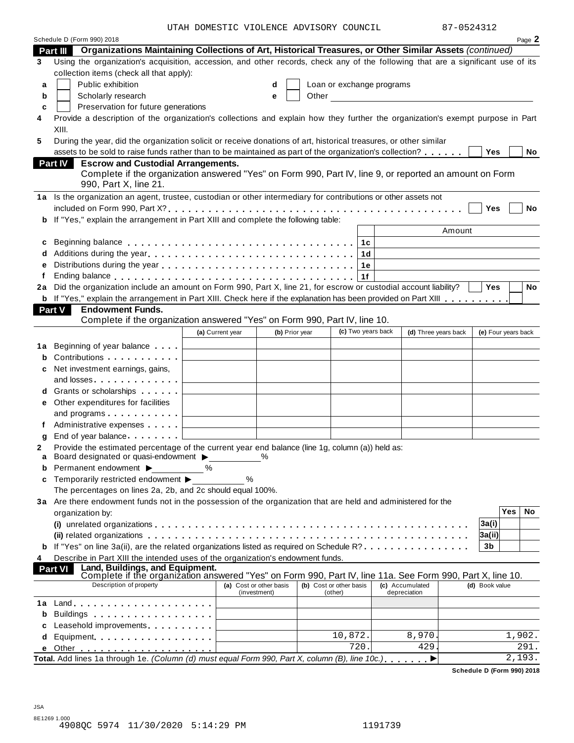|    | Schedule D (Form 990) 2018                                                                                                                                                                                                                                                           |                  |                                         |  |                                    |                                 |                     |            | Page 2 |
|----|--------------------------------------------------------------------------------------------------------------------------------------------------------------------------------------------------------------------------------------------------------------------------------------|------------------|-----------------------------------------|--|------------------------------------|---------------------------------|---------------------|------------|--------|
|    | Part III Organizations Maintaining Collections of Art, Historical Treasures, or Other Similar Assets (continued)                                                                                                                                                                     |                  |                                         |  |                                    |                                 |                     |            |        |
| 3  | Using the organization's acquisition, accession, and other records, check any of the following that are a significant use of its                                                                                                                                                     |                  |                                         |  |                                    |                                 |                     |            |        |
|    | collection items (check all that apply):                                                                                                                                                                                                                                             |                  |                                         |  |                                    |                                 |                     |            |        |
| a  | Public exhibition<br>Loan or exchange programs<br>d<br>Other and the contract of the contract of the contract of the contract of the contract of the contract of the contract of the contract of the contract of the contract of the contract of the contract of the contract of the |                  |                                         |  |                                    |                                 |                     |            |        |
| b  | Scholarly research                                                                                                                                                                                                                                                                   |                  | e                                       |  |                                    |                                 |                     |            |        |
| c  | Preservation for future generations                                                                                                                                                                                                                                                  |                  |                                         |  |                                    |                                 |                     |            |        |
| 4  | Provide a description of the organization's collections and explain how they further the organization's exempt purpose in Part<br>XIII.                                                                                                                                              |                  |                                         |  |                                    |                                 |                     |            |        |
| 5  | During the year, did the organization solicit or receive donations of art, historical treasures, or other similar                                                                                                                                                                    |                  |                                         |  |                                    |                                 |                     |            |        |
|    | assets to be sold to raise funds rather than to be maintained as part of the organization's collection?                                                                                                                                                                              |                  |                                         |  |                                    |                                 | Yes                 |            | No     |
|    | <b>Escrow and Custodial Arrangements.</b><br><b>Part IV</b>                                                                                                                                                                                                                          |                  |                                         |  |                                    |                                 |                     |            |        |
|    | Complete if the organization answered "Yes" on Form 990, Part IV, line 9, or reported an amount on Form                                                                                                                                                                              |                  |                                         |  |                                    |                                 |                     |            |        |
|    | 990, Part X, line 21.                                                                                                                                                                                                                                                                |                  |                                         |  |                                    |                                 |                     |            |        |
|    | 1a Is the organization an agent, trustee, custodian or other intermediary for contributions or other assets not                                                                                                                                                                      |                  |                                         |  |                                    |                                 |                     |            |        |
|    |                                                                                                                                                                                                                                                                                      |                  |                                         |  |                                    |                                 | <b>Yes</b>          |            | No     |
|    | <b>b</b> If "Yes," explain the arrangement in Part XIII and complete the following table:                                                                                                                                                                                            |                  |                                         |  |                                    |                                 |                     |            |        |
|    |                                                                                                                                                                                                                                                                                      |                  |                                         |  |                                    | Amount                          |                     |            |        |
| c  |                                                                                                                                                                                                                                                                                      |                  |                                         |  | 1с                                 |                                 |                     |            |        |
|    |                                                                                                                                                                                                                                                                                      |                  |                                         |  | 1d                                 |                                 |                     |            |        |
| е  |                                                                                                                                                                                                                                                                                      |                  |                                         |  | 1e                                 |                                 |                     |            |        |
|    |                                                                                                                                                                                                                                                                                      |                  |                                         |  | 1f                                 |                                 |                     |            |        |
|    | 2a Did the organization include an amount on Form 990, Part X, line 21, for escrow or custodial account liability?                                                                                                                                                                   |                  |                                         |  |                                    |                                 | Yes                 |            | No     |
|    | <b>b</b> If "Yes," explain the arrangement in Part XIII. Check here if the explanation has been provided on Part XIII                                                                                                                                                                |                  |                                         |  |                                    |                                 |                     |            |        |
|    | <b>Endowment Funds.</b><br><b>Part V</b>                                                                                                                                                                                                                                             |                  |                                         |  |                                    |                                 |                     |            |        |
|    | Complete if the organization answered "Yes" on Form 990, Part IV, line 10.                                                                                                                                                                                                           |                  |                                         |  |                                    |                                 |                     |            |        |
|    |                                                                                                                                                                                                                                                                                      | (a) Current year | (b) Prior year                          |  | (c) Two years back                 | (d) Three years back            | (e) Four years back |            |        |
| 1а | Beginning of year balance                                                                                                                                                                                                                                                            |                  |                                         |  |                                    |                                 |                     |            |        |
| b  | Contributions <b>Contributions</b>                                                                                                                                                                                                                                                   |                  |                                         |  |                                    |                                 |                     |            |        |
| с  | Net investment earnings, gains,                                                                                                                                                                                                                                                      |                  |                                         |  |                                    |                                 |                     |            |        |
|    | and losses experiences and losses                                                                                                                                                                                                                                                    |                  |                                         |  |                                    |                                 |                     |            |        |
| d  | Grants or scholarships <b>State of State State</b>                                                                                                                                                                                                                                   |                  |                                         |  |                                    |                                 |                     |            |        |
|    | e Other expenditures for facilities                                                                                                                                                                                                                                                  |                  |                                         |  |                                    |                                 |                     |            |        |
|    | and programs                                                                                                                                                                                                                                                                         |                  |                                         |  |                                    |                                 |                     |            |        |
|    | Administrative expenses                                                                                                                                                                                                                                                              |                  |                                         |  |                                    |                                 |                     |            |        |
|    | End of year balance                                                                                                                                                                                                                                                                  |                  |                                         |  |                                    |                                 |                     |            |        |
| 2  | Provide the estimated percentage of the current year end balance (line 1g, column (a)) held as:                                                                                                                                                                                      |                  |                                         |  |                                    |                                 |                     |            |        |
| a  | Board designated or quasi-endowment >                                                                                                                                                                                                                                                |                  | $\frac{0}{0}$                           |  |                                    |                                 |                     |            |        |
| b  | Permanent endowment ▶                                                                                                                                                                                                                                                                | $\%$             |                                         |  |                                    |                                 |                     |            |        |
| c  | Temporarily restricted endowment ▶                                                                                                                                                                                                                                                   | %                |                                         |  |                                    |                                 |                     |            |        |
|    | The percentages on lines 2a, 2b, and 2c should equal 100%.                                                                                                                                                                                                                           |                  |                                         |  |                                    |                                 |                     |            |        |
|    | 3a Are there endowment funds not in the possession of the organization that are held and administered for the                                                                                                                                                                        |                  |                                         |  |                                    |                                 |                     | <b>Yes</b> |        |
|    | organization by:                                                                                                                                                                                                                                                                     |                  |                                         |  |                                    |                                 |                     |            | No     |
|    |                                                                                                                                                                                                                                                                                      |                  |                                         |  |                                    |                                 | 3a(i)               |            |        |
|    | (ii) related organizations enterpresent respectively in the contract of the contract of the contract or control or $\mathbf{c}_1$                                                                                                                                                    |                  |                                         |  |                                    |                                 | 3a(ii)              |            |        |
|    | <b>b</b> If "Yes" on line 3a(ii), are the related organizations listed as required on Schedule R?                                                                                                                                                                                    |                  |                                         |  |                                    |                                 | 3b                  |            |        |
| 4  | Describe in Part XIII the intended uses of the organization's endowment funds.<br>Land, Buildings, and Equipment.<br>Part VI                                                                                                                                                         |                  |                                         |  |                                    |                                 |                     |            |        |
|    | Complete if the organization answered "Yes" on Form 990, Part IV, line 11a. See Form 990, Part X, line 10.                                                                                                                                                                           |                  |                                         |  |                                    |                                 |                     |            |        |
|    | Description of property                                                                                                                                                                                                                                                              |                  | (a) Cost or other basis<br>(investment) |  | (b) Cost or other basis<br>(other) | (c) Accumulated<br>depreciation | (d) Book value      |            |        |
| 1а |                                                                                                                                                                                                                                                                                      |                  |                                         |  |                                    |                                 |                     |            |        |
| b  |                                                                                                                                                                                                                                                                                      |                  |                                         |  |                                    |                                 |                     |            |        |
| с  | Leasehold improvements expressions and the set of the set of the set of the set of the set of the set of the set of the set of the set of the set of the set of the set of the set of the set of the set of the set of the set                                                       |                  |                                         |  |                                    |                                 |                     |            |        |
| d  | Equipment                                                                                                                                                                                                                                                                            |                  |                                         |  | 10,872.                            | 8,970                           |                     | 1,902.     |        |
| е  |                                                                                                                                                                                                                                                                                      |                  |                                         |  | 720.                               | 429                             |                     |            | 291.   |
|    | Total. Add lines 1a through 1e. (Column (d) must equal Form 990, Part X, column (B), line 10c.),                                                                                                                                                                                     |                  |                                         |  |                                    | ▶                               |                     |            | 2,193. |
|    |                                                                                                                                                                                                                                                                                      |                  |                                         |  |                                    |                                 |                     |            |        |

**Schedule D (Form 990) 2018**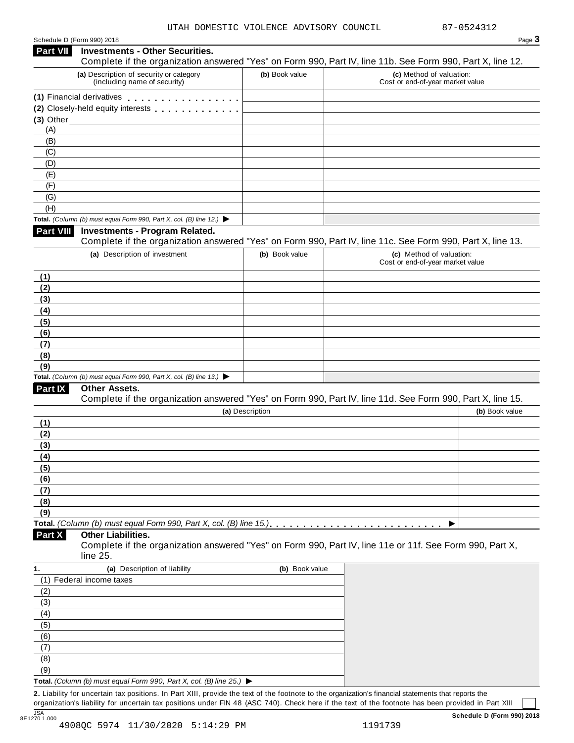| Schedule D (Form 990) 2018 |  |  |
|----------------------------|--|--|
|                            |  |  |

|                 | Schedule D (Form 990) 2018                                                                                                                           |                 |                                                              | Page 3         |
|-----------------|------------------------------------------------------------------------------------------------------------------------------------------------------|-----------------|--------------------------------------------------------------|----------------|
| <b>Part VII</b> | <b>Investments - Other Securities.</b><br>Complete if the organization answered "Yes" on Form 990, Part IV, line 11b. See Form 990, Part X, line 12. |                 |                                                              |                |
|                 | (a) Description of security or category<br>(including name of security)                                                                              | (b) Book value  | (c) Method of valuation:<br>Cost or end-of-year market value |                |
|                 | (1) Financial derivatives                                                                                                                            |                 |                                                              |                |
|                 | (2) Closely-held equity interests [1] [1] Closely-held equity interests                                                                              |                 |                                                              |                |
|                 | $(3)$ Other                                                                                                                                          |                 |                                                              |                |
| (A)             |                                                                                                                                                      |                 |                                                              |                |
| (B)             |                                                                                                                                                      |                 |                                                              |                |
| (C)             |                                                                                                                                                      |                 |                                                              |                |
| (D)             |                                                                                                                                                      |                 |                                                              |                |
| (E)             |                                                                                                                                                      |                 |                                                              |                |
| (F)             |                                                                                                                                                      |                 |                                                              |                |
| (G)             |                                                                                                                                                      |                 |                                                              |                |
| (H)             | Total. (Column (b) must equal Form 990, Part X, col. (B) line 12.) $\blacktriangleright$                                                             |                 |                                                              |                |
| Part VIII       | <b>Investments - Program Related.</b>                                                                                                                |                 |                                                              |                |
|                 | Complete if the organization answered "Yes" on Form 990, Part IV, line 11c. See Form 990, Part X, line 13.                                           |                 |                                                              |                |
|                 | (a) Description of investment                                                                                                                        | (b) Book value  | (c) Method of valuation:                                     |                |
|                 |                                                                                                                                                      |                 | Cost or end-of-year market value                             |                |
| (1)             |                                                                                                                                                      |                 |                                                              |                |
| (2)             |                                                                                                                                                      |                 |                                                              |                |
| (3)             |                                                                                                                                                      |                 |                                                              |                |
| (4)             |                                                                                                                                                      |                 |                                                              |                |
| (5)             |                                                                                                                                                      |                 |                                                              |                |
| (6)             |                                                                                                                                                      |                 |                                                              |                |
| (7)             |                                                                                                                                                      |                 |                                                              |                |
| (8)             |                                                                                                                                                      |                 |                                                              |                |
| (9)             | Total. (Column (b) must equal Form 990, Part X, col. (B) line 13.) $\blacktriangleright$                                                             |                 |                                                              |                |
| Part IX         | <b>Other Assets.</b>                                                                                                                                 |                 |                                                              |                |
|                 | Complete if the organization answered "Yes" on Form 990, Part IV, line 11d. See Form 990, Part X, line 15.                                           |                 |                                                              |                |
|                 |                                                                                                                                                      | (a) Description |                                                              | (b) Book value |
| (1)             |                                                                                                                                                      |                 |                                                              |                |
| (2)             |                                                                                                                                                      |                 |                                                              |                |
| (3)             |                                                                                                                                                      |                 |                                                              |                |
| (4)             |                                                                                                                                                      |                 |                                                              |                |
| (5)             |                                                                                                                                                      |                 |                                                              |                |
| (6)             |                                                                                                                                                      |                 |                                                              |                |
| (7)             |                                                                                                                                                      |                 |                                                              |                |
| (8)             |                                                                                                                                                      |                 |                                                              |                |
| (9)             |                                                                                                                                                      |                 |                                                              |                |
|                 | Total. (Column (b) must equal Form 990, Part X, col. (B) line 15.). $\ldots \ldots \ldots \ldots \ldots \ldots \ldots$                               |                 | ▶                                                            |                |
| Part X          | <b>Other Liabilities.</b>                                                                                                                            |                 |                                                              |                |
|                 | Complete if the organization answered "Yes" on Form 990, Part IV, line 11e or 11f. See Form 990, Part X,<br>line 25.                                 |                 |                                                              |                |
| 1.              | (a) Description of liability                                                                                                                         | (b) Book value  |                                                              |                |
|                 | (1) Federal income taxes                                                                                                                             |                 |                                                              |                |
| (2)             |                                                                                                                                                      |                 |                                                              |                |
| (3)<br>(4)      |                                                                                                                                                      |                 |                                                              |                |
| (5)             |                                                                                                                                                      |                 |                                                              |                |
| (6)             |                                                                                                                                                      |                 |                                                              |                |
| (7)             |                                                                                                                                                      |                 |                                                              |                |
| (8)             |                                                                                                                                                      |                 |                                                              |                |
| (9)             |                                                                                                                                                      |                 |                                                              |                |
|                 | Total. (Column (b) must equal Form 990, Part X, col. (B) line 25.) ▶                                                                                 |                 |                                                              |                |
|                 | 2. Liability for uncertain tax positions. In Part XIII, provide the text of the footnote to the organization's financial statements that reports the |                 |                                                              |                |
|                 |                                                                                                                                                      |                 |                                                              |                |

organization's liability for uncertain tax positions under FIN 48 (ASC 740). Check here if the text of the footnote has been provided in Part XIII JSA **Schedule D (Form 990) 2018** 8E1270 1.000 4908QC 5974 11/30/2020 5:14:29 PM 1191739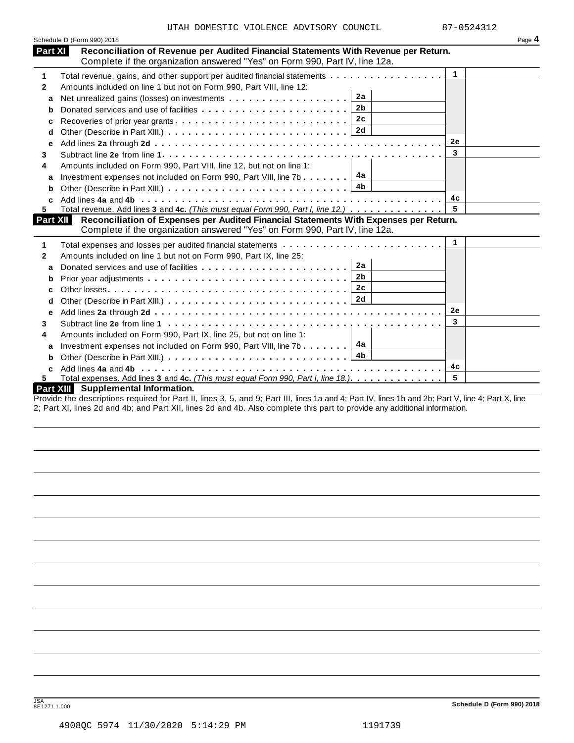|          | Schedule D (Form 990) 2018                                                                                                                                           |              | Page 4 |
|----------|----------------------------------------------------------------------------------------------------------------------------------------------------------------------|--------------|--------|
| Part XI  | Reconciliation of Revenue per Audited Financial Statements With Revenue per Return.<br>Complete if the organization answered "Yes" on Form 990, Part IV, line 12a.   |              |        |
| 1        | Total revenue, gains, and other support per audited financial statements                                                                                             | $\mathbf 1$  |        |
| 2        | Amounts included on line 1 but not on Form 990, Part VIII, line 12:                                                                                                  |              |        |
| a        | 2a                                                                                                                                                                   |              |        |
| b        | 2 <sub>b</sub>                                                                                                                                                       |              |        |
| с        |                                                                                                                                                                      |              |        |
| d        |                                                                                                                                                                      |              |        |
| е        |                                                                                                                                                                      | 2e           |        |
| 3        |                                                                                                                                                                      | 3            |        |
| 4        | Amounts included on Form 990, Part VIII, line 12, but not on line 1:                                                                                                 |              |        |
| a        | 4а<br>Investment expenses not included on Form 990, Part VIII, line 7b $\ldots \ldots$                                                                               |              |        |
| b        | 4b                                                                                                                                                                   |              |        |
|          |                                                                                                                                                                      | 4c           |        |
| 5        | Total revenue. Add lines 3 and 4c. (This must equal Form 990, Part I, line 12.)                                                                                      |              |        |
| Part XII | Reconciliation of Expenses per Audited Financial Statements With Expenses per Return.<br>Complete if the organization answered "Yes" on Form 990, Part IV, line 12a. |              |        |
| 1        | Total expenses and losses per audited financial statements                                                                                                           | $\mathbf{1}$ |        |
| 2        | Amounts included on line 1 but not on Form 990, Part IX, line 25:                                                                                                    |              |        |
| a        | 2a<br>Donated services and use of facilities                                                                                                                         |              |        |
| b        | 2 <sub>b</sub>                                                                                                                                                       |              |        |
| c        | 2c                                                                                                                                                                   |              |        |
| d        |                                                                                                                                                                      |              |        |
| е        |                                                                                                                                                                      | 2e           |        |
| 3        |                                                                                                                                                                      | 3            |        |
| 4        | Amounts included on Form 990, Part IX, line 25, but not on line 1:                                                                                                   |              |        |
| a        | 4a<br>Investment expenses not included on Form 990, Part VIII, line 7b                                                                                               |              |        |
| b        | 4b                                                                                                                                                                   |              |        |
|          |                                                                                                                                                                      | 4c           |        |
| 5.       | Total expenses. Add lines 3 and 4c. (This must equal Form 990, Part I, line 18.)                                                                                     | 5            |        |
|          | Part XIII Supplemental Information.                                                                                                                                  |              |        |
|          | Provide the descriptions required for Part II, lines 3, 5, and 0: Part III, lines 1a and 4: Part IV, lines 1h and 2b: Part V, line 4: Part Y, line                   |              |        |

ovide the descriptions required for Part II, lines 3, 5, and 9; Part III, lines 1a and 4; Part IV, lines 1b and 2b; Part V, line 4; Part X, line 2; Part XI, lines 2d and 4b; and Part XII, lines 2d and 4b. Also complete this part to provide any additional information.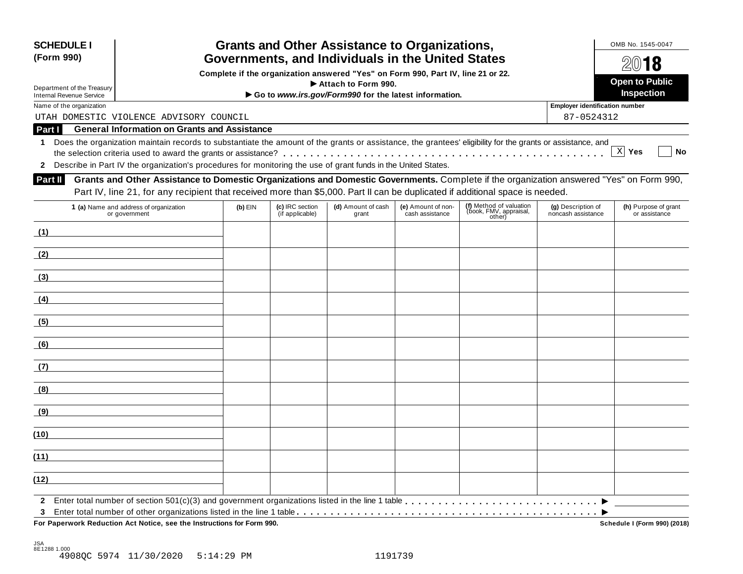| <b>SCHEDULE I</b><br>(Form 990)                               |                                                                                                                                                            |           |                                    | <b>Grants and Other Assistance to Organizations,</b>  |                                       |                                                             |                                          | OMB No. 1545-0047<br>2018             |
|---------------------------------------------------------------|------------------------------------------------------------------------------------------------------------------------------------------------------------|-----------|------------------------------------|-------------------------------------------------------|---------------------------------------|-------------------------------------------------------------|------------------------------------------|---------------------------------------|
|                                                               | Governments, and Individuals in the United States<br>Complete if the organization answered "Yes" on Form 990, Part IV, line 21 or 22.                      |           |                                    |                                                       |                                       |                                                             |                                          |                                       |
|                                                               |                                                                                                                                                            |           |                                    | Attach to Form 990.                                   |                                       |                                                             |                                          | <b>Open to Public</b>                 |
| Department of the Treasury<br><b>Internal Revenue Service</b> |                                                                                                                                                            |           |                                    | Go to www.irs.gov/Form990 for the latest information. |                                       |                                                             |                                          | Inspection                            |
| Name of the organization                                      |                                                                                                                                                            |           |                                    |                                                       |                                       |                                                             | Employer identification number           |                                       |
|                                                               | UTAH DOMESTIC VIOLENCE ADVISORY COUNCIL                                                                                                                    |           |                                    |                                                       |                                       |                                                             | 87-0524312                               |                                       |
| Part I                                                        | <b>General Information on Grants and Assistance</b>                                                                                                        |           |                                    |                                                       |                                       |                                                             |                                          |                                       |
| 1.                                                            | Does the organization maintain records to substantiate the amount of the grants or assistance, the grantees' eligibility for the grants or assistance, and |           |                                    |                                                       |                                       |                                                             |                                          |                                       |
|                                                               |                                                                                                                                                            |           |                                    |                                                       |                                       |                                                             |                                          | X Yes<br>No                           |
| $\mathbf{2}$                                                  | Describe in Part IV the organization's procedures for monitoring the use of grant funds in the United States.                                              |           |                                    |                                                       |                                       |                                                             |                                          |                                       |
| Part II                                                       | Grants and Other Assistance to Domestic Organizations and Domestic Governments. Complete if the organization answered "Yes" on Form 990,                   |           |                                    |                                                       |                                       |                                                             |                                          |                                       |
|                                                               | Part IV, line 21, for any recipient that received more than \$5,000. Part II can be duplicated if additional space is needed.                              |           |                                    |                                                       |                                       |                                                             |                                          |                                       |
|                                                               | 1 (a) Name and address of organization<br>or government                                                                                                    | $(b)$ EIN | (c) IRC section<br>(if applicable) | (d) Amount of cash<br>grant                           | (e) Amount of non-<br>cash assistance | (f) Method of valuation<br>(book, FMV, appraisal,<br>other) | (g) Description of<br>noncash assistance | (h) Purpose of grant<br>or assistance |
| (1)                                                           |                                                                                                                                                            |           |                                    |                                                       |                                       |                                                             |                                          |                                       |
| (2)                                                           |                                                                                                                                                            |           |                                    |                                                       |                                       |                                                             |                                          |                                       |
| (3)                                                           |                                                                                                                                                            |           |                                    |                                                       |                                       |                                                             |                                          |                                       |
| (4)                                                           |                                                                                                                                                            |           |                                    |                                                       |                                       |                                                             |                                          |                                       |
| (5)                                                           |                                                                                                                                                            |           |                                    |                                                       |                                       |                                                             |                                          |                                       |
| (6)                                                           |                                                                                                                                                            |           |                                    |                                                       |                                       |                                                             |                                          |                                       |
| (7)                                                           |                                                                                                                                                            |           |                                    |                                                       |                                       |                                                             |                                          |                                       |
| (8)                                                           |                                                                                                                                                            |           |                                    |                                                       |                                       |                                                             |                                          |                                       |
| (9)                                                           |                                                                                                                                                            |           |                                    |                                                       |                                       |                                                             |                                          |                                       |
| (10)                                                          |                                                                                                                                                            |           |                                    |                                                       |                                       |                                                             |                                          |                                       |
| (11)                                                          |                                                                                                                                                            |           |                                    |                                                       |                                       |                                                             |                                          |                                       |
| (12)                                                          |                                                                                                                                                            |           |                                    |                                                       |                                       |                                                             |                                          |                                       |
| 3                                                             |                                                                                                                                                            |           |                                    |                                                       |                                       |                                                             |                                          |                                       |
|                                                               | For Paperwork Reduction Act Notice, see the Instructions for Form 990.                                                                                     |           |                                    |                                                       |                                       |                                                             |                                          | Schedule I (Form 990) (2018)          |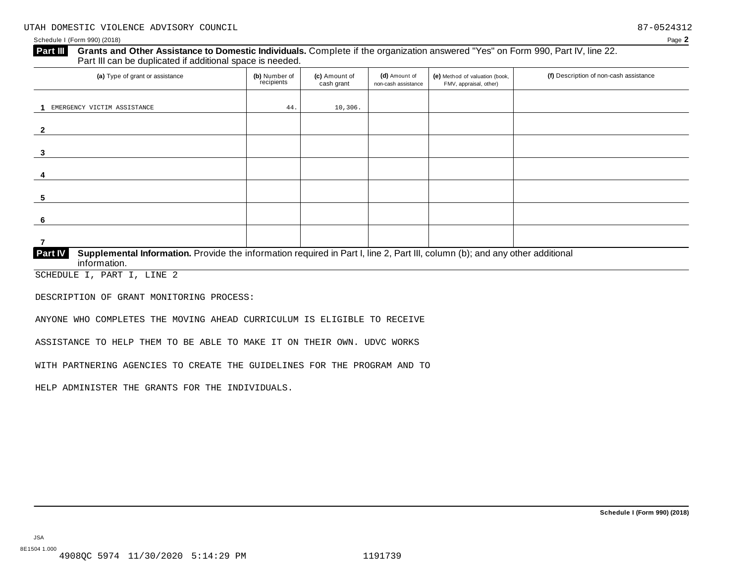#### **Grants and Other Assistance to Domestic Individuals.** Complete ifthe organization answered "Yes" on Form 990, Part IV, line 22. **Part III** Grants and Other Assistance to Domestic Individuals<br>Part III can be duplicated if additional space is needed.

| (a) Type of grant or assistance                                                                                                                                | (b) Number of<br>recipients | (c) Amount of<br>cash grant | (d) Amount of<br>non-cash assistance | (e) Method of valuation (book,<br>FMV, appraisal, other) | (f) Description of non-cash assistance |  |
|----------------------------------------------------------------------------------------------------------------------------------------------------------------|-----------------------------|-----------------------------|--------------------------------------|----------------------------------------------------------|----------------------------------------|--|
|                                                                                                                                                                |                             |                             |                                      |                                                          |                                        |  |
| EMERGENCY VICTIM ASSISTANCE                                                                                                                                    | 44.                         | 10,306.                     |                                      |                                                          |                                        |  |
|                                                                                                                                                                |                             |                             |                                      |                                                          |                                        |  |
|                                                                                                                                                                |                             |                             |                                      |                                                          |                                        |  |
|                                                                                                                                                                |                             |                             |                                      |                                                          |                                        |  |
| 3                                                                                                                                                              |                             |                             |                                      |                                                          |                                        |  |
|                                                                                                                                                                |                             |                             |                                      |                                                          |                                        |  |
|                                                                                                                                                                |                             |                             |                                      |                                                          |                                        |  |
|                                                                                                                                                                |                             |                             |                                      |                                                          |                                        |  |
| 5                                                                                                                                                              |                             |                             |                                      |                                                          |                                        |  |
|                                                                                                                                                                |                             |                             |                                      |                                                          |                                        |  |
|                                                                                                                                                                |                             |                             |                                      |                                                          |                                        |  |
|                                                                                                                                                                |                             |                             |                                      |                                                          |                                        |  |
|                                                                                                                                                                |                             |                             |                                      |                                                          |                                        |  |
| Supplemental Information. Provide the information required in Part I, line 2, Part III, column (b); and any other additional<br><b>Part IV</b><br>information. |                             |                             |                                      |                                                          |                                        |  |

SCHEDULE I, PART I, LINE 2

DESCRIPTION OF GRANT MONITORING PROCESS:

ANYONE WHO COMPLETES THE MOVING AHEAD CURRICULUM IS ELIGIBLE TO RECEIVE

ASSISTANCE TO HELP THEM TO BE ABLE TO MAKE IT ON THEIR OWN. UDVC WORKS

WITH PARTNERING AGENCIES TO CREATE THE GUIDELINES FOR THE PROGRAM AND TO

HELP ADMINISTER THE GRANTS FOR THE INDIVIDUALS.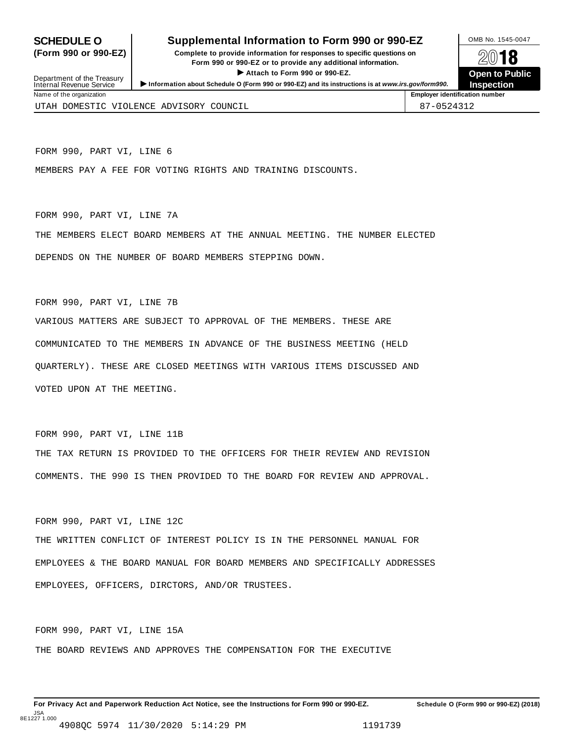#### **SCHEDULE O** Supplemental Information to Form 990 or 990-EZ DAMB No. 1545-0047

(Form 990 or 990-EZ) Complete to provide information for responses to specific questions on  $\otimes$  0 18 plete to provide information for responses to specific questions on<br>
Form 990 or 990-EZ or to provide any additional information.<br>
Attach to Form 990 or 990-EZ.



| ► Attach to Form 990 or 990-EZ.<br>Department of the Treasury<br>> Information about Schedule O (Form 990 or 990-EZ) and its instructions is at www.irs.gov/form990.<br>Internal Revenue Service |                                                            |            |  |  |
|--------------------------------------------------------------------------------------------------------------------------------------------------------------------------------------------------|------------------------------------------------------------|------------|--|--|
| Name of the organization                                                                                                                                                                         | <b>Inspection</b><br><b>Employer identification number</b> |            |  |  |
|                                                                                                                                                                                                  | UTAH DOMESTIC VIOLENCE ADVISORY COUNCIL                    | 87-0524312 |  |  |

FORM 990, PART VI, LINE 6

MEMBERS PAY A FEE FOR VOTING RIGHTS AND TRAINING DISCOUNTS.

#### FORM 990, PART VI, LINE 7A

THE MEMBERS ELECT BOARD MEMBERS AT THE ANNUAL MEETING. THE NUMBER ELECTED DEPENDS ON THE NUMBER OF BOARD MEMBERS STEPPING DOWN.

#### FORM 990, PART VI, LINE 7B

VARIOUS MATTERS ARE SUBJECT TO APPROVAL OF THE MEMBERS. THESE ARE COMMUNICATED TO THE MEMBERS IN ADVANCE OF THE BUSINESS MEETING (HELD QUARTERLY). THESE ARE CLOSED MEETINGS WITH VARIOUS ITEMS DISCUSSED AND VOTED UPON AT THE MEETING.

#### FORM 990, PART VI, LINE 11B

THE TAX RETURN IS PROVIDED TO THE OFFICERS FOR THEIR REVIEW AND REVISION COMMENTS. THE 990 IS THEN PROVIDED TO THE BOARD FOR REVIEW AND APPROVAL.

FORM 990, PART VI, LINE 12C

THE WRITTEN CONFLICT OF INTEREST POLICY IS IN THE PERSONNEL MANUAL FOR EMPLOYEES & THE BOARD MANUAL FOR BOARD MEMBERS AND SPECIFICALLY ADDRESSES EMPLOYEES, OFFICERS, DIRCTORS, AND/OR TRUSTEES.

FORM 990, PART VI, LINE 15A

THE BOARD REVIEWS AND APPROVES THE COMPENSATION FOR THE EXECUTIVE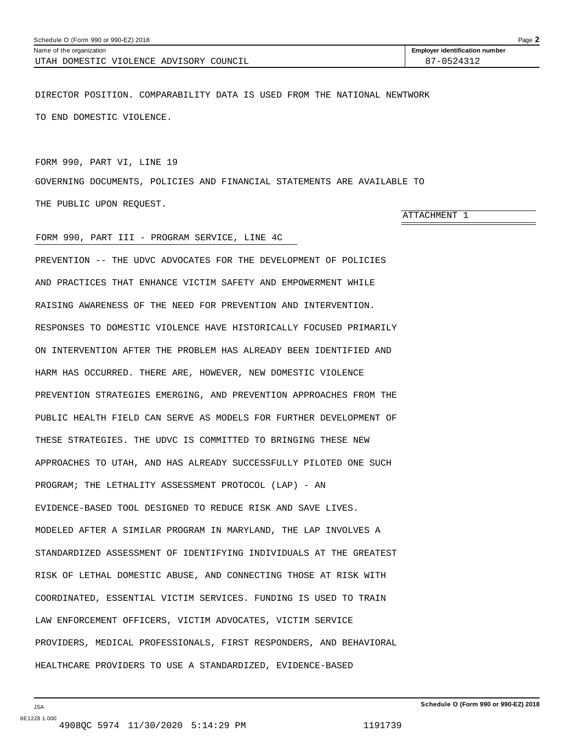<span id="page-34-0"></span>

| Schedule O (Form 990 or 990-EZ) 2018    |                                       |  |
|-----------------------------------------|---------------------------------------|--|
| Name of the organization                | <b>Employer identification number</b> |  |
| UTAH DOMESTIC VIOLENCE ADVISORY COUNCIL | $87 - 0524312$                        |  |

DIRECTOR POSITION. COMPARABILITY DATA IS USED FROM THE NATIONAL NEWTWORK TO END DOMESTIC VIOLENCE.

#### FORM 990, PART VI, LINE 19

GOVERNING DOCUMENTS, POLICIES AND FINANCIAL STATEMENTS ARE AVAILABLE TO THE PUBLIC UPON REQUEST.

#### FORM 990, PART III - PROGRAM SERVICE, LINE 4C

PREVENTION -- THE UDVC ADVOCATES FOR THE DEVELOPMENT OF POLICIES AND PRACTICES THAT ENHANCE VICTIM SAFETY AND EMPOWERMENT WHILE RAISING AWARENESS OF THE NEED FOR PREVENTION AND INTERVENTION. RESPONSES TO DOMESTIC VIOLENCE HAVE HISTORICALLY FOCUSED PRIMARILY ON INTERVENTION AFTER THE PROBLEM HAS ALREADY BEEN IDENTIFIED AND HARM HAS OCCURRED. THERE ARE, HOWEVER, NEW DOMESTIC VIOLENCE PREVENTION STRATEGIES EMERGING, AND PREVENTION APPROACHES FROM THE PUBLIC HEALTH FIELD CAN SERVE AS MODELS FOR FURTHER DEVELOPMENT OF THESE STRATEGIES. THE UDVC IS COMMITTED TO BRINGING THESE NEW APPROACHES TO UTAH, AND HAS ALREADY SUCCESSFULLY PILOTED ONE SUCH PROGRAM; THE LETHALITY ASSESSMENT PROTOCOL (LAP) - AN EVIDENCE-BASED TOOL DESIGNED TO REDUCE RISK AND SAVE LIVES. MODELED AFTER A SIMILAR PROGRAM IN MARYLAND, THE LAP INVOLVES A STANDARDIZED ASSESSMENT OF IDENTIFYING INDIVIDUALS AT THE GREATEST RISK OF LETHAL DOMESTIC ABUSE, AND CONNECTING THOSE AT RISK WITH COORDINATED, ESSENTIAL VICTIM SERVICES. FUNDING IS USED TO TRAIN LAW ENFORCEMENT OFFICERS, VICTIM ADVOCATES, VICTIM SERVICE PROVIDERS, MEDICAL PROFESSIONALS, FIRST RESPONDERS, AND BEHAVIORAL HEALTHCARE PROVIDERS TO USE A STANDARDIZED, EVIDENCE-BASED

JSA

ATTACHMENT 1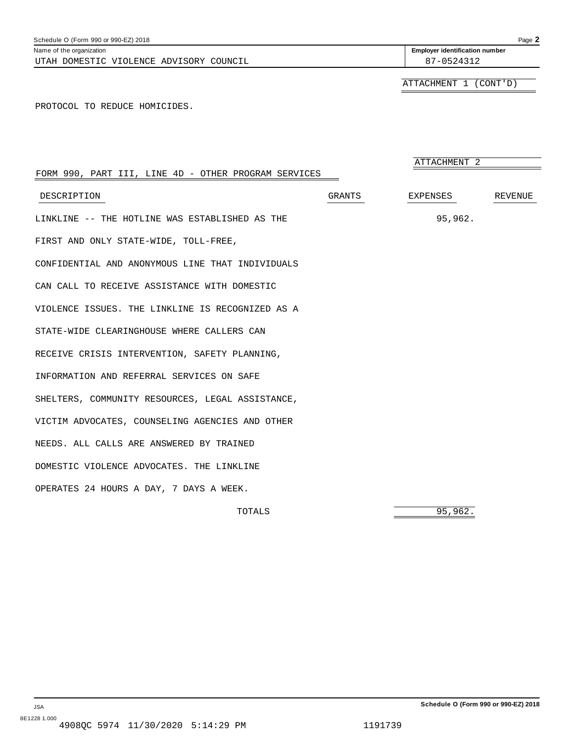| FORM 990, PART III, LINE 4D - OTHER PROGRAM SERVICES |               | ATTACHMENT 2 |         |
|------------------------------------------------------|---------------|--------------|---------|
| DESCRIPTION                                          | <b>GRANTS</b> | EXPENSES     | REVENUE |
| LINKLINE -- THE HOTLINE WAS ESTABLISHED AS THE       |               | 95,962.      |         |
| FIRST AND ONLY STATE-WIDE, TOLL-FREE,                |               |              |         |
| CONFIDENTIAL AND ANONYMOUS LINE THAT INDIVIDUALS     |               |              |         |

CAN CALL TO RECEIVE ASSISTANCE WITH DOMESTIC VIOLENCE ISSUES. THE LINKLINE IS RECOGNIZED AS A STATE-WIDE CLEARINGHOUSE WHERE CALLERS CAN RECEIVE CRISIS INTERVENTION, SAFETY PLANNING, INFORMATION AND REFERRAL SERVICES ON SAFE SHELTERS, COMMUNITY RESOURCES, LEGAL ASSISTANCE, VICTIM ADVOCATES, COUNSELING AGENCIES AND OTHER NEEDS. ALL CALLS ARE ANSWERED BY TRAINED DOMESTIC VIOLENCE ADVOCATES. THE LINKLINE OPERATES 24 HOURS A DAY, 7 DAYS A WEEK.

TOTALS 95,962.

ATTACHMENT 1 (CONT'D)

PROTOCOL TO REDUCE HOMICIDES.

<span id="page-35-0"></span>UTAH DOMESTIC VIOLENCE ADVISORY COUNCIL **87-0524312**